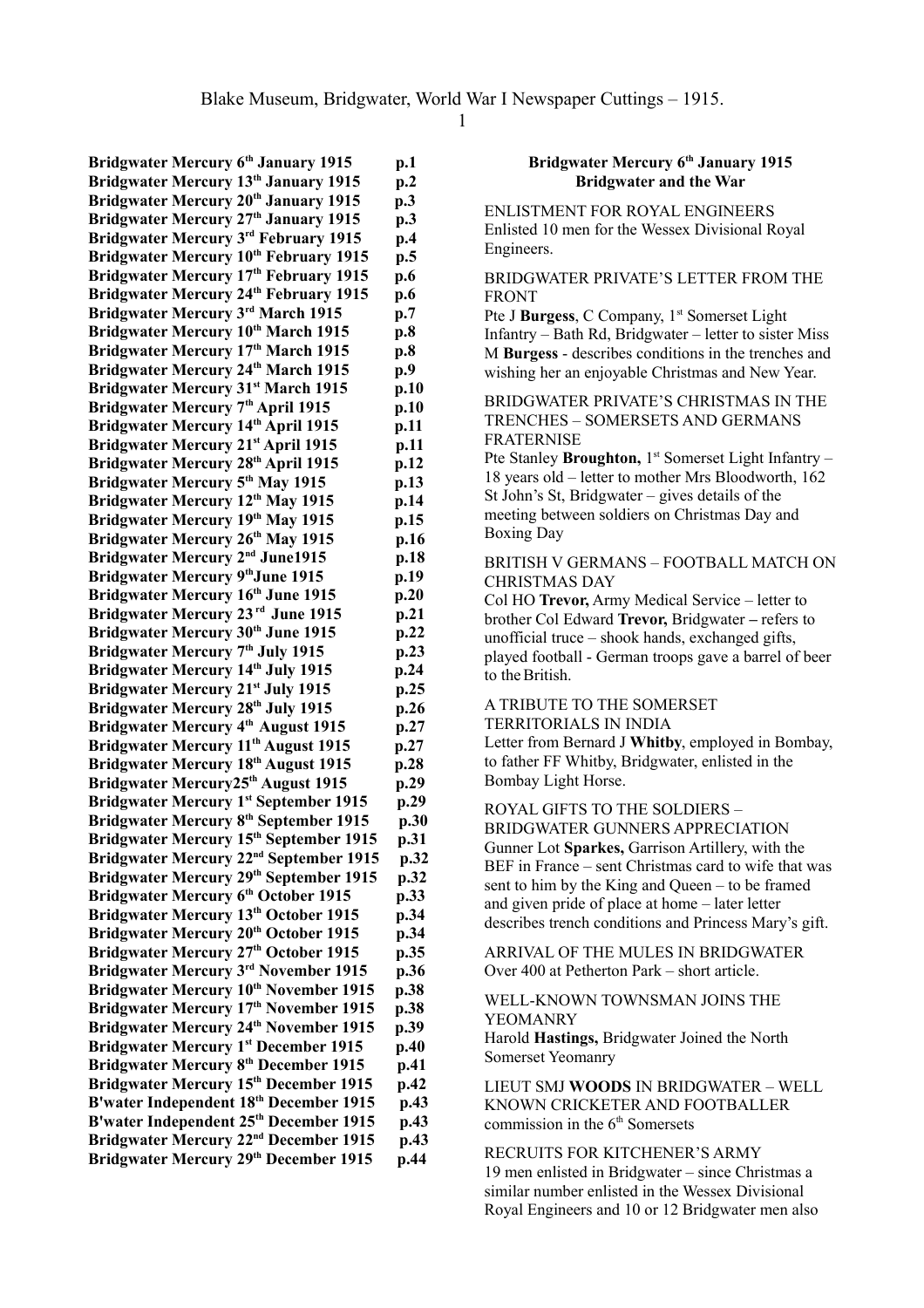1

**Bridgwater Mercury 6th January 1915 p.1 Bridgwater Mercury 13th January 1915 p.2 Bridgwater Mercury 20th January 1915 p.3 Bridgwater Mercury 27th January 1915 p.3 Bridgwater Mercury 3rd February 1915 p.4 Bridgwater Mercury 10th February 1915 p.5 Bridgwater Mercury 17th February 1915 p.6 Bridgwater Mercury 24th February 1915 p.6 Bridgwater Mercury 3rd March 1915 p.7 Bridgwater Mercury 10th March 1915 p.8 Bridgwater Mercury 17th March 1915 p.8 Bridgwater Mercury 24th March 1915 p.9 Bridgwater Mercury 31st March 1915 p.10 Bridgwater Mercury 7th April 1915 p.10 Bridgwater Mercury 14th April 1915 p.11 Bridgwater Mercury 21st April 1915 p.11 Bridgwater Mercury 28th April 1915 p.12 Bridgwater Mercury 5<sup>th</sup> May 1915 p.13 Bridgwater Mercury 12 th May 1915 p.14 Bridgwater Mercury 19 th May 1915 p.15 Bridgwater Mercury 26 th May 1915 p.16 Bridgwater Mercury 2<sup>nd</sup> June1915 p.18 Bridgwater Mercury 9 thJune 1915 p.19 Bridgwater Mercury 16th June 1915 p.20 Bridgwater Mercury 23 rd June 1915 p.21 Bridgwater Mercury 30th June 1915 p.22 Bridgwater Mercury 7 th July 1915 p.23 Bridgwater Mercury 14th July 1915 p.24 Bridgwater Mercury 21st July 1915 p.25 Bridgwater Mercury 28th July 1915 p.26 Bridgwater Mercury 4 th August 1915 p.27 Bridgwater Mercury 11th August 1915 p.27 Bridgwater Mercury 18th August 1915 p.28 Bridgwater Mercury25th August 1915 p.29 Bridgwater Mercury 1 st September 1915 p.29 Bridgwater Mercury 8 th September 1915 p.30 Bridgwater Mercury 15th September 1915 p.31 Bridgwater Mercury 22nd September 1915 p.32 Bridgwater Mercury 29th September 1915 p.32 Bridgwater Mercury 6 th October 1915 p.33 Bridgwater Mercury 13th October 1915 p.34 Bridgwater Mercury 20th October 1915 p.34 Bridgwater Mercury 27th October 1915 p.35 Bridgwater Mercury 3 rd November 1915 p.36 Bridgwater Mercury 10th November 1915 p.38 Bridgwater Mercury 17th November 1915 p.38 Bridgwater Mercury 24th November 1915 p.39 Bridgwater Mercury 1 st December 1915 p.40 Bridgwater Mercury 8 th December 1915 p.41 Bridgwater Mercury 15th December 1915 p.42 B'water Independent 18th December 1915 p.43 B'water Independent 25th December 1915 p.43 Bridgwater Mercury 22nd December 1915 p.43 Bridgwater Mercury 29th December 1915 p.44**

## **Bridgwater Mercury 6th January 1915 Bridgwater and the War**

ENLISTMENT FOR ROYAL ENGINEERS Enlisted 10 men for the Wessex Divisional Royal Engineers.

BRIDGWATER PRIVATE'S LETTER FROM THE FRONT

Pte J **Burgess**, C Company, 1<sup>st</sup> Somerset Light Infantry – Bath Rd, Bridgwater – letter to sister Miss M **Burgess** - describes conditions in the trenches and wishing her an enjoyable Christmas and New Year.

BRIDGWATER PRIVATE'S CHRISTMAS IN THE TRENCHES – SOMERSETS AND GERMANS FRATERNISE

Pte Stanley **Broughton,** 1<sup>st</sup> Somerset Light Infantry – 18 years old – letter to mother Mrs Bloodworth, 162 St John's St, Bridgwater – gives details of the meeting between soldiers on Christmas Day and Boxing Day

### BRITISH V GERMANS – FOOTBALL MATCH ON CHRISTMAS DAY

Col HO **Trevor,** Army Medical Service – letter to brother Col Edward **Trevor,** Bridgwater **–** refers to unofficial truce – shook hands, exchanged gifts, played football - German troops gave a barrel of beer to the British.

## A TRIBUTE TO THE SOMERSET

TERRITORIALS IN INDIA

Letter from Bernard J **Whitby**, employed in Bombay, to father FF Whitby, Bridgwater, enlisted in the Bombay Light Horse.

ROYAL GIFTS TO THE SOLDIERS – BRIDGWATER GUNNERS APPRECIATION Gunner Lot **Sparkes,** Garrison Artillery, with the BEF in France – sent Christmas card to wife that was sent to him by the King and Queen – to be framed and given pride of place at home – later letter describes trench conditions and Princess Mary's gift.

ARRIVAL OF THE MULES IN BRIDGWATER Over 400 at Petherton Park – short article.

## WELL-KNOWN TOWNSMAN JOINS THE YEOMANRY

Harold **Hastings,** Bridgwater Joined the North Somerset Yeomanry

LIEUT SMJ **WOODS** IN BRIDGWATER – WELL KNOWN CRICKETER AND FOOTBALLER commission in the  $6<sup>th</sup>$  Somersets

RECRUITS FOR KITCHENER'S ARMY 19 men enlisted in Bridgwater – since Christmas a similar number enlisted in the Wessex Divisional Royal Engineers and 10 or 12 Bridgwater men also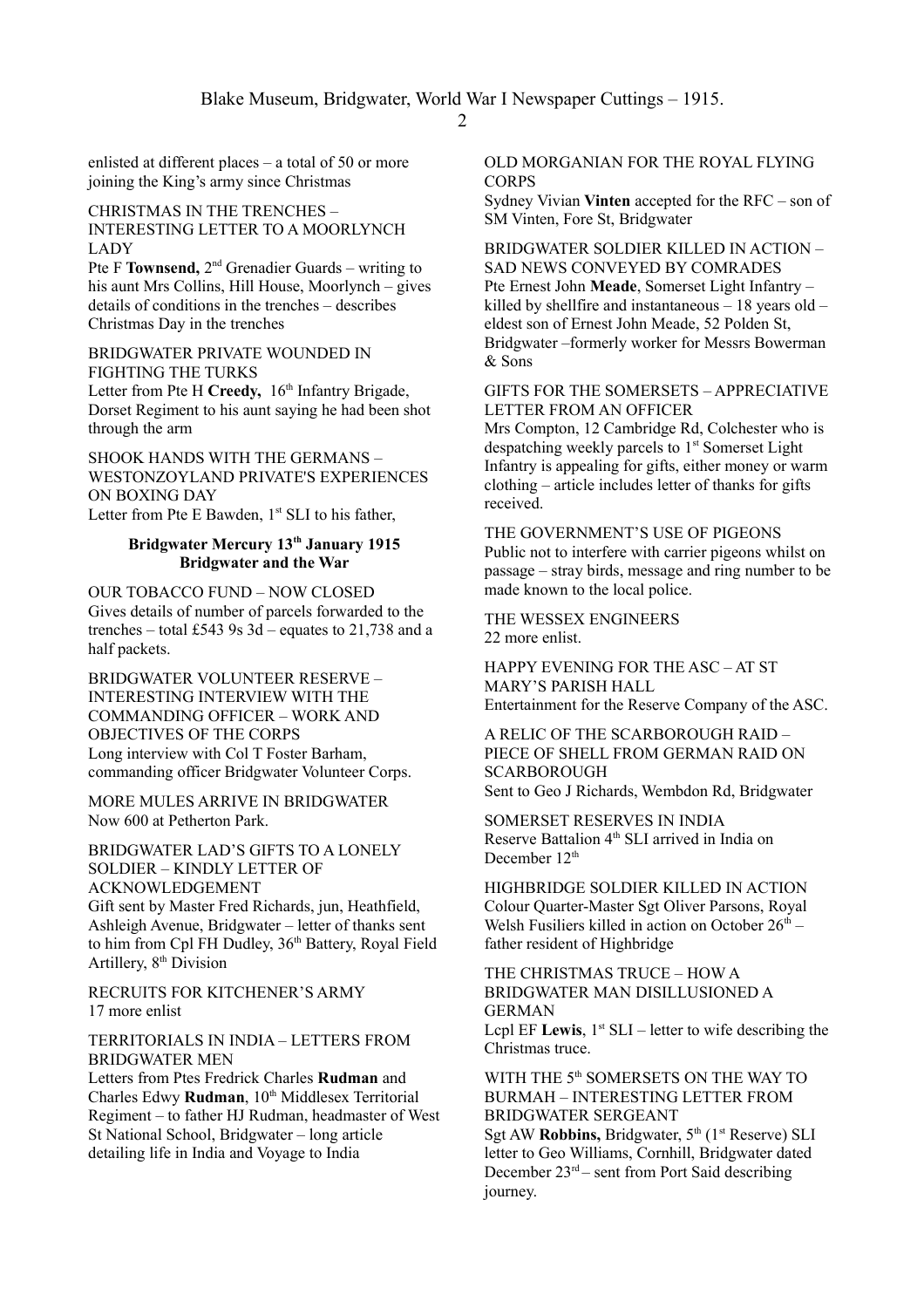enlisted at different places – a total of 50 or more joining the King's army since Christmas

#### CHRISTMAS IN THE TRENCHES – INTERESTING LETTER TO A MOORLYNCH LADY

Pte F **Townsend**, 2<sup>nd</sup> Grenadier Guards – writing to his aunt Mrs Collins, Hill House, Moorlynch – gives details of conditions in the trenches – describes Christmas Day in the trenches

## BRIDGWATER PRIVATE WOUNDED IN FIGHTING THE TURKS

Letter from Pte H Creedy, 16<sup>th</sup> Infantry Brigade, Dorset Regiment to his aunt saying he had been shot through the arm

SHOOK HANDS WITH THE GERMANS – WESTONZOYLAND [PRIVATE'S](mailto:PTIVATE@S) EXPERIENCES ON BOXING DAY

Letter from Pte E Bawden,  $1<sup>st</sup>$  SLI to his father,

# **Bridgwater Mercury 13th January 1915 Bridgwater and the War**

OUR TOBACCO FUND – NOW CLOSED Gives details of number of parcels forwarded to the trenches – total £543 9s  $3d$  – equates to 21,738 and a half packets.

BRIDGWATER VOLUNTEER RESERVE – INTERESTING INTERVIEW WITH THE COMMANDING OFFICER – WORK AND OBJECTIVES OF THE CORPS Long interview with Col T Foster Barham, commanding officer Bridgwater Volunteer Corps.

MORE MULES ARRIVE IN BRIDGWATER Now 600 at Petherton Park.

BRIDGWATER LAD'S GIFTS TO A LONELY SOLDIER – KINDLY LETTER OF ACKNOWLEDGEMENT Gift sent by Master Fred Richards, jun, Heathfield,

Ashleigh Avenue, Bridgwater – letter of thanks sent to him from Cpl FH Dudley, 36<sup>th</sup> Battery, Royal Field Artillery,  $8<sup>th</sup>$  Division

RECRUITS FOR KITCHENER'S ARMY 17 more enlist

### TERRITORIALS IN INDIA – LETTERS FROM BRIDGWATER MEN

Letters from Ptes Fredrick Charles **Rudman** and Charles Edwy **Rudman**, 10<sup>th</sup> Middlesex Territorial Regiment – to father HJ Rudman, headmaster of West St National School, Bridgwater – long article detailing life in India and Voyage to India

OLD MORGANIAN FOR THE ROYAL FLYING CORPS

Sydney Vivian **Vinten** accepted for the RFC – son of SM Vinten, Fore St, Bridgwater

BRIDGWATER SOLDIER KILLED IN ACTION – SAD NEWS CONVEYED BY COMRADES Pte Ernest John **Meade**, Somerset Light Infantry – killed by shellfire and instantaneous – 18 years old – eldest son of Ernest John Meade, 52 Polden St, Bridgwater –formerly worker for Messrs Bowerman & Sons

GIFTS FOR THE SOMERSETS – APPRECIATIVE LETTER FROM AN OFFICER

Mrs Compton, 12 Cambridge Rd, Colchester who is despatching weekly parcels to 1<sup>st</sup> Somerset Light Infantry is appealing for gifts, either money or warm clothing – article includes letter of thanks for gifts received.

THE GOVERNMENT'S USE OF PIGEONS Public not to interfere with carrier pigeons whilst on passage – stray birds, message and ring number to be made known to the local police.

THE WESSEX ENGINEERS 22 more enlist.

HAPPY EVENING FOR THE ASC – AT ST MARY'S PARISH HALL Entertainment for the Reserve Company of the ASC.

A RELIC OF THE SCARBOROUGH RAID – PIECE OF SHELL FROM GERMAN RAID ON **SCARBOROUGH** Sent to Geo J Richards, Wembdon Rd, Bridgwater

SOMERSET RESERVES IN INDIA Reserve Battalion 4<sup>th</sup> SLI arrived in India on December 12<sup>th</sup>

HIGHBRIDGE SOLDIER KILLED IN ACTION Colour Quarter-Master Sgt Oliver Parsons, Royal Welsh Fusiliers killed in action on October  $26<sup>th</sup>$  – father resident of Highbridge

THE CHRISTMAS TRUCE – HOW A BRIDGWATER MAN DISILLUSIONED A GERMAN Lcpl EF Lewis,  $1<sup>st</sup> SLI$  – letter to wife describing the Christmas truce.

WITH THE 5<sup>th</sup> SOMERSETS ON THE WAY TO BURMAH – INTERESTING LETTER FROM BRIDGWATER SERGEANT

Sgt AW **Robbins, Bridgwater**, 5<sup>th</sup> (1<sup>st</sup> Reserve) SLI letter to Geo Williams, Cornhill, Bridgwater dated December  $23<sup>rd</sup>$  – sent from Port Said describing journey.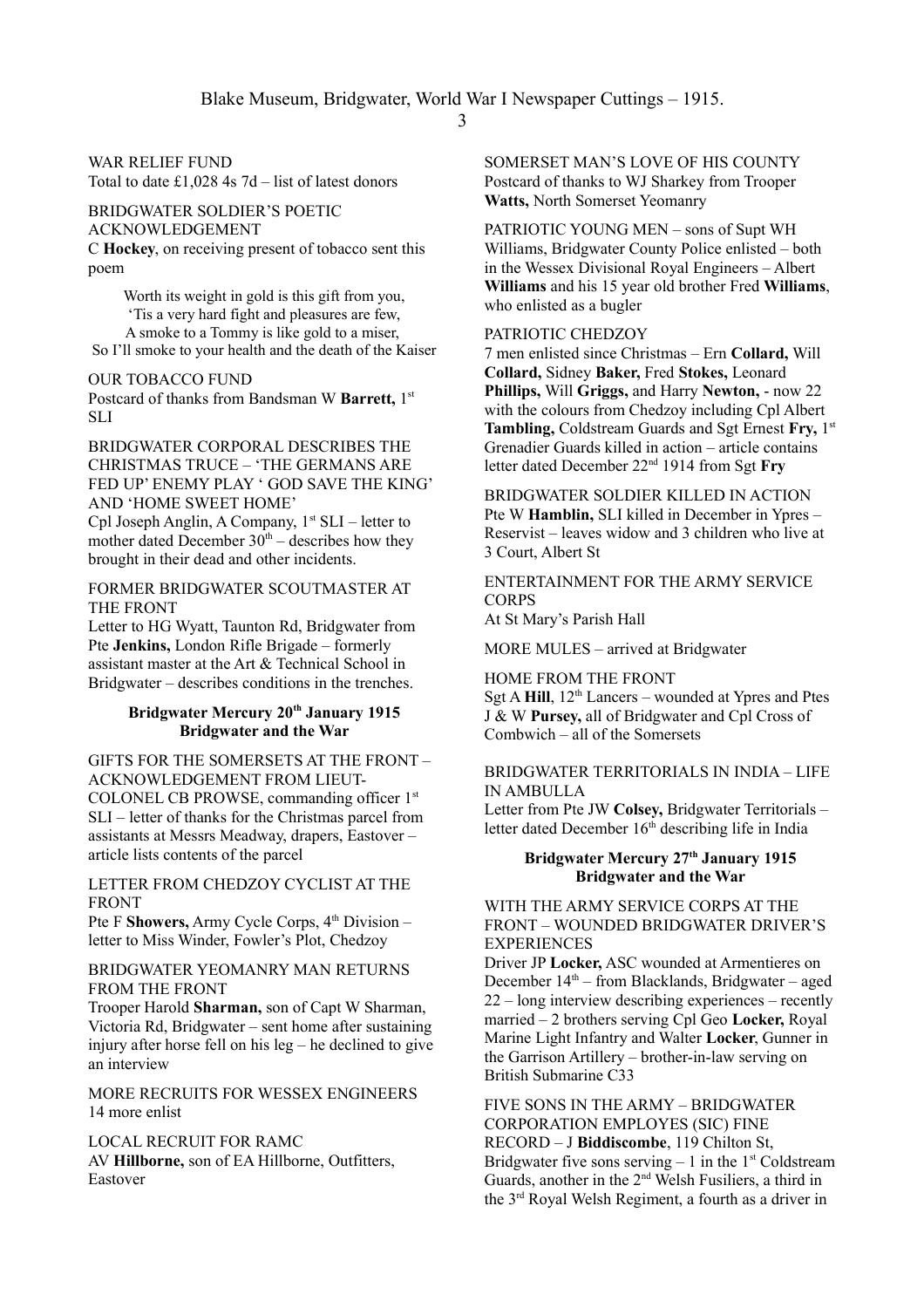# WAR RELIEF FUND

Total to date £1,028 4s  $7d$  – list of latest donors

# BRIDGWATER SOLDIER'S POETIC

## ACKNOWLEDGEMENT

C **Hockey**, on receiving present of tobacco sent this poem

Worth its weight in gold is this gift from you, 'Tis a very hard fight and pleasures are few, A smoke to a Tommy is like gold to a miser, So I'll smoke to your health and the death of the Kaiser

#### OUR TOBACCO FUND

Postcard of thanks from Bandsman W **Barrett,** 1 st SLI

#### BRIDGWATER CORPORAL DESCRIBES THE CHRISTMAS TRUCE – 'THE GERMANS ARE FED UP' ENEMY PLAY ' GOD SAVE THE KING' AND 'HOME SWEET HOME'

Cpl Joseph Anglin, A Company,  $1<sup>st</sup> SLI$  – letter to mother dated December  $30<sup>th</sup>$  – describes how they brought in their dead and other incidents.

#### FORMER BRIDGWATER SCOUTMASTER AT THE FRONT

Letter to HG Wyatt, Taunton Rd, Bridgwater from Pte **Jenkins,** London Rifle Brigade – formerly assistant master at the Art & Technical School in Bridgwater – describes conditions in the trenches.

## **Bridgwater Mercury 20th January 1915 Bridgwater and the War**

#### GIFTS FOR THE SOMERSETS AT THE FRONT – ACKNOWLEDGEMENT FROM LIEUT-COLONEL CB PROWSE, commanding officer 1st SLI – letter of thanks for the Christmas parcel from assistants at Messrs Meadway, drapers, Eastover – article lists contents of the parcel

LETTER FROM CHEDZOY CYCLIST AT THE FRONT

Pte F **Showers,** Army Cycle Corps,  $4^{th}$  Division – letter to Miss Winder, Fowler's Plot, Chedzoy

#### BRIDGWATER YEOMANRY MAN RETURNS FROM THE FRONT

Trooper Harold **Sharman,** son of Capt W Sharman, Victoria Rd, Bridgwater – sent home after sustaining injury after horse fell on his leg – he declined to give an interview

MORE RECRUITS FOR WESSEX ENGINEERS 14 more enlist

#### LOCAL RECRUIT FOR RAMC AV **Hillborne,** son of EA Hillborne, Outfitters, Eastover

SOMERSET MAN'S LOVE OF HIS COUNTY Postcard of thanks to WJ Sharkey from Trooper **Watts,** North Somerset Yeomanry

PATRIOTIC YOUNG MEN – sons of Supt WH Williams, Bridgwater County Police enlisted – both in the Wessex Divisional Royal Engineers – Albert **Williams** and his 15 year old brother Fred **Williams**, who enlisted as a bugler

#### PATRIOTIC CHEDZOY

7 men enlisted since Christmas – Ern **Collard,** Will **Collard,** Sidney **Baker,** Fred **Stokes,** Leonard **Phillips,** Will **Griggs,** and Harry **Newton,** - now 22 with the colours from Chedzoy including Cpl Albert **Tambling,** Coldstream Guards and Sgt Ernest **Fry,** 1 st Grenadier Guards killed in action – article contains letter dated December 22nd 1914 from Sgt **Fry**

BRIDGWATER SOLDIER KILLED IN ACTION Pte W **Hamblin,** SLI killed in December in Ypres – Reservist – leaves widow and 3 children who live at 3 Court, Albert St

ENTERTAINMENT FOR THE ARMY SERVICE **CORPS** 

At St Mary's Parish Hall

MORE MULES – arrived at Bridgwater

#### HOME FROM THE FRONT

Sgt A **Hill**,  $12<sup>th</sup>$  Lancers – wounded at Ypres and Ptes J & W **Pursey,** all of Bridgwater and Cpl Cross of Combwich – all of the Somersets

#### BRIDGWATER TERRITORIALS IN INDIA – LIFE IN AMBULLA

Letter from Pte JW **Colsey,** Bridgwater Territorials – letter dated December  $16<sup>th</sup>$  describing life in India

## **Bridgwater Mercury 27th January 1915 Bridgwater and the War**

WITH THE ARMY SERVICE CORPS AT THE FRONT – WOUNDED BRIDGWATER DRIVER'S **EXPERIENCES** 

Driver JP **Locker,** ASC wounded at Armentieres on December  $14<sup>th</sup>$  – from Blacklands, Bridgwater – aged 22 – long interview describing experiences – recently married – 2 brothers serving Cpl Geo **Locker,** Royal Marine Light Infantry and Walter **Locker**, Gunner in the Garrison Artillery – brother-in-law serving on British Submarine C33

FIVE SONS IN THE ARMY – BRIDGWATER CORPORATION EMPLOYES (SIC) FINE RECORD – J **Biddiscombe**, 119 Chilton St, Bridgwater five sons serving  $-1$  in the 1<sup>st</sup> Coldstream Guards, another in the  $2<sup>nd</sup>$  Welsh Fusiliers, a third in the 3rd Royal Welsh Regiment, a fourth as a driver in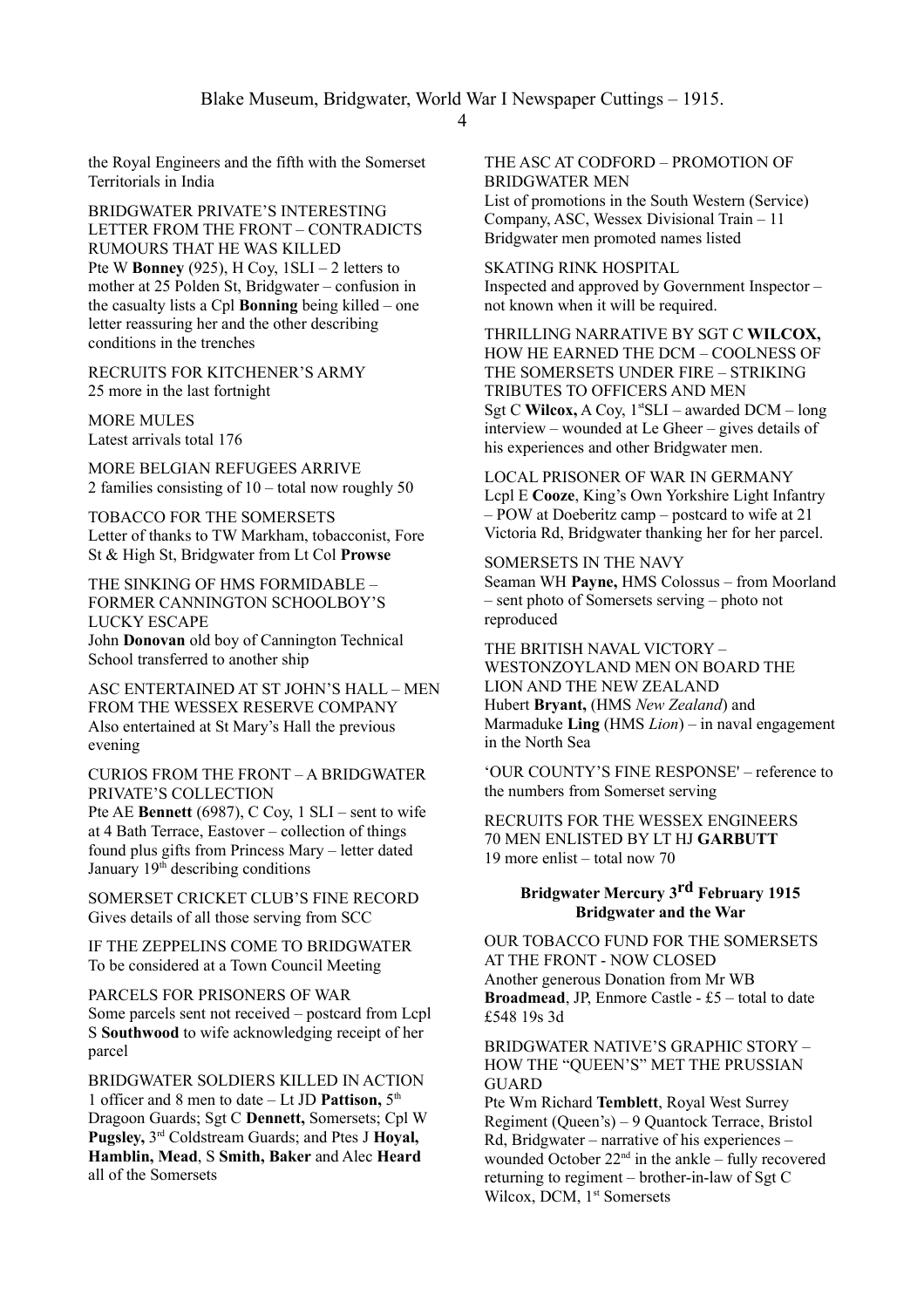Blake Museum, Bridgwater, World War I Newspaper Cuttings – 1915.

the Royal Engineers and the fifth with the Somerset Territorials in India

BRIDGWATER PRIVATE'S INTERESTING LETTER FROM THE FRONT – CONTRADICTS RUMOURS THAT HE WAS KILLED Pte W **Bonney** (925), H Coy, 1SLI – 2 letters to mother at 25 Polden St, Bridgwater – confusion in the casualty lists a Cpl **Bonning** being killed – one letter reassuring her and the other describing conditions in the trenches

RECRUITS FOR KITCHENER'S ARMY 25 more in the last fortnight

MORE MULES Latest arrivals total 176

MORE BELGIAN REFUGEES ARRIVE 2 families consisting of 10 – total now roughly 50

TOBACCO FOR THE SOMERSETS Letter of thanks to TW Markham, tobacconist, Fore St & High St, Bridgwater from Lt Col **Prowse**

THE SINKING OF HMS FORMIDABLE – FORMER CANNINGTON SCHOOLBOY'S LUCKY ESCAPE John **Donovan** old boy of Cannington Technical School transferred to another ship

ASC ENTERTAINED AT ST JOHN'S HALL – MEN FROM THE WESSEX RESERVE COMPANY Also entertained at St Mary's Hall the previous evening

CURIOS FROM THE FRONT – A BRIDGWATER PRIVATE'S COLLECTION Pte AE **Bennett** (6987), C Coy, 1 SLI – sent to wife

at 4 Bath Terrace, Eastover – collection of things found plus gifts from Princess Mary – letter dated January 19th describing conditions

SOMERSET CRICKET CLUB'S FINE RECORD Gives details of all those serving from SCC

IF THE ZEPPELINS COME TO BRIDGWATER To be considered at a Town Council Meeting

PARCELS FOR PRISONERS OF WAR Some parcels sent not received – postcard from Lcpl S **Southwood** to wife acknowledging receipt of her parcel

BRIDGWATER SOLDIERS KILLED IN ACTION 1 officer and 8 men to date – Lt JD **Pattison,** 5 th Dragoon Guards; Sgt C **Dennett,** Somersets; Cpl W **Pugsley,** 3 rd Coldstream Guards; and Ptes J **Hoyal, Hamblin, Mead**, S **Smith, Baker** and Alec **Heard** all of the Somersets

THE ASC AT CODFORD – PROMOTION OF BRIDGWATER MEN List of promotions in the South Western (Service) Company, ASC, Wessex Divisional Train – 11 Bridgwater men promoted names listed

SKATING RINK HOSPITAL Inspected and approved by Government Inspector – not known when it will be required.

THRILLING NARRATIVE BY SGT C **WILCOX,**  HOW HE EARNED THE DCM – COOLNESS OF THE SOMERSETS UNDER FIRE – STRIKING TRIBUTES TO OFFICERS AND MEN Sgt C **Wilcox,** A Coy,  $1^{st}$ SLI – awarded DCM – long interview – wounded at Le Gheer – gives details of his experiences and other Bridgwater men.

LOCAL PRISONER OF WAR IN GERMANY Lcpl E **Cooze**, King's Own Yorkshire Light Infantry – POW at Doeberitz camp – postcard to wife at 21 Victoria Rd, Bridgwater thanking her for her parcel.

SOMERSETS IN THE NAVY Seaman WH **Payne,** HMS Colossus – from Moorland – sent photo of Somersets serving – photo not reproduced

THE BRITISH NAVAL VICTORY – WESTONZOYLAND MEN ON BOARD THE LION AND THE NEW ZEALAND Hubert **Bryant,** (HMS *New Zealand*) and Marmaduke **Ling** (HMS *Lion*) – in naval engagement in the North Sea

'OUR COUNTY'S FINE RESPONSE' – reference to the numbers from Somerset serving

RECRUITS FOR THE WESSEX ENGINEERS 70 MEN ENLISTED BY LT HJ **GARBUTT** 19 more enlist – total now 70

# **Bridgwater Mercury 3rd February 1915 Bridgwater and the War**

OUR TOBACCO FUND FOR THE SOMERSETS AT THE FRONT - NOW CLOSED Another generous Donation from Mr WB **Broadmead**, JP, Enmore Castle - £5 – total to date £548 19s 3d

BRIDGWATER NATIVE'S GRAPHIC STORY – HOW THE "QUEEN'S" MET THE PRUSSIAN GUARD

Pte Wm Richard **Temblett**, Royal West Surrey Regiment (Queen's) – 9 Quantock Terrace, Bristol Rd, Bridgwater – narrative of his experiences – wounded October  $22<sup>nd</sup>$  in the ankle – fully recovered returning to regiment – brother-in-law of Sgt C Wilcox, DCM, 1<sup>st</sup> Somersets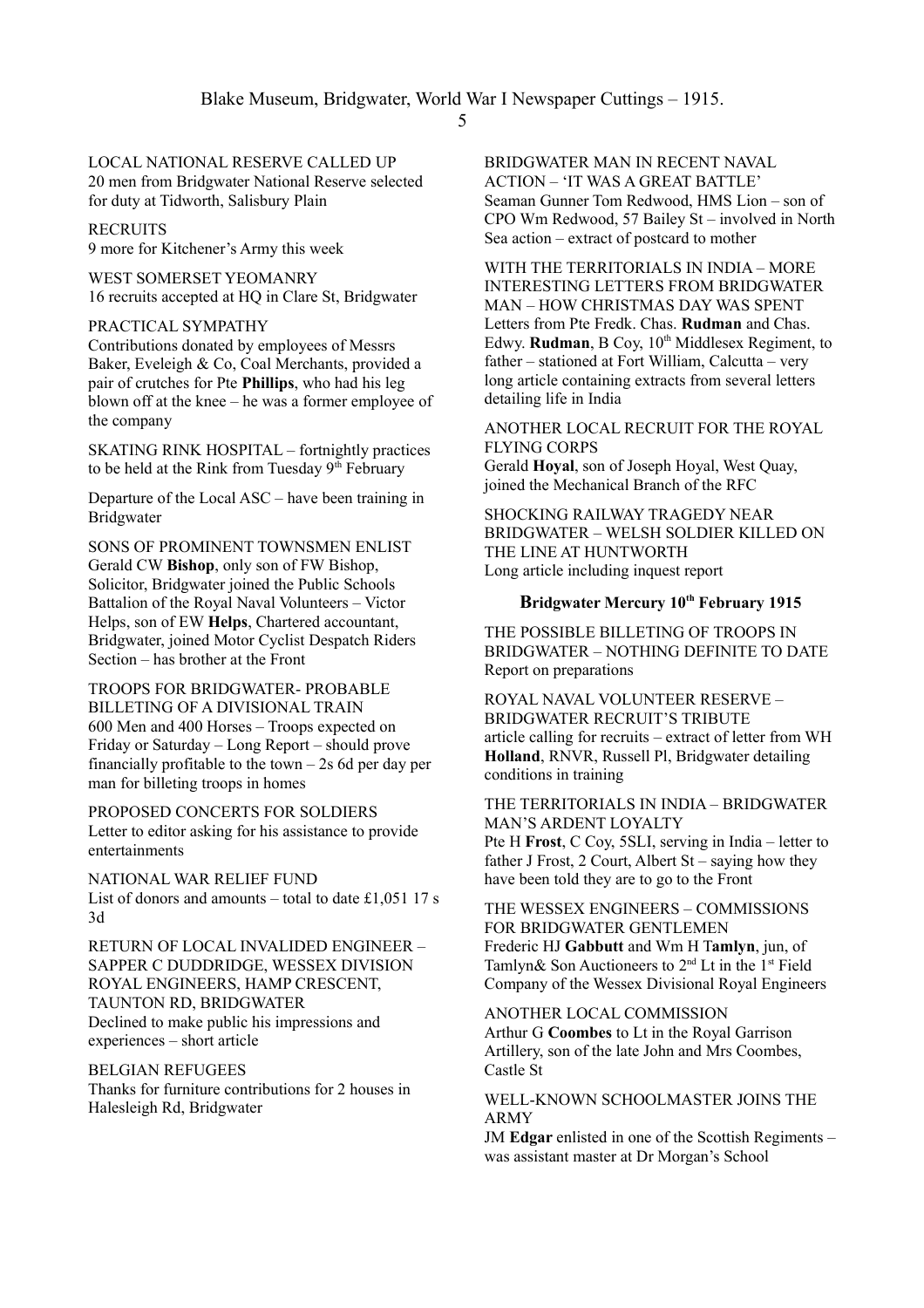# LOCAL NATIONAL RESERVE CALLED UP

20 men from Bridgwater National Reserve selected for duty at Tidworth, Salisbury Plain

# **RECRUITS**

9 more for Kitchener's Army this week

WEST SOMERSET YEOMANRY 16 recruits accepted at HQ in Clare St, Bridgwater

#### PRACTICAL SYMPATHY

Contributions donated by employees of Messrs Baker, Eveleigh & Co, Coal Merchants, provided a pair of crutches for Pte **Phillips**, who had his leg blown off at the knee – he was a former employee of the company

SKATING RINK HOSPITAL – fortnightly practices to be held at the Rink from Tuesday  $9<sup>th</sup>$  February

Departure of the Local ASC – have been training in Bridgwater

SONS OF PROMINENT TOWNSMEN ENLIST Gerald CW **Bishop**, only son of FW Bishop, Solicitor, Bridgwater joined the Public Schools Battalion of the Royal Naval Volunteers – Victor Helps, son of EW **Helps**, Chartered accountant, Bridgwater, joined Motor Cyclist Despatch Riders Section – has brother at the Front

TROOPS FOR BRIDGWATER- PROBABLE BILLETING OF A DIVISIONAL TRAIN 600 Men and 400 Horses – Troops expected on Friday or Saturday – Long Report – should prove financially profitable to the town  $-2s$  6d per day per man for billeting troops in homes

PROPOSED CONCERTS FOR SOLDIERS Letter to editor asking for his assistance to provide entertainments

NATIONAL WAR RELIEF FUND List of donors and amounts – total to date £1,051 17 s 3d

RETURN OF LOCAL INVALIDED ENGINEER – SAPPER C DUDDRIDGE, WESSEX DIVISION ROYAL ENGINEERS, HAMP CRESCENT, TAUNTON RD, BRIDGWATER Declined to make public his impressions and experiences – short article

#### BELGIAN REFUGEES

Thanks for furniture contributions for 2 houses in Halesleigh Rd, Bridgwater

BRIDGWATER MAN IN RECENT NAVAL ACTION – 'IT WAS A GREAT BATTLE' Seaman Gunner Tom Redwood, HMS Lion – son of CPO Wm Redwood, 57 Bailey St – involved in North Sea action – extract of postcard to mother

WITH THE TERRITORIALS IN INDIA – MORE INTERESTING LETTERS FROM BRIDGWATER MAN – HOW CHRISTMAS DAY WAS SPENT Letters from Pte Fredk. Chas. **Rudman** and Chas. Edwy. **Rudman**, B Coy, 10<sup>th</sup> Middlesex Regiment, to father – stationed at Fort William, Calcutta – very long article containing extracts from several letters detailing life in India

ANOTHER LOCAL RECRUIT FOR THE ROYAL FLYING CORPS Gerald **Hoyal**, son of Joseph Hoyal, West Quay, joined the Mechanical Branch of the RFC

SHOCKING RAILWAY TRAGEDY NEAR BRIDGWATER – WELSH SOLDIER KILLED ON THE LINE AT HUNTWORTH Long article including inquest report

## **Bridgwater Mercury 10th February 1915**

THE POSSIBLE BILLETING OF TROOPS IN BRIDGWATER – NOTHING DEFINITE TO DATE Report on preparations

ROYAL NAVAL VOLUNTEER RESERVE – BRIDGWATER RECRUIT'S TRIBUTE article calling for recruits – extract of letter from WH **Holland**, RNVR, Russell Pl, Bridgwater detailing conditions in training

THE TERRITORIALS IN INDIA – BRIDGWATER MAN'S ARDENT LOYALTY Pte H **Frost**, C Coy, 5SLI, serving in India – letter to father J Frost, 2 Court, Albert St – saying how they have been told they are to go to the Front

# THE WESSEX ENGINEERS – COMMISSIONS FOR BRIDGWATER GENTLEMEN Frederic HJ **Gabbutt** and Wm H T**amlyn**, jun, of

Tamlyn & Son Auctioneers to  $2<sup>nd</sup>$  Lt in the 1<sup>st</sup> Field Company of the Wessex Divisional Royal Engineers

ANOTHER LOCAL COMMISSION Arthur G **Coombes** to Lt in the Royal Garrison Artillery, son of the late John and Mrs Coombes, Castle St

## WELL-KNOWN SCHOOLMASTER JOINS THE ARMY

JM **Edgar** enlisted in one of the Scottish Regiments – was assistant master at Dr Morgan's School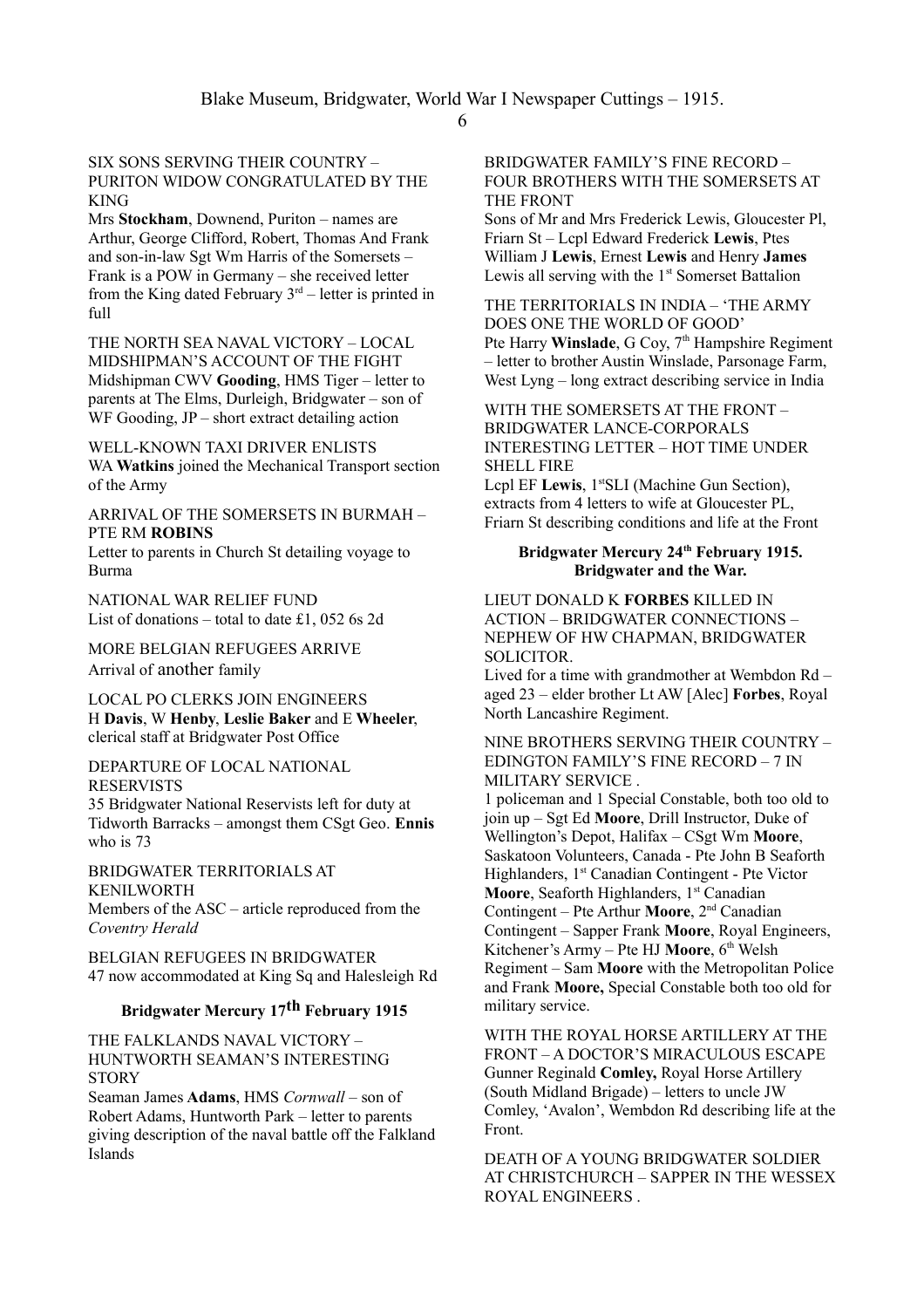## SIX SONS SERVING THEIR COUNTRY – PURITON WIDOW CONGRATULATED BY THE KING

Mrs **Stockham**, Downend, Puriton – names are Arthur, George Clifford, Robert, Thomas And Frank and son-in-law Sgt Wm Harris of the Somersets – Frank is a POW in Germany – she received letter from the King dated February  $3<sup>rd</sup>$  – letter is printed in full

THE NORTH SEA NAVAL VICTORY – LOCAL MIDSHIPMAN'S ACCOUNT OF THE FIGHT Midshipman CWV **Gooding**, HMS Tiger – letter to parents at The Elms, Durleigh, Bridgwater – son of WF Gooding, JP – short extract detailing action

WELL-KNOWN TAXI DRIVER ENLISTS WA **Watkins** joined the Mechanical Transport section of the Army

ARRIVAL OF THE SOMERSETS IN BURMAH – PTE RM **ROBINS**

Letter to parents in Church St detailing voyage to Burma

NATIONAL WAR RELIEF FUND List of donations – total to date £1, 052 6s 2d

MORE BELGIAN REFUGEES ARRIVE Arrival of another family

LOCAL PO CLERKS JOIN ENGINEERS H **Davis**, W **Henby**, **Leslie Baker** and E **Wheeler**, clerical staff at Bridgwater Post Office

DEPARTURE OF LOCAL NATIONAL **RESERVISTS** 

35 Bridgwater National Reservists left for duty at Tidworth Barracks – amongst them CSgt Geo. **Ennis** who is 73

BRIDGWATER TERRITORIALS AT KENILWORTH Members of the ASC – article reproduced from the *Coventry Herald*

BELGIAN REFUGEES IN BRIDGWATER 47 now accommodated at King Sq and Halesleigh Rd

# **Bridgwater Mercury 17th February 1915**

THE FALKLANDS NAVAL VICTORY – HUNTWORTH SEAMAN'S INTERESTING **STORY** 

Seaman James **Adams**, HMS *Cornwall* – son of Robert Adams, Huntworth Park – letter to parents giving description of the naval battle off the Falkland Islands

BRIDGWATER FAMILY'S FINE RECORD – FOUR BROTHERS WITH THE SOMERSETS AT THE FRONT

Sons of Mr and Mrs Frederick Lewis, Gloucester Pl, Friarn St – Lcpl Edward Frederick **Lewis**, Ptes William J **Lewis**, Ernest **Lewis** and Henry **James** Lewis all serving with the  $1<sup>st</sup>$  Somerset Battalion

THE TERRITORIALS IN INDIA – 'THE ARMY DOES ONE THE WORLD OF GOOD' Pte Harry **Winslade**, G Coy, 7<sup>th</sup> Hampshire Regiment – letter to brother Austin Winslade, Parsonage Farm, West Lyng – long extract describing service in India

WITH THE SOMERSETS AT THE FRONT – BRIDGWATER LANCE-CORPORALS INTERESTING LETTER – HOT TIME UNDER SHELL FIRE

Lcpl EF Lewis, 1<sup>st</sup>SLI (Machine Gun Section), extracts from 4 letters to wife at Gloucester PL, Friarn St describing conditions and life at the Front

# **Bridgwater Mercury 24th February 1915. Bridgwater and the War.**

LIEUT DONALD K **FORBES** KILLED IN ACTION – BRIDGWATER CONNECTIONS – NEPHEW OF HW CHAPMAN, BRIDGWATER SOLICITOR.

Lived for a time with grandmother at Wembdon Rd – aged 23 – elder brother Lt AW [Alec] **Forbes**, Royal North Lancashire Regiment.

## NINE BROTHERS SERVING THEIR COUNTRY – EDINGTON FAMILY'S FINE RECORD – 7 IN MILITARY SERVICE .

1 policeman and 1 Special Constable, both too old to join up – Sgt Ed **Moore**, Drill Instructor, Duke of Wellington's Depot, Halifax – CSgt Wm **Moore**, Saskatoon Volunteers, Canada - Pte John B Seaforth Highlanders, 1<sup>st</sup> Canadian Contingent - Pte Victor **Moore**, Seaforth Highlanders, 1<sup>st</sup> Canadian Contingent – Pte Arthur **Moore**, 2<sup>nd</sup> Canadian Contingent – Sapper Frank **Moore**, Royal Engineers, Kitchener's Army – Pte HJ **Moore**, 6<sup>th</sup> Welsh Regiment – Sam **Moore** with the Metropolitan Police and Frank **Moore,** Special Constable both too old for military service.

WITH THE ROYAL HORSE ARTILLERY AT THE FRONT – A DOCTOR'S MIRACULOUS ESCAPE Gunner Reginald **Comley,** Royal Horse Artillery (South Midland Brigade) – letters to uncle JW Comley, 'Avalon', Wembdon Rd describing life at the Front.

DEATH OF A YOUNG BRIDGWATER SOLDIER AT CHRISTCHURCH – SAPPER IN THE WESSEX ROYAL ENGINEERS .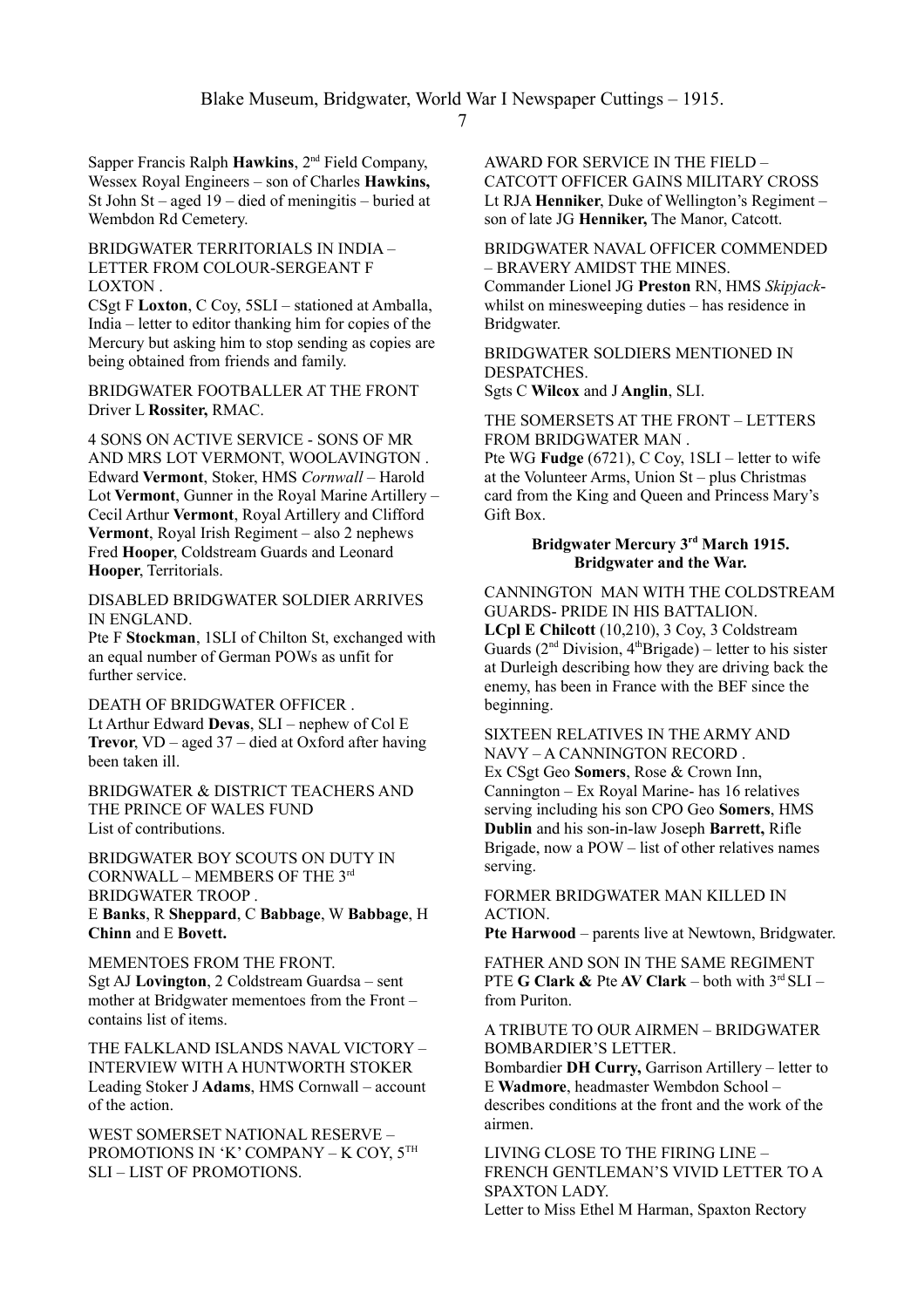Sapper Francis Ralph **Hawkins**, 2nd Field Company, Wessex Royal Engineers – son of Charles **Hawkins,** St John St – aged 19 – died of meningitis – buried at Wembdon Rd Cemetery.

BRIDGWATER TERRITORIALS IN INDIA – LETTER FROM COLOUR-SERGEANT F LOXTON .

CSgt F **Loxton**, C Coy, 5SLI – stationed at Amballa, India – letter to editor thanking him for copies of the Mercury but asking him to stop sending as copies are being obtained from friends and family.

BRIDGWATER FOOTBALLER AT THE FRONT Driver L **Rossiter,** RMAC.

4 SONS ON ACTIVE SERVICE - SONS OF MR AND MRS LOT VERMONT, WOOLAVINGTON . Edward **Vermont**, Stoker, HMS *Cornwall* – Harold Lot **Vermont**, Gunner in the Royal Marine Artillery – Cecil Arthur **Vermont**, Royal Artillery and Clifford **Vermont**, Royal Irish Regiment – also 2 nephews Fred **Hooper**, Coldstream Guards and Leonard **Hooper**, Territorials.

DISABLED BRIDGWATER SOLDIER ARRIVES IN ENGLAND.

Pte F **Stockman**, 1SLI of Chilton St, exchanged with an equal number of German POWs as unfit for further service.

DEATH OF BRIDGWATER OFFICER . Lt Arthur Edward **Devas**, SLI – nephew of Col E **Trevor**, VD – aged 37 – died at Oxford after having been taken ill.

BRIDGWATER & DISTRICT TEACHERS AND THE PRINCE OF WALES FUND List of contributions.

BRIDGWATER BOY SCOUTS ON DUTY IN CORNWALL – MEMBERS OF THE 3rd BRIDGWATER TROOP . E **Banks**, R **Sheppard**, C **Babbage**, W **Babbage**, H **Chinn** and E **Bovett.**

MEMENTOES FROM THE FRONT. Sgt AJ **Lovington**, 2 Coldstream Guardsa – sent mother at Bridgwater mementoes from the Front – contains list of items.

THE FALKLAND ISLANDS NAVAL VICTORY – INTERVIEW WITH A HUNTWORTH STOKER Leading Stoker J **Adams**, HMS Cornwall – account of the action.

WEST SOMERSET NATIONAL RESERVE – PROMOTIONS IN 'K' COMPANY - K COY,  $5^{TH}$ SLI – LIST OF PROMOTIONS.

AWARD FOR SERVICE IN THE FIELD – CATCOTT OFFICER GAINS MILITARY CROSS Lt RJA **Henniker**, Duke of Wellington's Regiment – son of late JG **Henniker,** The Manor, Catcott.

BRIDGWATER NAVAL OFFICER COMMENDED – BRAVERY AMIDST THE MINES. Commander Lionel JG **Preston** RN, HMS *Skipjack*whilst on minesweeping duties – has residence in Bridgwater.

BRIDGWATER SOLDIERS MENTIONED IN DESPATCHES.

Sgts C **Wilcox** and J **Anglin**, SLI.

THE SOMERSETS AT THE FRONT – LETTERS FROM BRIDGWATER MAN . Pte WG **Fudge** (6721), C Coy, 1SLI – letter to wife at the Volunteer Arms, Union St – plus Christmas card from the King and Queen and Princess Mary's Gift Box.

## **Bridgwater Mercury 3rd March 1915. Bridgwater and the War.**

CANNINGTON MAN WITH THE COLDSTREAM GUARDS- PRIDE IN HIS BATTALION. **LCpl E Chilcott** (10,210), 3 Coy, 3 Coldstream Guards ( $2<sup>nd</sup> Division, 4<sup>th</sup>Brigade$ ) – letter to his sister at Durleigh describing how they are driving back the enemy, has been in France with the BEF since the beginning.

SIXTEEN RELATIVES IN THE ARMY AND NAVY – A CANNINGTON RECORD . Ex CSgt Geo **Somers**, Rose & Crown Inn, Cannington – Ex Royal Marine- has 16 relatives serving including his son CPO Geo **Somers**, HMS **Dublin** and his son-in-law Joseph **Barrett,** Rifle

Brigade, now a POW – list of other relatives names serving.

FORMER BRIDGWATER MAN KILLED IN ACTION.

**Pte Harwood** – parents live at Newtown, Bridgwater.

FATHER AND SON IN THE SAME REGIMENT PTE **G Clark & Pte AV Clark** – both with  $3<sup>rd</sup> SLI$  – from Puriton.

## A TRIBUTE TO OUR AIRMEN – BRIDGWATER BOMBARDIER'S LETTER.

Bombardier **DH Curry,** Garrison Artillery – letter to E **Wadmore**, headmaster Wembdon School – describes conditions at the front and the work of the airmen.

LIVING CLOSE TO THE FIRING LINE – FRENCH GENTLEMAN'S VIVID LETTER TO A SPAXTON LADY. Letter to Miss Ethel M Harman, Spaxton Rectory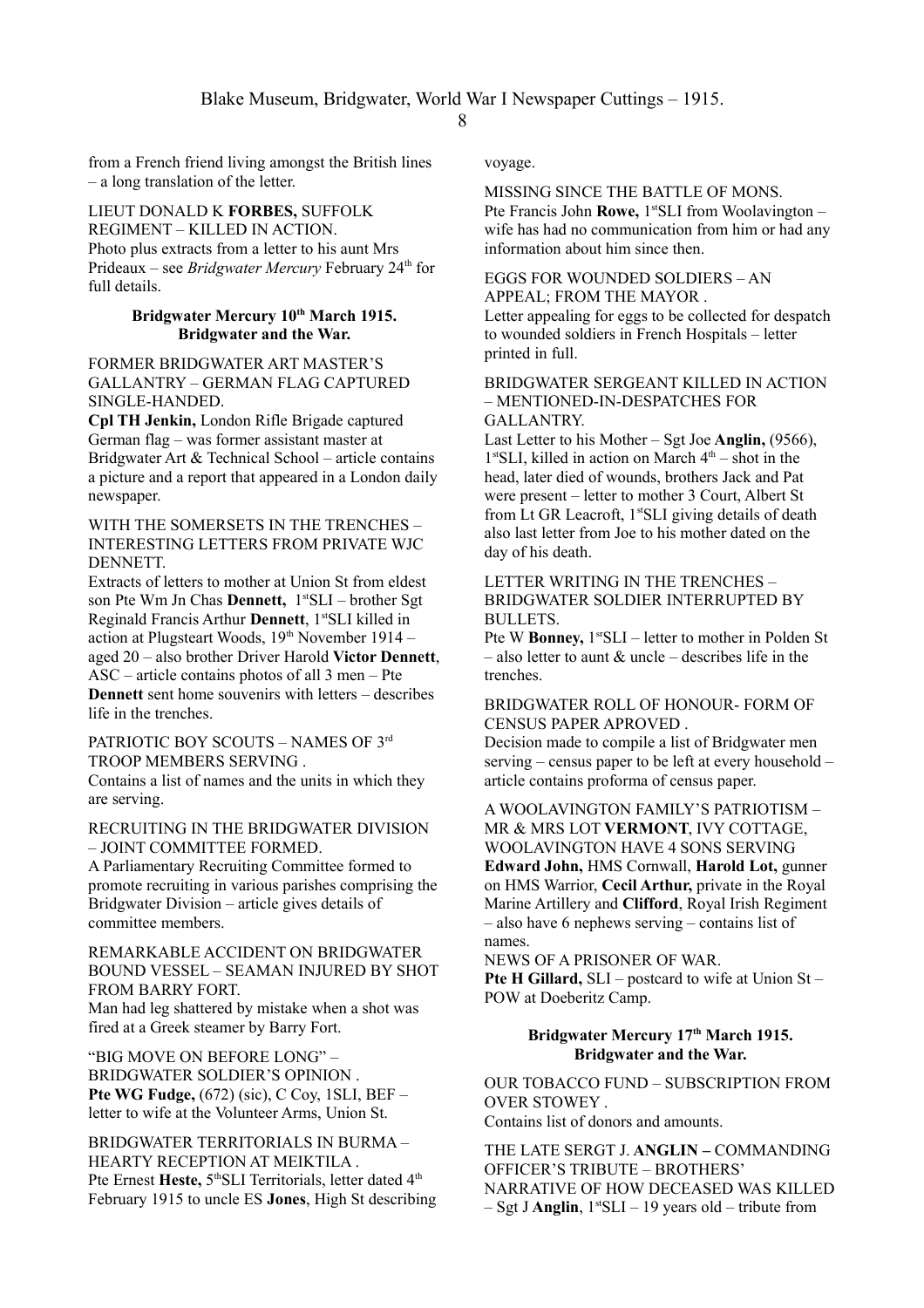from a French friend living amongst the British lines – a long translation of the letter.

# LIEUT DONALD K **FORBES,** SUFFOLK

REGIMENT – KILLED IN ACTION. Photo plus extracts from a letter to his aunt Mrs Prideaux – see *Bridgwater Mercury* February 24<sup>th</sup> for full details.

# **Bridgwater Mercury 10th March 1915. Bridgwater and the War.**

FORMER BRIDGWATER ART MASTER'S GALLANTRY – GERMAN FLAG CAPTURED SINGLE-HANDED.

**Cpl TH Jenkin,** London Rifle Brigade captured German flag – was former assistant master at Bridgwater Art & Technical School – article contains a picture and a report that appeared in a London daily newspaper.

#### WITH THE SOMERSETS IN THE TRENCHES – INTERESTING LETTERS FROM PRIVATE WJC DENNETT.

Extracts of letters to mother at Union St from eldest son Pte Wm Jn Chas **Dennett**,  $1^{st}$ SLI – brother Sgt Reginald Francis Arthur **Dennett**, 1<sup>st</sup>SLI killed in action at Plugsteart Woods, 19th November 1914 – aged 20 – also brother Driver Harold **Victor Dennett**, ASC – article contains photos of all 3 men – Pte **Dennett** sent home souvenirs with letters – describes life in the trenches.

#### PATRIOTIC BOY SCOUTS – NAMES OF 3rd TROOP MEMBERS SERVING .

Contains a list of names and the units in which they are serving.

RECRUITING IN THE BRIDGWATER DIVISION – JOINT COMMITTEE FORMED.

A Parliamentary Recruiting Committee formed to promote recruiting in various parishes comprising the Bridgwater Division – article gives details of committee members.

## REMARKABLE ACCIDENT ON BRIDGWATER BOUND VESSEL – SEAMAN INJURED BY SHOT FROM BARRY FORT.

Man had leg shattered by mistake when a shot was fired at a Greek steamer by Barry Fort.

"BIG MOVE ON BEFORE LONG" – BRIDGWATER SOLDIER'S OPINION . **Pte WG Fudge,** (672) (sic), C Coy, 1SLI, BEF – letter to wife at the Volunteer Arms, Union St.

BRIDGWATER TERRITORIALS IN BURMA – HEARTY RECEPTION AT MEIKTILA . Pte Ernest Heste, 5<sup>th</sup>SLI Territorials, letter dated 4<sup>th</sup> February 1915 to uncle ES **Jones**, High St describing voyage.

# MISSING SINCE THE BATTLE OF MONS.

Pte Francis John Rowe, 1<sup>st</sup>SLI from Woolavington wife has had no communication from him or had any information about him since then.

#### EGGS FOR WOUNDED SOLDIERS – AN APPEAL; FROM THE MAYOR .

Letter appealing for eggs to be collected for despatch to wounded soldiers in French Hospitals – letter printed in full.

#### BRIDGWATER SERGEANT KILLED IN ACTION – MENTIONED-IN-DESPATCHES FOR GALLANTRY.

Last Letter to his Mother – Sgt Joe **Anglin,** (9566),  $1$ <sup>st</sup>SLI, killed in action on March  $4<sup>th</sup>$  – shot in the head, later died of wounds, brothers Jack and Pat were present – letter to mother 3 Court, Albert St from Lt GR Leacroft,  $1^{\text{st}}$ SLI giving details of death also last letter from Joe to his mother dated on the day of his death.

## LETTER WRITING IN THE TRENCHES – BRIDGWATER SOLDIER INTERRUPTED BY **BULLETS**

Pte W Bonney, 1<sup>sr</sup>SLI – letter to mother in Polden St – also letter to aunt  $\&$  uncle – describes life in the trenches.

#### BRIDGWATER ROLL OF HONOUR- FORM OF CENSUS PAPER APROVED .

Decision made to compile a list of Bridgwater men serving – census paper to be left at every household – article contains proforma of census paper.

#### A WOOLAVINGTON FAMILY'S PATRIOTISM – MR & MRS LOT **VERMONT**, IVY COTTAGE, WOOLAVINGTON HAVE 4 SONS SERVING **Edward John,** HMS Cornwall, **Harold Lot,** gunner on HMS Warrior, **Cecil Arthur,** private in the Royal Marine Artillery and **Clifford**, Royal Irish Regiment – also have 6 nephews serving – contains list of names.

NEWS OF A PRISONER OF WAR.

**Pte H Gillard,** SLI – postcard to wife at Union St – POW at Doeberitz Camp.

## **Bridgwater Mercury 17th March 1915. Bridgwater and the War.**

OUR TOBACCO FUND – SUBSCRIPTION FROM OVER STOWEY . Contains list of donors and amounts.

THE LATE SERGT J. **ANGLIN –** COMMANDING OFFICER'S TRIBUTE – BROTHERS' NARRATIVE OF HOW DECEASED WAS KILLED  $-$  Sgt J **Anglin**,  $1^{st}$ SLI – 19 years old – tribute from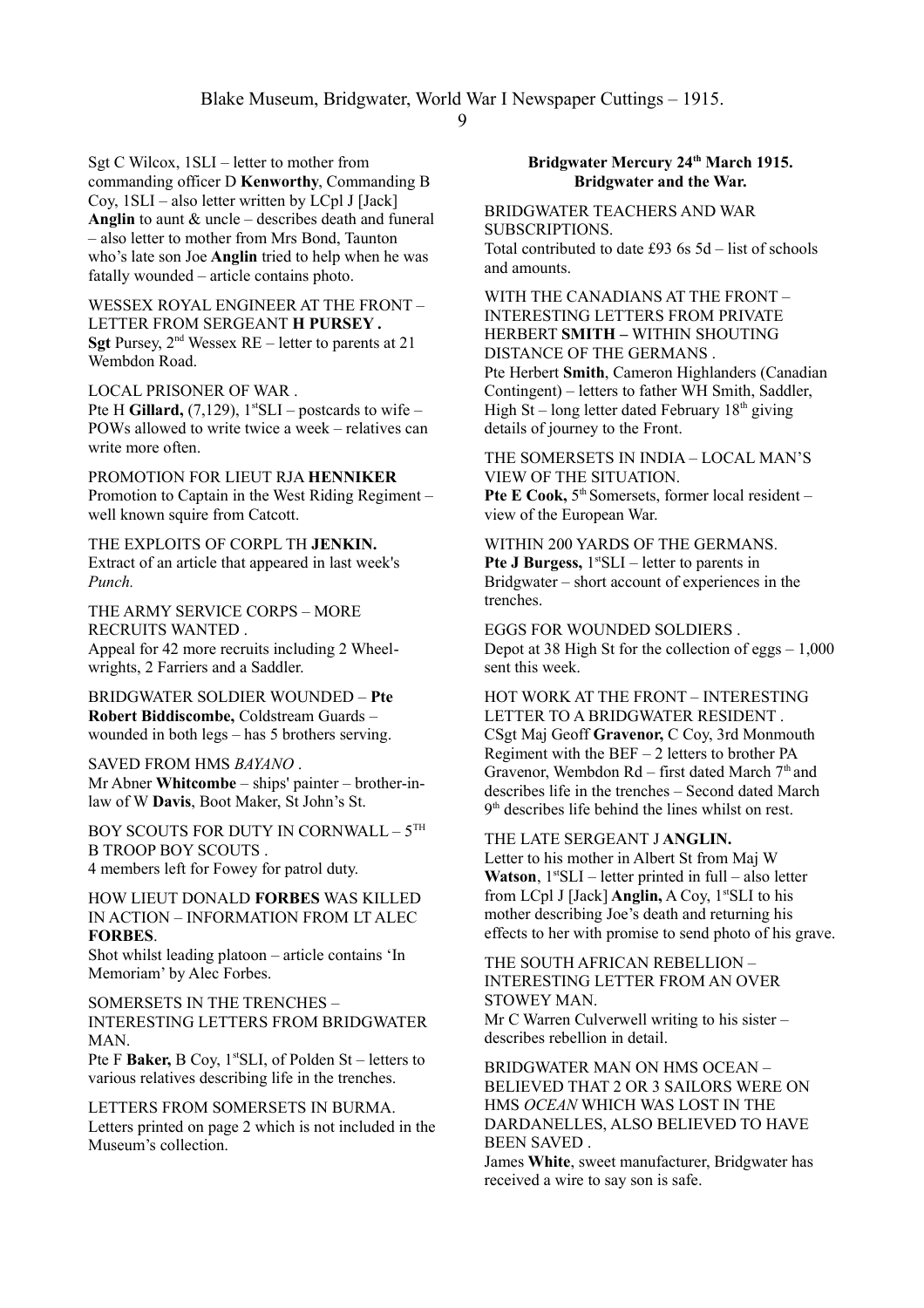9

Sgt C Wilcox, 1SLI – letter to mother from commanding officer D **Kenworthy**, Commanding B Coy, 1SLI – also letter written by LCpl J [Jack] **Anglin** to aunt & uncle – describes death and funeral – also letter to mother from Mrs Bond, Taunton who's late son Joe **Anglin** tried to help when he was fatally wounded – article contains photo.

WESSEX ROYAL ENGINEER AT THE FRONT – LETTER FROM SERGEANT **H PURSEY . Sgt** Pursey,  $2^{nd}$  Wessex  $RE -$  letter to parents at 21 Wembdon Road.

LOCAL PRISONER OF WAR .

Pte H **Gillard,**  $(7,129)$ ,  $1$ <sup>st</sup>SLI – postcards to wife – POWs allowed to write twice a week – relatives can write more often.

PROMOTION FOR LIEUT RJA **HENNIKER**  Promotion to Captain in the West Riding Regiment – well known squire from Catcott.

THE EXPLOITS OF CORPL TH **JENKIN.** Extract of an article that appeared in last week's *Punch.*

THE ARMY SERVICE CORPS – MORE RECRUITS WANTED . Appeal for 42 more recruits including 2 Wheel-

wrights, 2 Farriers and a Saddler.

BRIDGWATER SOLDIER WOUNDED – **Pte Robert Biddiscombe,** Coldstream Guards – wounded in both legs – has 5 brothers serving.

SAVED FROM HMS *BAYANO* . Mr Abner **Whitcombe** – ships' painter – brother-inlaw of W **Davis**, Boot Maker, St John's St.

BOY SCOUTS FOR DUTY IN CORNWALL –  $5<sup>TH</sup>$ B TROOP BOY SCOUTS . 4 members left for Fowey for patrol duty.

HOW LIEUT DONALD **FORBES** WAS KILLED IN ACTION – INFORMATION FROM LT ALEC **FORBES**.

Shot whilst leading platoon – article contains 'In Memoriam' by Alec Forbes.

SOMERSETS IN THE TRENCHES – INTERESTING LETTERS FROM BRIDGWATER MAN.

Pte F **Baker, B** Coy, 1<sup>st</sup>SLI, of Polden St – letters to various relatives describing life in the trenches.

LETTERS FROM SOMERSETS IN BURMA. Letters printed on page 2 which is not included in the Museum's collection.

## **Bridgwater Mercury 24th March 1915. Bridgwater and the War.**

BRIDGWATER TEACHERS AND WAR SUBSCRIPTIONS. Total contributed to date £93 6s 5d – list of schools and amounts.

WITH THE CANADIANS AT THE FRONT – INTERESTING LETTERS FROM PRIVATE HERBERT **SMITH –** WITHIN SHOUTING DISTANCE OF THE GERMANS . Pte Herbert **Smith**, Cameron Highlanders (Canadian

Contingent) – letters to father WH Smith, Saddler, High St – long letter dated February  $18<sup>th</sup>$  giving details of journey to the Front.

THE SOMERSETS IN INDIA – LOCAL MAN'S VIEW OF THE SITUATION. Pte E Cook, 5<sup>th</sup> Somersets, former local resident – view of the European War.

WITHIN 200 YARDS OF THE GERMANS. **Pte J Burgess,**  $1^{st}$ SLI – letter to parents in Bridgwater – short account of experiences in the trenches.

EGGS FOR WOUNDED SOLDIERS . Depot at 38 High St for the collection of eggs  $-1,000$ sent this week.

HOT WORK AT THE FRONT – INTERESTING LETTER TO A BRIDGWATER RESIDENT CSgt Maj Geoff **Gravenor,** C Coy, 3rd Monmouth Regiment with the BEF – 2 letters to brother PA Gravenor, Wembdon  $Rd$  – first dated March  $7<sup>th</sup>$  and describes life in the trenches – Second dated March 9<sup>th</sup> describes life behind the lines whilst on rest.

THE LATE SERGEANT J **ANGLIN.** Letter to his mother in Albert St from Maj W **Watson**,  $1^{st}$ SLI – letter printed in full – also letter from LCpl J [Jack] **Anglin,** A Coy, 1<sup>st</sup>SLI to his mother describing Joe's death and returning his effects to her with promise to send photo of his grave.

THE SOUTH AFRICAN REBELLION – INTERESTING LETTER FROM AN OVER STOWEY MAN.

Mr C Warren Culverwell writing to his sister – describes rebellion in detail.

BRIDGWATER MAN ON HMS OCEAN – BELIEVED THAT 2 OR 3 SAILORS WERE ON HMS *OCEAN* WHICH WAS LOST IN THE DARDANELLES, ALSO BELIEVED TO HAVE BEEN SAVED .

James **White**, sweet manufacturer, Bridgwater has received a wire to say son is safe.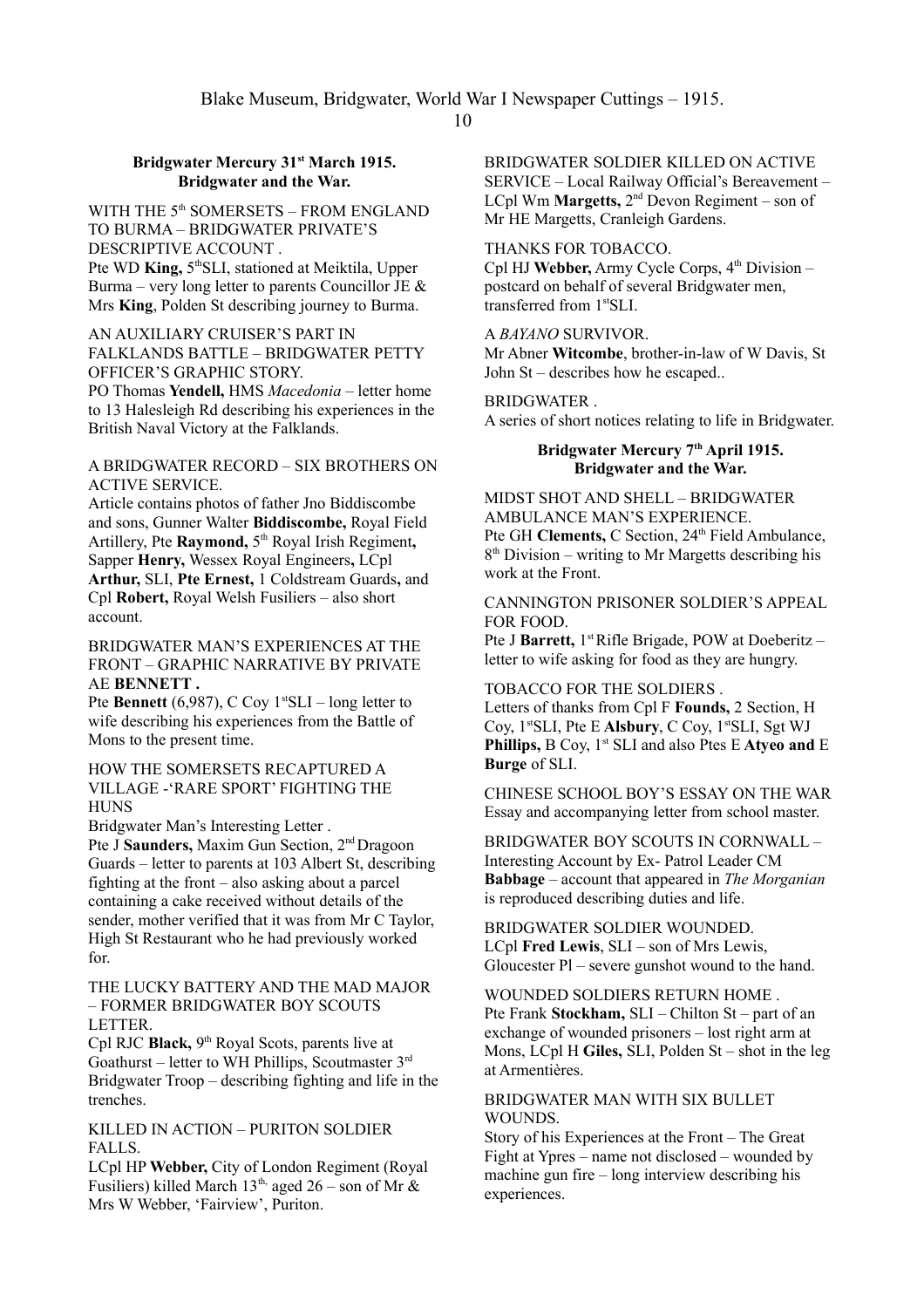#### **Bridgwater Mercury 31st March 1915. Bridgwater and the War.**

WITH THE 5<sup>th</sup> SOMERSETS – FROM ENGLAND TO BURMA – BRIDGWATER PRIVATE'S DESCRIPTIVE ACCOUNT .

Pte WD King, 5<sup>th</sup>SLI, stationed at Meiktila, Upper Burma – very long letter to parents Councillor JE  $\&$ Mrs **King**, Polden St describing journey to Burma.

#### AN AUXILIARY CRUISER'S PART IN FALKLANDS BATTLE – BRIDGWATER PETTY OFFICER'S GRAPHIC STORY.

PO Thomas **Yendell,** HMS *Macedonia* – letter home to 13 Halesleigh Rd describing his experiences in the British Naval Victory at the Falklands.

#### A BRIDGWATER RECORD – SIX BROTHERS ON ACTIVE SERVICE.

Article contains photos of father Jno Biddiscombe and sons, Gunner Walter **Biddiscombe,** Royal Field Artillery, Pte Raymond, 5<sup>th</sup> Royal Irish Regiment, Sapper **Henry,** Wessex Royal Engineers**,** LCpl **Arthur,** SLI, **Pte Ernest,** 1 Coldstream Guards**,** and Cpl **Robert,** Royal Welsh Fusiliers – also short account.

BRIDGWATER MAN'S EXPERIENCES AT THE FRONT – GRAPHIC NARRATIVE BY PRIVATE AE **BENNETT .**

Pte **Bennett** (6,987), C Coy  $1$ <sup>st</sup>SLI – long letter to wife describing his experiences from the Battle of Mons to the present time.

#### HOW THE SOMERSETS RECAPTURED A VILLAGE -'RARE SPORT' FIGHTING THE **HUNS**

Bridgwater Man's Interesting Letter .

Pte J **Saunders,** Maxim Gun Section, 2nd Dragoon Guards – letter to parents at 103 Albert St, describing fighting at the front – also asking about a parcel containing a cake received without details of the sender, mother verified that it was from Mr C Taylor, High St Restaurant who he had previously worked for.

# THE LUCKY BATTERY AND THE MAD MAJOR – FORMER BRIDGWATER BOY SCOUTS LETTER.

Cpl RJC **Black**, 9<sup>th</sup> Royal Scots, parents live at Goathurst – letter to WH Phillips, Scoutmaster  $3<sup>rd</sup>$ Bridgwater Troop – describing fighting and life in the trenches.

## KILLED IN ACTION – PURITON SOLDIER FALLS.

LCpl HP **Webber,** City of London Regiment (Royal Fusiliers) killed March 13<sup>th,</sup> aged 26 – son of Mr & Mrs W Webber, 'Fairview', Puriton.

# BRIDGWATER SOLDIER KILLED ON ACTIVE

SERVICE – Local Railway Official's Bereavement – LCpl Wm **Margetts**, 2<sup>nd</sup> Devon Regiment – son of Mr HE Margetts, Cranleigh Gardens.

# THANKS FOR TOBACCO.

Cpl HJ Webber, Army Cycle Corps, 4<sup>th</sup> Division – postcard on behalf of several Bridgwater men, transferred from 1<sup>st</sup>SLI.

## A *BAYANO* SURVIVOR.

Mr Abner **Witcombe**, brother-in-law of W Davis, St John St – describes how he escaped..

#### BRIDGWATER .

A series of short notices relating to life in Bridgwater.

## **Bridgwater Mercury 7th April 1915. Bridgwater and the War.**

## MIDST SHOT AND SHELL – BRIDGWATER AMBULANCE MAN'S EXPERIENCE.

Pte GH Clements, C Section, 24<sup>th</sup> Field Ambulance, 8 th Division – writing to Mr Margetts describing his work at the Front.

CANNINGTON PRISONER SOLDIER'S APPEAL FOR FOOD.

Pte J Barrett, 1<sup>st</sup> Rifle Brigade, POW at Doeberitz letter to wife asking for food as they are hungry.

TOBACCO FOR THE SOLDIERS . Letters of thanks from Cpl F **Founds,** 2 Section, H Coy, 1<sup>st</sup>SLI, Pte E Alsbury, C Coy, 1<sup>st</sup>SLI, Sgt WJ **Phillips, B Coy, 1st SLI and also Ptes E Atyeo and E Burge** of SLI.

CHINESE SCHOOL BOY'S ESSAY ON THE WAR Essay and accompanying letter from school master.

BRIDGWATER BOY SCOUTS IN CORNWALL – Interesting Account by Ex- Patrol Leader CM **Babbage** – account that appeared in *The Morganian*  is reproduced describing duties and life.

BRIDGWATER SOLDIER WOUNDED. LCpl **Fred Lewis**, SLI – son of Mrs Lewis, Gloucester Pl – severe gunshot wound to the hand.

WOUNDED SOLDIERS RETURN HOME . Pte Frank **Stockham,** SLI – Chilton St – part of an exchange of wounded prisoners – lost right arm at Mons, LCpl H **Giles,** SLI, Polden St – shot in the leg at Armentières.

### BRIDGWATER MAN WITH SIX BULLET WOUNDS.

Story of his Experiences at the Front – The Great Fight at Ypres – name not disclosed – wounded by machine gun fire – long interview describing his experiences.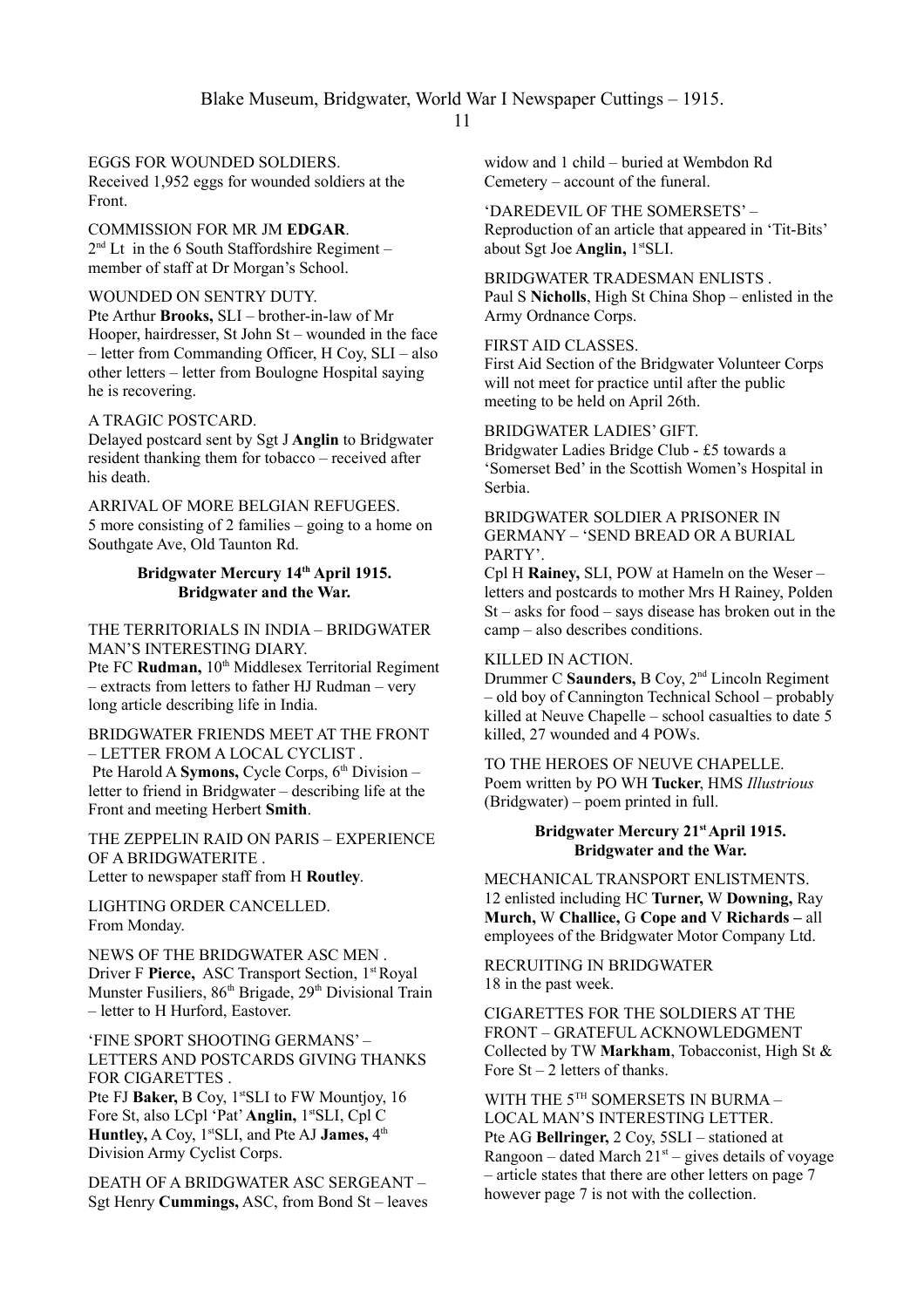11

# EGGS FOR WOUNDED SOLDIERS.

Received 1,952 eggs for wounded soldiers at the Front.

COMMISSION FOR MR JM **EDGAR**.  $2<sup>nd</sup>$  Lt in the 6 South Staffordshire Regiment – member of staff at Dr Morgan's School.

## WOUNDED ON SENTRY DUTY.

Pte Arthur **Brooks,** SLI – brother-in-law of Mr Hooper, hairdresser, St John St – wounded in the face – letter from Commanding Officer, H Coy, SLI – also other letters – letter from Boulogne Hospital saying he is recovering.

# A TRAGIC POSTCARD.

Delayed postcard sent by Sgt J **Anglin** to Bridgwater resident thanking them for tobacco – received after his death.

ARRIVAL OF MORE BELGIAN REFUGEES. 5 more consisting of 2 families – going to a home on Southgate Ave, Old Taunton Rd.

## **Bridgwater Mercury 14th April 1915. Bridgwater and the War.**

### THE TERRITORIALS IN INDIA – BRIDGWATER MAN'S INTERESTING DIARY.

Pte FC **Rudman,** 10<sup>th</sup> Middlesex Territorial Regiment – extracts from letters to father HJ Rudman – very long article describing life in India.

BRIDGWATER FRIENDS MEET AT THE FRONT – LETTER FROM A LOCAL CYCLIST . Pte Harold A **Symons,** Cycle Corps, 6<sup>th</sup> Division – letter to friend in Bridgwater – describing life at the Front and meeting Herbert **Smith**.

THE ZEPPELIN RAID ON PARIS – EXPERIENCE OF A BRIDGWATERITE .

Letter to newspaper staff from H **Routley**.

LIGHTING ORDER CANCELLED. From Monday.

NEWS OF THE BRIDGWATER ASC MEN . Driver F Pierce, ASC Transport Section, 1<sup>st</sup> Royal Munster Fusiliers, 86<sup>th</sup> Brigade, 29<sup>th</sup> Divisional Train – letter to H Hurford, Eastover.

'FINE SPORT SHOOTING GERMANS' – LETTERS AND POSTCARDS GIVING THANKS FOR CIGARETTES .

Pte FJ Baker, **B** Coy, 1<sup>st</sup>SLI to FW Mountjoy, 16 Fore St, also LCpl 'Pat' Anglin, 1<sup>st</sup>SLI, Cpl C Huntley, A Coy, 1<sup>st</sup>SLI, and Pte AJ James, 4<sup>th</sup> Division Army Cyclist Corps.

DEATH OF A BRIDGWATER ASC SERGEANT – Sgt Henry **Cummings,** ASC, from Bond St – leaves widow and 1 child – buried at Wembdon Rd Cemetery – account of the funeral.

'DAREDEVIL OF THE SOMERSETS' – Reproduction of an article that appeared in 'Tit-Bits' about Sgt Joe Anglin, 1<sup>st</sup>SLI.

BRIDGWATER TRADESMAN ENLISTS . Paul S **Nicholls**, High St China Shop – enlisted in the Army Ordnance Corps.

### FIRST AID CLASSES.

First Aid Section of the Bridgwater Volunteer Corps will not meet for practice until after the public meeting to be held on April 26th.

#### BRIDGWATER LADIES' GIFT.

Bridgwater Ladies Bridge Club - £5 towards a 'Somerset Bed' in the Scottish Women's Hospital in Serbia.

## BRIDGWATER SOLDIER A PRISONER IN GERMANY – 'SEND BREAD OR A BURIAL PARTY'.

Cpl H **Rainey,** SLI, POW at Hameln on the Weser – letters and postcards to mother Mrs H Rainey, Polden  $St - asks$  for food – says disease has broken out in the camp – also describes conditions.

#### KILLED IN ACTION.

Drummer C **Saunders,** B Coy, 2nd Lincoln Regiment – old boy of Cannington Technical School – probably killed at Neuve Chapelle – school casualties to date 5 killed, 27 wounded and 4 POWs.

TO THE HEROES OF NEUVE CHAPELLE. Poem written by PO WH **Tucker**, HMS *Illustrious* (Bridgwater) – poem printed in full.

## **Bridgwater Mercury 21st April 1915. Bridgwater and the War.**

MECHANICAL TRANSPORT ENLISTMENTS. 12 enlisted including HC **Turner,** W **Downing,** Ray **Murch,** W **Challice,** G **Cope and** V **Richards –** all employees of the Bridgwater Motor Company Ltd.

RECRUITING IN BRIDGWATER 18 in the past week.

CIGARETTES FOR THE SOLDIERS AT THE FRONT – GRATEFUL ACKNOWLEDGMENT Collected by TW **Markham**, Tobacconist, High St & Fore  $St - 2$  letters of thanks.

WITH THE 5TH SOMERSETS IN BURMA-LOCAL MAN'S INTERESTING LETTER. Pte AG **Bellringer,** 2 Coy, 5SLI – stationed at Rangoon – dated March  $21<sup>st</sup>$  – gives details of voyage – article states that there are other letters on page 7 however page 7 is not with the collection.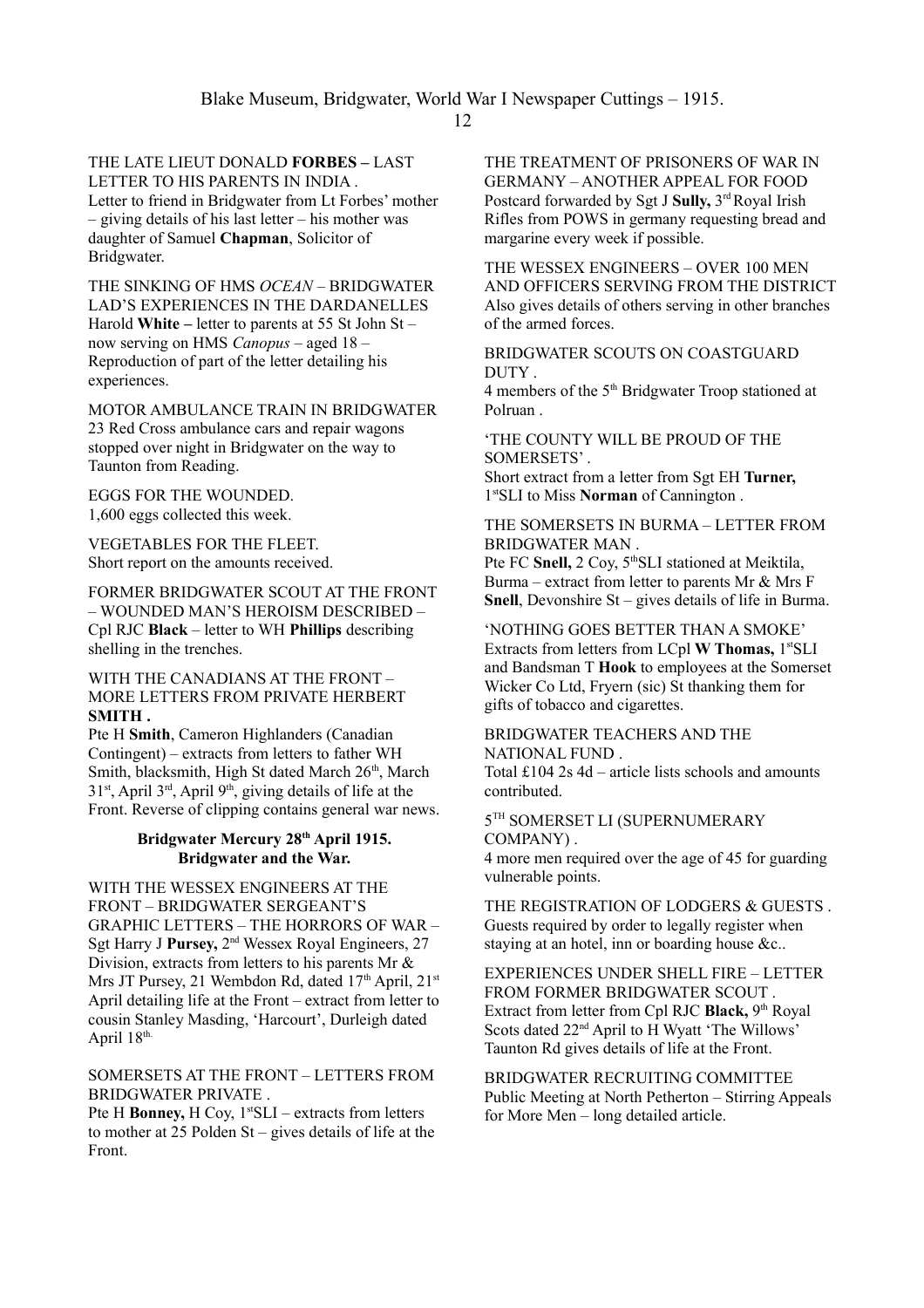THE LATE LIEUT DONALD **FORBES –** LAST LETTER TO HIS PARENTS IN INDIA . Letter to friend in Bridgwater from Lt Forbes' mother – giving details of his last letter – his mother was daughter of Samuel **Chapman**, Solicitor of Bridgwater.

THE SINKING OF HMS *OCEAN* – BRIDGWATER LAD'S EXPERIENCES IN THE DARDANELLES Harold **White –** letter to parents at 55 St John St – now serving on HMS *Canopus* – aged 18 – Reproduction of part of the letter detailing his experiences.

MOTOR AMBULANCE TRAIN IN BRIDGWATER 23 Red Cross ambulance cars and repair wagons stopped over night in Bridgwater on the way to Taunton from Reading.

EGGS FOR THE WOUNDED. 1,600 eggs collected this week.

VEGETABLES FOR THE FLEET. Short report on the amounts received.

FORMER BRIDGWATER SCOUT AT THE FRONT – WOUNDED MAN'S HEROISM DESCRIBED – Cpl RJC **Black** – letter to WH **Phillips** describing shelling in the trenches.

WITH THE CANADIANS AT THE FRONT – MORE LETTERS FROM PRIVATE HERBERT **SMITH .**

Pte H **Smith**, Cameron Highlanders (Canadian Contingent) – extracts from letters to father WH Smith, blacksmith, High St dated March 26<sup>th</sup>, March  $31<sup>st</sup>$ , April  $3<sup>rd</sup>$ , April  $9<sup>th</sup>$ , giving details of life at the Front. Reverse of clipping contains general war news.

#### **Bridgwater Mercury 28th April 1915. Bridgwater and the War.**

WITH THE WESSEX ENGINEERS AT THE FRONT – BRIDGWATER SERGEANT'S GRAPHIC LETTERS – THE HORRORS OF WAR – Sgt Harry J Pursey, 2<sup>nd</sup> Wessex Royal Engineers, 27 Division, extracts from letters to his parents Mr & Mrs JT Pursey, 21 Wembdon Rd, dated  $17<sup>th</sup>$  April,  $21<sup>st</sup>$ April detailing life at the Front – extract from letter to cousin Stanley Masding, 'Harcourt', Durleigh dated April 18<sup>th.</sup>

SOMERSETS AT THE FRONT – LETTERS FROM BRIDGWATER PRIVATE .

Pte H **Bonney,**  $H \text{Coy}$ ,  $1^{\text{st}} SLI$  – extracts from letters to mother at 25 Polden St – gives details of life at the Front.

THE TREATMENT OF PRISONERS OF WAR IN GERMANY – ANOTHER APPEAL FOR FOOD Postcard forwarded by Sgt J Sully, 3<sup>rd</sup> Royal Irish Rifles from POWS in germany requesting bread and margarine every week if possible.

THE WESSEX ENGINEERS – OVER 100 MEN AND OFFICERS SERVING FROM THE DISTRICT Also gives details of others serving in other branches of the armed forces.

BRIDGWATER SCOUTS ON COASTGUARD **DUTY** 

4 members of the  $5<sup>th</sup>$  Bridgwater Troop stationed at Polruan .

'THE COUNTY WILL BE PROUD OF THE SOMERSETS' . Short extract from a letter from Sgt EH **Turner,**  1 stSLI to Miss **Norman** of Cannington .

THE SOMERSETS IN BURMA – LETTER FROM BRIDGWATER MAN .

Pte FC Snell, 2 Coy, 5<sup>th</sup>SLI stationed at Meiktila, Burma – extract from letter to parents Mr & Mrs F **Snell**, Devonshire St – gives details of life in Burma.

'NOTHING GOES BETTER THAN A SMOKE' Extracts from letters from LCpl **W Thomas**, <sup>1st</sup>SLI and Bandsman T **Hook** to employees at the Somerset Wicker Co Ltd, Fryern (sic) St thanking them for gifts of tobacco and cigarettes.

BRIDGWATER TEACHERS AND THE NATIONAL FUND .

Total £104 2s 4d – article lists schools and amounts contributed.

5 TH SOMERSET LI (SUPERNUMERARY COMPANY) .

4 more men required over the age of 45 for guarding vulnerable points.

THE REGISTRATION OF LODGERS & GUESTS . Guests required by order to legally register when staying at an hotel, inn or boarding house &c..

EXPERIENCES UNDER SHELL FIRE – LETTER FROM FORMER BRIDGWATER SCOUT . Extract from letter from Cpl RJC **Black**, 9<sup>th</sup> Royal Scots dated 22nd April to H Wyatt 'The Willows' Taunton Rd gives details of life at the Front.

BRIDGWATER RECRUITING COMMITTEE Public Meeting at North Petherton – Stirring Appeals for More Men – long detailed article.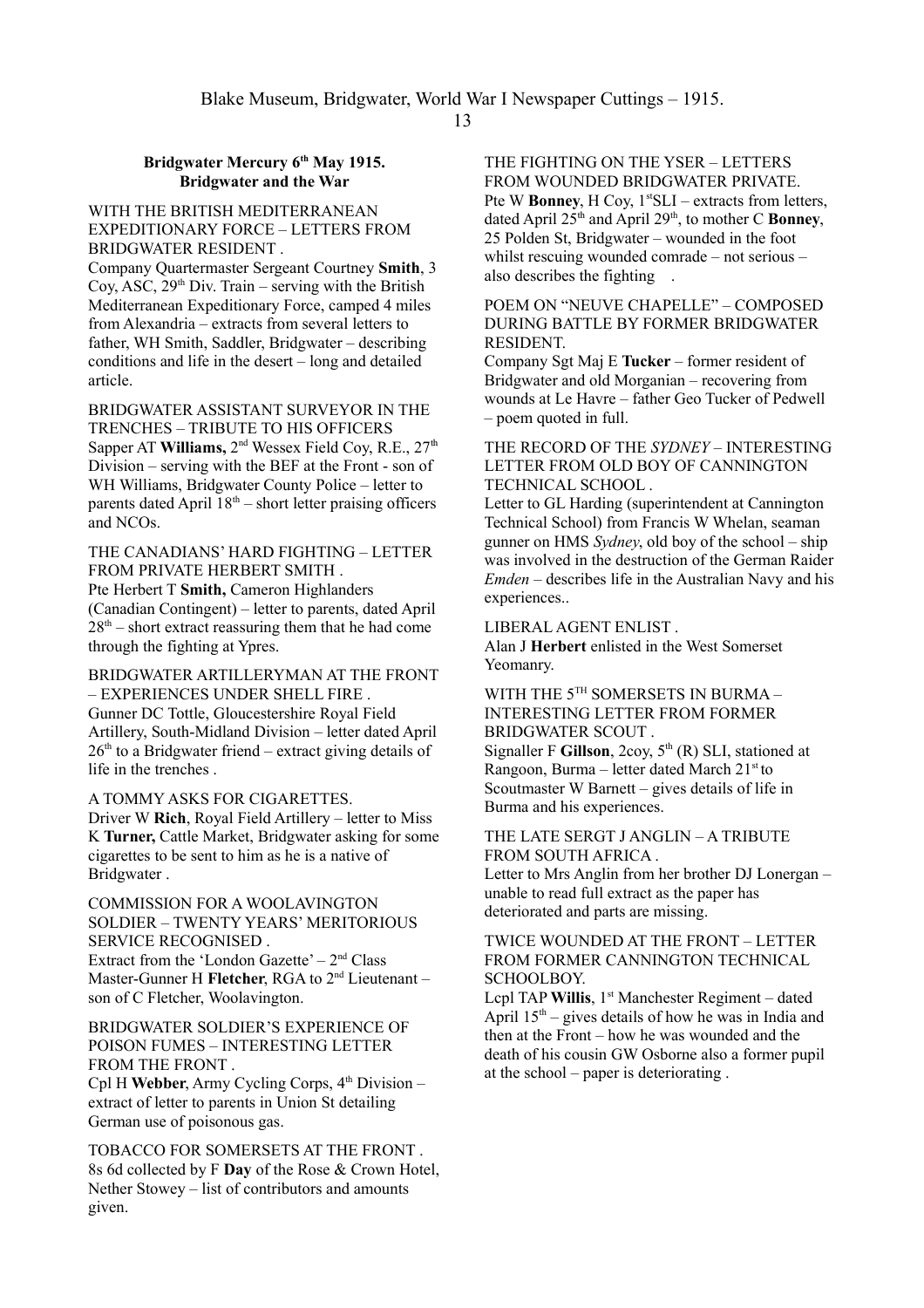## **Bridgwater Mercury 6th May 1915. Bridgwater and the War**

#### WITH THE BRITISH MEDITERRANEAN EXPEDITIONARY FORCE – LETTERS FROM BRIDGWATER RESIDENT .

Company Quartermaster Sergeant Courtney **Smith**, 3 Coy, ASC,  $29<sup>th</sup>$  Div. Train – serving with the British Mediterranean Expeditionary Force, camped 4 miles from Alexandria – extracts from several letters to father, WH Smith, Saddler, Bridgwater – describing conditions and life in the desert – long and detailed article.

BRIDGWATER ASSISTANT SURVEYOR IN THE TRENCHES – TRIBUTE TO HIS OFFICERS Sapper AT **Williams,** 2<sup>nd</sup> Wessex Field Coy, R.E., 27<sup>th</sup> Division – serving with the BEF at the Front - son of WH Williams, Bridgwater County Police – letter to parents dated April  $18<sup>th</sup>$  – short letter praising officers and NCOs.

THE CANADIANS' HARD FIGHTING – LETTER FROM PRIVATE HERBERT SMITH . Pte Herbert T **Smith,** Cameron Highlanders

(Canadian Contingent) – letter to parents, dated April  $28<sup>th</sup>$  – short extract reassuring them that he had come through the fighting at Ypres.

BRIDGWATER ARTILLERYMAN AT THE FRONT – EXPERIENCES UNDER SHELL FIRE . Gunner DC Tottle, Gloucestershire Royal Field Artillery, South-Midland Division – letter dated April  $26<sup>th</sup>$  to a Bridgwater friend – extract giving details of life in the trenches

A TOMMY ASKS FOR CIGARETTES. Driver W **Rich**, Royal Field Artillery – letter to Miss K **Turner,** Cattle Market, Bridgwater asking for some cigarettes to be sent to him as he is a native of Bridgwater .

COMMISSION FOR A WOOLAVINGTON SOLDIER – TWENTY YEARS' MERITORIOUS SERVICE RECOGNISED .

Extract from the 'London Gazette'  $-2<sup>nd</sup> Class$ Master-Gunner H Fletcher, RGA to 2<sup>nd</sup> Lieutenant – son of C Fletcher, Woolavington.

BRIDGWATER SOLDIER'S EXPERIENCE OF POISON FUMES – INTERESTING LETTER FROM THE FRONT .

Cpl H Webber, Army Cycling Corps, 4<sup>th</sup> Division – extract of letter to parents in Union St detailing German use of poisonous gas.

TOBACCO FOR SOMERSETS AT THE FRONT . 8s 6d collected by F **Day** of the Rose & Crown Hotel, Nether Stowey – list of contributors and amounts given.

THE FIGHTING ON THE YSER – LETTERS FROM WOUNDED BRIDGWATER PRIVATE. Pte W **Bonney**, H Coy, 1<sup>st</sup>SLI – extracts from letters, dated April 25<sup>th</sup> and April 29<sup>th</sup>, to mother C **Bonney**, 25 Polden St, Bridgwater – wounded in the foot whilst rescuing wounded comrade – not serious – also describes the fighting .

POEM ON "NEUVE CHAPELLE" – COMPOSED DURING BATTLE BY FORMER BRIDGWATER RESIDENT.

Company Sgt Maj E **Tucker** – former resident of Bridgwater and old Morganian – recovering from wounds at Le Havre – father Geo Tucker of Pedwell – poem quoted in full.

## THE RECORD OF THE *SYDNEY* – INTERESTING LETTER FROM OLD BOY OF CANNINGTON TECHNICAL SCHOOL .

Letter to GL Harding (superintendent at Cannington Technical School) from Francis W Whelan, seaman gunner on HMS *Sydney*, old boy of the school – ship was involved in the destruction of the German Raider *Emden* – describes life in the Australian Navy and his experiences..

LIBERAL AGENT ENLIST .

Alan J **Herbert** enlisted in the West Somerset Yeomanry.

WITH THE 5TH SOMERSETS IN BURMA -INTERESTING LETTER FROM FORMER BRIDGWATER SCOUT . Signaller F Gillson, 2coy,  $5<sup>th</sup>$  (R) SLI, stationed at Rangoon, Burma – letter dated March  $21<sup>st</sup>$  to

Scoutmaster W Barnett – gives details of life in Burma and his experiences.

#### THE LATE SERGT J ANGLIN – A TRIBUTE FROM SOUTH AFRICA .

Letter to Mrs Anglin from her brother DJ Lonergan – unable to read full extract as the paper has deteriorated and parts are missing.

## TWICE WOUNDED AT THE FRONT – LETTER FROM FORMER CANNINGTON TECHNICAL SCHOOLBOY.

Lcpl TAP **Willis**, 1<sup>st</sup> Manchester Regiment – dated April  $15<sup>th</sup>$  – gives details of how he was in India and then at the Front – how he was wounded and the death of his cousin GW Osborne also a former pupil at the school – paper is deteriorating .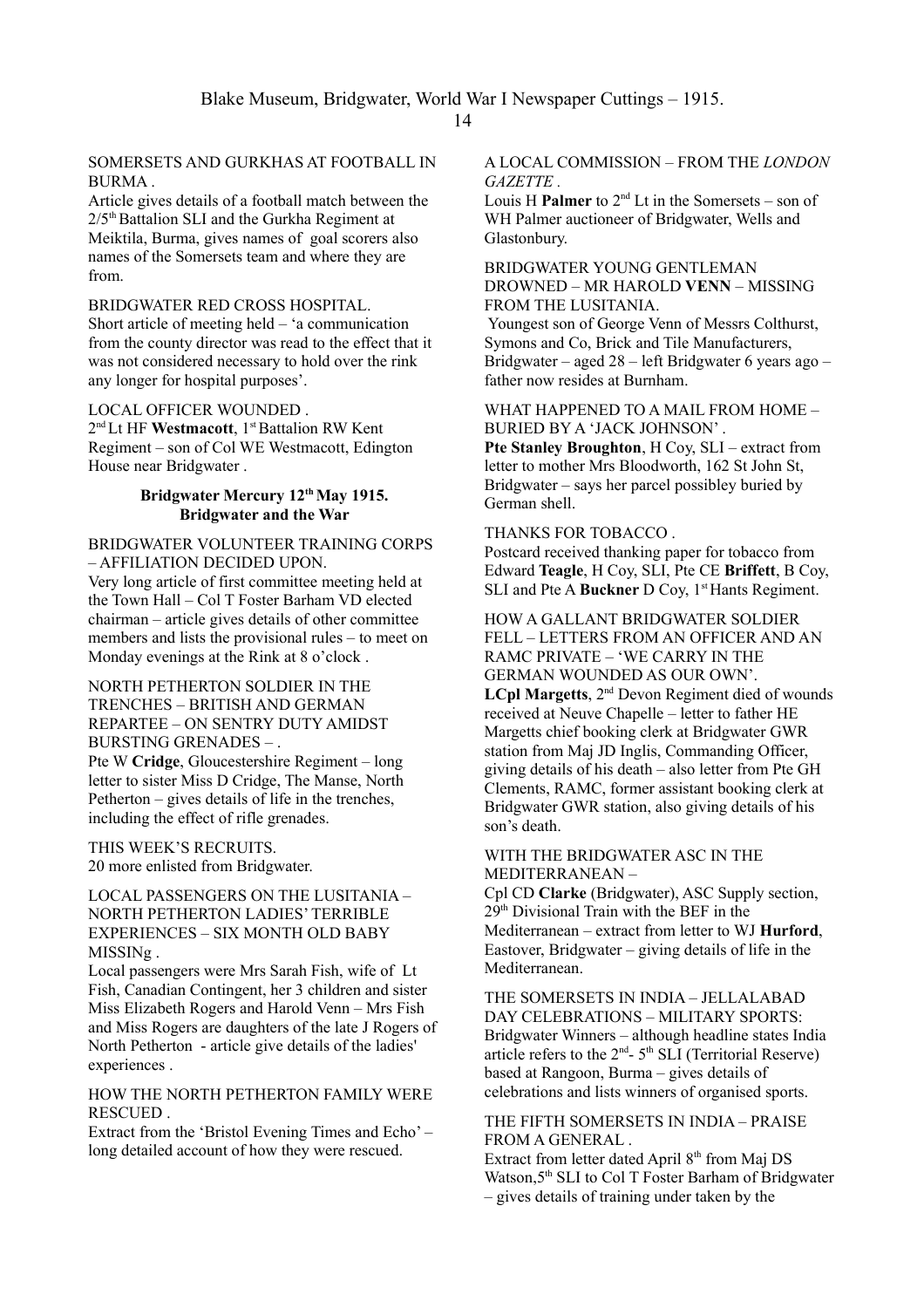#### SOMERSETS AND GURKHAS AT FOOTBALL IN **BURMA**

Article gives details of a football match between the 2/5th Battalion SLI and the Gurkha Regiment at Meiktila, Burma, gives names of goal scorers also names of the Somersets team and where they are from.

BRIDGWATER RED CROSS HOSPITAL. Short article of meeting held – 'a communication from the county director was read to the effect that it was not considered necessary to hold over the rink any longer for hospital purposes'.

#### LOCAL OFFICER WOUNDED .

2<sup>nd</sup> Lt HF **Westmacott**, 1<sup>st</sup> Battalion RW Kent Regiment – son of Col WE Westmacott, Edington House near Bridgwater .

### **Bridgwater Mercury 12th May 1915. Bridgwater and the War**

#### BRIDGWATER VOLUNTEER TRAINING CORPS – AFFILIATION DECIDED UPON.

Very long article of first committee meeting held at the Town Hall – Col T Foster Barham VD elected chairman – article gives details of other committee members and lists the provisional rules – to meet on Monday evenings at the Rink at 8 o'clock .

## NORTH PETHERTON SOLDIER IN THE TRENCHES – BRITISH AND GERMAN REPARTEE – ON SENTRY DUTY AMIDST BURSTING GRENADES – .

Pte W **Cridge**, Gloucestershire Regiment – long letter to sister Miss D Cridge, The Manse, North Petherton – gives details of life in the trenches, including the effect of rifle grenades.

THIS WEEK'S RECRUITS. 20 more enlisted from Bridgwater.

## LOCAL PASSENGERS ON THE LUSITANIA – NORTH PETHERTON LADIES' TERRIBLE EXPERIENCES – SIX MONTH OLD BABY MISSINg .

Local passengers were Mrs Sarah Fish, wife of Lt Fish, Canadian Contingent, her 3 children and sister Miss Elizabeth Rogers and Harold Venn – Mrs Fish and Miss Rogers are daughters of the late J Rogers of North Petherton - article give details of the ladies' experiences .

#### HOW THE NORTH PETHERTON FAMILY WERE **RESCUED**

Extract from the 'Bristol Evening Times and Echo' – long detailed account of how they were rescued.

#### A LOCAL COMMISSION – FROM THE *LONDON GAZETTE .*

Louis H **Palmer** to  $2<sup>nd</sup>$  Lt in the Somersets – son of WH Palmer auctioneer of Bridgwater, Wells and Glastonbury.

# BRIDGWATER YOUNG GENTLEMAN DROWNED – MR HAROLD **VENN** – MISSING FROM THE LUSITANIA.

Youngest son of George Venn of Messrs Colthurst, Symons and Co, Brick and Tile Manufacturers, Bridgwater – aged 28 – left Bridgwater 6 years ago – father now resides at Burnham.

WHAT HAPPENED TO A MAIL FROM HOME – BURIED BY A 'JACK JOHNSON' .

**Pte Stanley Broughton**, H Coy, SLI – extract from letter to mother Mrs Bloodworth, 162 St John St, Bridgwater – says her parcel possibley buried by German shell.

## THANKS FOR TOBACCO .

Postcard received thanking paper for tobacco from Edward **Teagle**, H Coy, SLI, Pte CE **Briffett**, B Coy, SLI and Pte A **Buckner** D Coy, 1<sup>st</sup> Hants Regiment.

HOW A GALLANT BRIDGWATER SOLDIER FELL – LETTERS FROM AN OFFICER AND AN RAMC PRIVATE – 'WE CARRY IN THE GERMAN WOUNDED AS OUR OWN'. LCpl Margetts, 2<sup>nd</sup> Devon Regiment died of wounds received at Neuve Chapelle – letter to father HE Margetts chief booking clerk at Bridgwater GWR station from Maj JD Inglis, Commanding Officer, giving details of his death – also letter from Pte GH Clements, RAMC, former assistant booking clerk at Bridgwater GWR station, also giving details of his son's death.

#### WITH THE BRIDGWATER ASC IN THE MEDITERRANEAN –

Cpl CD **Clarke** (Bridgwater), ASC Supply section, 29th Divisional Train with the BEF in the Mediterranean – extract from letter to WJ **Hurford**, Eastover, Bridgwater – giving details of life in the Mediterranean.

THE SOMERSETS IN INDIA – JELLALABAD DAY CELEBRATIONS – MILITARY SPORTS: Bridgwater Winners – although headline states India article refers to the  $2<sup>nd</sup>$ -  $5<sup>th</sup>$  SLI (Territorial Reserve) based at Rangoon, Burma – gives details of celebrations and lists winners of organised sports.

THE FIFTH SOMERSETS IN INDIA – PRAISE FROM A GENERAL.

Extract from letter dated April 8<sup>th</sup> from Maj DS Watson, 5<sup>th</sup> SLI to Col T Foster Barham of Bridgwater – gives details of training under taken by the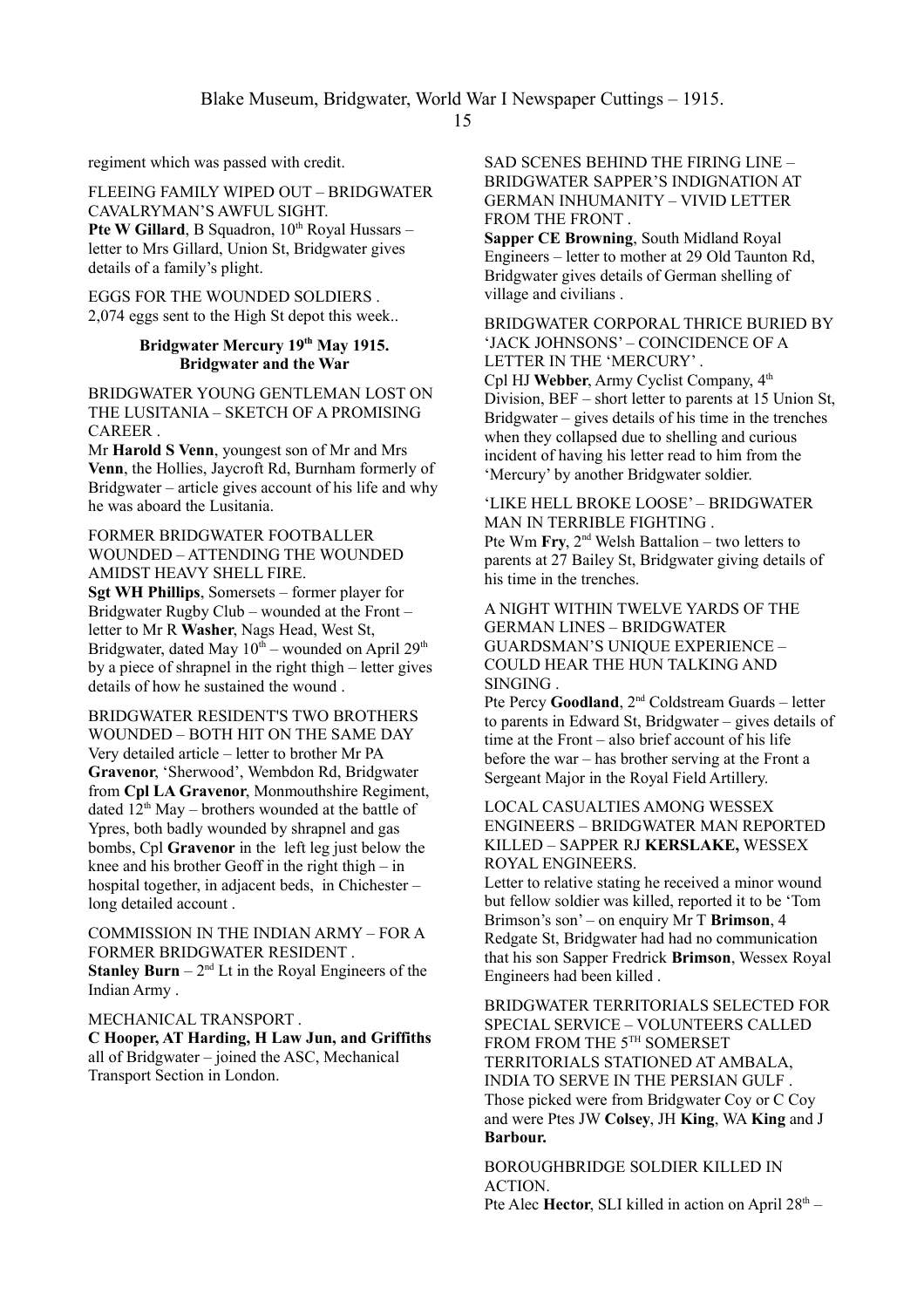regiment which was passed with credit.

FLEEING FAMILY WIPED OUT – BRIDGWATER CAVALRYMAN'S AWFUL SIGHT.

Pte W Gillard, B Squadron, 10<sup>th</sup> Royal Hussars letter to Mrs Gillard, Union St, Bridgwater gives details of a family's plight.

EGGS FOR THE WOUNDED SOLDIERS . 2,074 eggs sent to the High St depot this week..

#### **Bridgwater Mercury 19th May 1915. Bridgwater and the War**

BRIDGWATER YOUNG GENTLEMAN LOST ON THE LUSITANIA – SKETCH OF A PROMISING CAREER .

Mr **Harold S Venn**, youngest son of Mr and Mrs **Venn**, the Hollies, Jaycroft Rd, Burnham formerly of Bridgwater – article gives account of his life and why he was aboard the Lusitania.

#### FORMER BRIDGWATER FOOTBALLER WOUNDED – ATTENDING THE WOUNDED AMIDST HEAVY SHELL FIRE.

**Sgt WH Phillips**, Somersets – former player for Bridgwater Rugby Club – wounded at the Front – letter to Mr R **Washer**, Nags Head, West St, Bridgwater, dated May  $10^{th}$  – wounded on April 29<sup>th</sup> by a piece of shrapnel in the right thigh – letter gives details of how he sustained the wound .

BRIDGWATER RESIDENT'S TWO BROTHERS WOUNDED – BOTH HIT ON THE SAME DAY Very detailed article – letter to brother Mr PA **Gravenor**, 'Sherwood', Wembdon Rd, Bridgwater from **Cpl LA Gravenor**, Monmouthshire Regiment, dated  $12^{th}$  May – brothers wounded at the battle of Ypres, both badly wounded by shrapnel and gas bombs, Cpl **Gravenor** in the left leg just below the knee and his brother Geoff in the right thigh – in hospital together, in adjacent beds, in Chichester – long detailed account .

COMMISSION IN THE INDIAN ARMY – FOR A FORMER BRIDGWATER RESIDENT . **Stanley Burn** –  $2<sup>nd</sup>$  Lt in the Royal Engineers of the Indian Army .

MECHANICAL TRANSPORT .

**C Hooper, AT Harding, H Law Jun, and Griffiths** all of Bridgwater – joined the ASC, Mechanical Transport Section in London.

SAD SCENES BEHIND THE FIRING LINE – BRIDGWATER SAPPER'S INDIGNATION AT GERMAN INHUMANITY – VIVID LETTER FROM THE FRONT .

**Sapper CE Browning**, South Midland Royal Engineers – letter to mother at 29 Old Taunton Rd, Bridgwater gives details of German shelling of village and civilians .

BRIDGWATER CORPORAL THRICE BURIED BY 'JACK JOHNSONS' – COINCIDENCE OF A LETTER IN THE 'MERCURY' .

Cpl HJ Webber, Army Cyclist Company, 4<sup>th</sup> Division, BEF – short letter to parents at 15 Union St, Bridgwater – gives details of his time in the trenches when they collapsed due to shelling and curious incident of having his letter read to him from the 'Mercury' by another Bridgwater soldier.

'LIKE HELL BROKE LOOSE' – BRIDGWATER MAN IN TERRIBLE FIGHTING . Pte Wm Fry, 2<sup>nd</sup> Welsh Battalion – two letters to

parents at 27 Bailey St, Bridgwater giving details of his time in the trenches.

A NIGHT WITHIN TWELVE YARDS OF THE GERMAN LINES – BRIDGWATER GUARDSMAN'S UNIQUE EXPERIENCE – COULD HEAR THE HUN TALKING AND SINGING .

Pte Percy **Goodland**, 2nd Coldstream Guards – letter to parents in Edward St, Bridgwater – gives details of time at the Front – also brief account of his life before the war – has brother serving at the Front a Sergeant Major in the Royal Field Artillery.

#### LOCAL CASUALTIES AMONG WESSEX ENGINEERS – BRIDGWATER MAN REPORTED KILLED – SAPPER RJ **KERSLAKE,** WESSEX ROYAL ENGINEERS.

Letter to relative stating he received a minor wound but fellow soldier was killed, reported it to be 'Tom Brimson's son' – on enquiry Mr T **Brimson**, 4 Redgate St, Bridgwater had had no communication that his son Sapper Fredrick **Brimson**, Wessex Royal Engineers had been killed .

BRIDGWATER TERRITORIALS SELECTED FOR SPECIAL SERVICE – VOLUNTEERS CALLED FROM FROM THE 5TH SOMERSET TERRITORIALS STATIONED AT AMBALA, INDIA TO SERVE IN THE PERSIAN GULF . Those picked were from Bridgwater Coy or C Coy and were Ptes JW **Colsey**, JH **King**, WA **King** and J **Barbour.**

BOROUGHBRIDGE SOLDIER KILLED IN ACTION.

Pte Alec Hector, SLI killed in action on April 28<sup>th</sup> –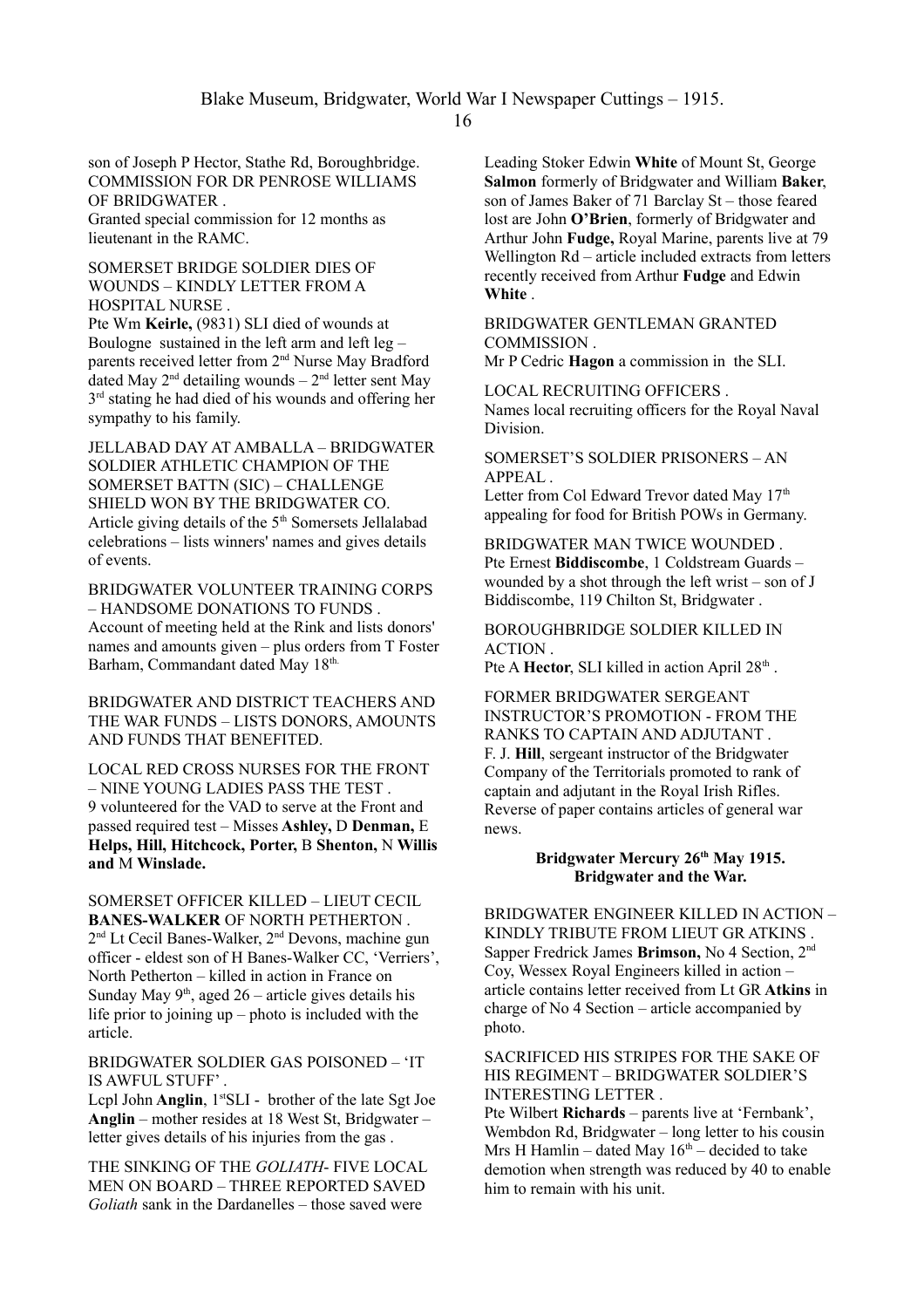Blake Museum, Bridgwater, World War I Newspaper Cuttings – 1915.

son of Joseph P Hector, Stathe Rd, Boroughbridge. COMMISSION FOR DR PENROSE WILLIAMS OF BRIDGWATER .

Granted special commission for 12 months as lieutenant in the RAMC.

#### SOMERSET BRIDGE SOLDIER DIES OF WOUNDS – KINDLY LETTER FROM A HOSPITAL NURSE .

Pte Wm **Keirle,** (9831) SLI died of wounds at Boulogne sustained in the left arm and left leg – parents received letter from 2<sup>nd</sup> Nurse May Bradford dated May  $2<sup>nd</sup>$  detailing wounds –  $2<sup>nd</sup>$  letter sent May 3<sup>rd</sup> stating he had died of his wounds and offering her sympathy to his family.

JELLABAD DAY AT AMBALLA – BRIDGWATER SOLDIER ATHLETIC CHAMPION OF THE SOMERSET BATTN (SIC) – CHALLENGE SHIELD WON BY THE BRIDGWATER CO. Article giving details of the  $5<sup>th</sup>$  Somersets Jellalabad celebrations – lists winners' names and gives details of events.

BRIDGWATER VOLUNTEER TRAINING CORPS – HANDSOME DONATIONS TO FUNDS . Account of meeting held at the Rink and lists donors' names and amounts given – plus orders from T Foster Barham, Commandant dated May 18<sup>th.</sup>

BRIDGWATER AND DISTRICT TEACHERS AND THE WAR FUNDS – LISTS DONORS, AMOUNTS AND FUNDS THAT BENEFITED.

LOCAL RED CROSS NURSES FOR THE FRONT – NINE YOUNG LADIES PASS THE TEST . 9 volunteered for the VAD to serve at the Front and passed required test – Misses **Ashley,** D **Denman,** E **Helps, Hill, Hitchcock, Porter,** B **Shenton,** N **Willis and** M **Winslade.**

SOMERSET OFFICER KILLED – LIEUT CECIL **BANES-WALKER** OF NORTH PETHERTON . 2<sup>nd</sup> Lt Cecil Banes-Walker, 2<sup>nd</sup> Devons, machine gun officer - eldest son of H Banes-Walker CC, 'Verriers', North Petherton – killed in action in France on Sunday May  $9<sup>th</sup>$ , aged 26 – article gives details his life prior to joining up – photo is included with the article.

BRIDGWATER SOLDIER GAS POISONED – 'IT IS AWFUL STUFF' .

Lcpl John Anglin, 1<sup>st</sup>SLI - brother of the late Sgt Joe **Anglin** – mother resides at 18 West St, Bridgwater – letter gives details of his injuries from the gas .

THE SINKING OF THE *GOLIATH*- FIVE LOCAL MEN ON BOARD – THREE REPORTED SAVED *Goliath* sank in the Dardanelles – those saved were

Leading Stoker Edwin **White** of Mount St, George **Salmon** formerly of Bridgwater and William **Baker**, son of James Baker of 71 Barclay St – those feared lost are John **O'Brien**, formerly of Bridgwater and Arthur John **Fudge,** Royal Marine, parents live at 79 Wellington Rd – article included extracts from letters recently received from Arthur **Fudge** and Edwin **White** .

BRIDGWATER GENTLEMAN GRANTED COMMISSION .

Mr P Cedric **Hagon** a commission in the SLI.

LOCAL RECRUITING OFFICERS . Names local recruiting officers for the Royal Naval Division.

SOMERSET'S SOLDIER PRISONERS – AN APPEAL .

Letter from Col Edward Trevor dated May  $17<sup>th</sup>$ appealing for food for British POWs in Germany.

BRIDGWATER MAN TWICE WOUNDED . Pte Ernest **Biddiscombe**, 1 Coldstream Guards – wounded by a shot through the left wrist – son of J Biddiscombe, 119 Chilton St, Bridgwater .

## BOROUGHBRIDGE SOLDIER KILLED IN ACTION .

Pte A Hector, SLI killed in action April 28<sup>th</sup>.

FORMER BRIDGWATER SERGEANT INSTRUCTOR'S PROMOTION - FROM THE RANKS TO CAPTAIN AND ADJUTANT . F. J. **Hill**, sergeant instructor of the Bridgwater Company of the Territorials promoted to rank of captain and adjutant in the Royal Irish Rifles. Reverse of paper contains articles of general war news.

# **Bridgwater Mercury 26th May 1915. Bridgwater and the War.**

BRIDGWATER ENGINEER KILLED IN ACTION – KINDLY TRIBUTE FROM LIEUT GR ATKINS . Sapper Fredrick James **Brimson,** No 4 Section, 2nd Coy, Wessex Royal Engineers killed in action – article contains letter received from Lt GR **Atkins** in charge of No 4 Section – article accompanied by photo.

## SACRIFICED HIS STRIPES FOR THE SAKE OF HIS REGIMENT – BRIDGWATER SOLDIER'S INTERESTING LETTER .

Pte Wilbert **Richards** – parents live at 'Fernbank', Wembdon Rd, Bridgwater – long letter to his cousin Mrs H Hamlin – dated May  $16<sup>th</sup>$  – decided to take demotion when strength was reduced by 40 to enable him to remain with his unit.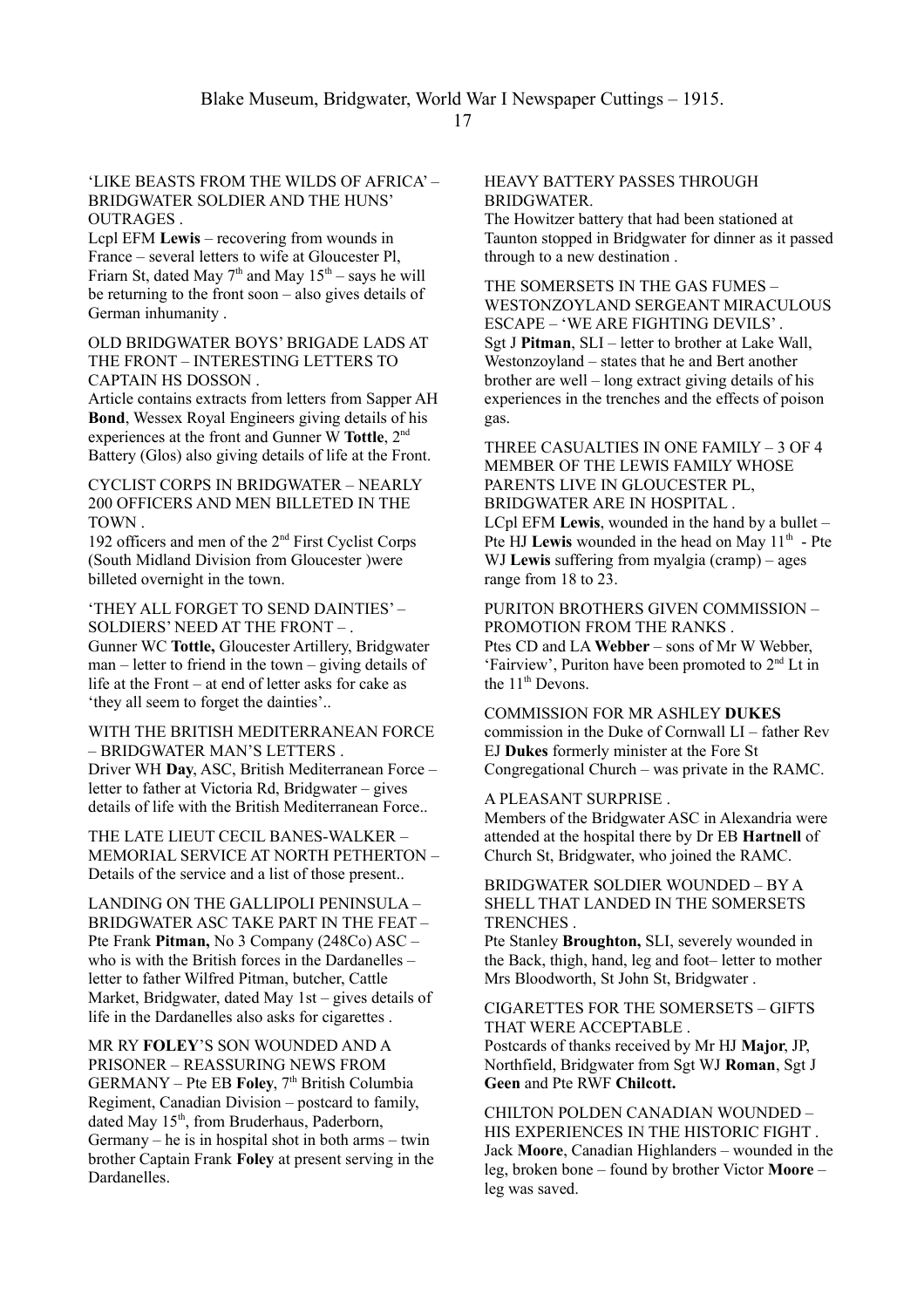#### 'LIKE BEASTS FROM THE WILDS OF AFRICA' – BRIDGWATER SOLDIER AND THE HUNS' OUTRAGES .

Lcpl EFM **Lewis** – recovering from wounds in France – several letters to wife at Gloucester Pl, Friarn St, dated May  $7<sup>th</sup>$  and May  $15<sup>th</sup>$  – says he will be returning to the front soon – also gives details of German inhumanity .

OLD BRIDGWATER BOYS' BRIGADE LADS AT THE FRONT – INTERESTING LETTERS TO CAPTAIN HS DOSSON .

Article contains extracts from letters from Sapper AH **Bond**, Wessex Royal Engineers giving details of his experiences at the front and Gunner W **Tottle**, 2<sup>nd</sup> Battery (Glos) also giving details of life at the Front.

CYCLIST CORPS IN BRIDGWATER – NEARLY 200 OFFICERS AND MEN BILLETED IN THE TOWN .

192 officers and men of the 2nd First Cyclist Corps (South Midland Division from Gloucester )were billeted overnight in the town.

'THEY ALL FORGET TO SEND DAINTIES' – SOLDIERS' NEED AT THE FRONT – .

Gunner WC **Tottle,** Gloucester Artillery, Bridgwater man – letter to friend in the town – giving details of life at the Front – at end of letter asks for cake as 'they all seem to forget the dainties'..

WITH THE BRITISH MEDITERRANEAN FORCE – BRIDGWATER MAN'S LETTERS . Driver WH **Day**, ASC, British Mediterranean Force – letter to father at Victoria Rd, Bridgwater – gives details of life with the British Mediterranean Force..

THE LATE LIEUT CECIL BANES-WALKER – MEMORIAL SERVICE AT NORTH PETHERTON – Details of the service and a list of those present..

LANDING ON THE GALLIPOLI PENINSULA – BRIDGWATER ASC TAKE PART IN THE FEAT – Pte Frank **Pitman,** No 3 Company (248Co) ASC – who is with the British forces in the Dardanelles – letter to father Wilfred Pitman, butcher, Cattle Market, Bridgwater, dated May 1st – gives details of life in the Dardanelles also asks for cigarettes .

MR RY **FOLEY**'S SON WOUNDED AND A PRISONER – REASSURING NEWS FROM GERMANY – Pte EB **Foley**, 7<sup>th</sup> British Columbia Regiment, Canadian Division – postcard to family, dated May 15<sup>th</sup>, from Bruderhaus, Paderborn, Germany – he is in hospital shot in both arms – twin brother Captain Frank **Foley** at present serving in the Dardanelles.

## HEAVY BATTERY PASSES THROUGH **BRIDGWATER**

The Howitzer battery that had been stationed at Taunton stopped in Bridgwater for dinner as it passed through to a new destination .

THE SOMERSETS IN THE GAS FUMES – WESTONZOYLAND SERGEANT MIRACULOUS ESCAPE – 'WE ARE FIGHTING DEVILS' . Sgt J **Pitman**, SLI – letter to brother at Lake Wall, Westonzoyland – states that he and Bert another brother are well – long extract giving details of his experiences in the trenches and the effects of poison gas.

THREE CASUALTIES IN ONE FAMILY – 3 OF 4 MEMBER OF THE LEWIS FAMILY WHOSE PARENTS LIVE IN GLOUCESTER PL, BRIDGWATER ARE IN HOSPITAL . LCpl EFM **Lewis**, wounded in the hand by a bullet – Pte HJ **Lewis** wounded in the head on May 11<sup>th</sup> - Pte WJ **Lewis** suffering from myalgia (cramp) – ages range from 18 to 23.

PURITON BROTHERS GIVEN COMMISSION – PROMOTION FROM THE RANKS . Ptes CD and LA **Webber** – sons of Mr W Webber, 'Fairview', Puriton have been promoted to 2nd Lt in the  $11<sup>th</sup>$  Devons.

COMMISSION FOR MR ASHLEY **DUKES** commission in the Duke of Cornwall LI – father Rev EJ **Dukes** formerly minister at the Fore St Congregational Church – was private in the RAMC.

# A PLEASANT SURPRISE .

Members of the Bridgwater ASC in Alexandria were attended at the hospital there by Dr EB **Hartnell** of Church St, Bridgwater, who joined the RAMC.

BRIDGWATER SOLDIER WOUNDED – BY A SHELL THAT LANDED IN THE SOMERSETS TRENCHES .

Pte Stanley **Broughton,** SLI, severely wounded in the Back, thigh, hand, leg and foot– letter to mother Mrs Bloodworth, St John St, Bridgwater .

CIGARETTES FOR THE SOMERSETS – GIFTS THAT WERE ACCEPTABLE . Postcards of thanks received by Mr HJ **Major**, JP, Northfield, Bridgwater from Sgt WJ **Roman**, Sgt J **Geen** and Pte RWF **Chilcott.**

CHILTON POLDEN CANADIAN WOUNDED – HIS EXPERIENCES IN THE HISTORIC FIGHT . Jack **Moore**, Canadian Highlanders – wounded in the leg, broken bone – found by brother Victor **Moore** – leg was saved.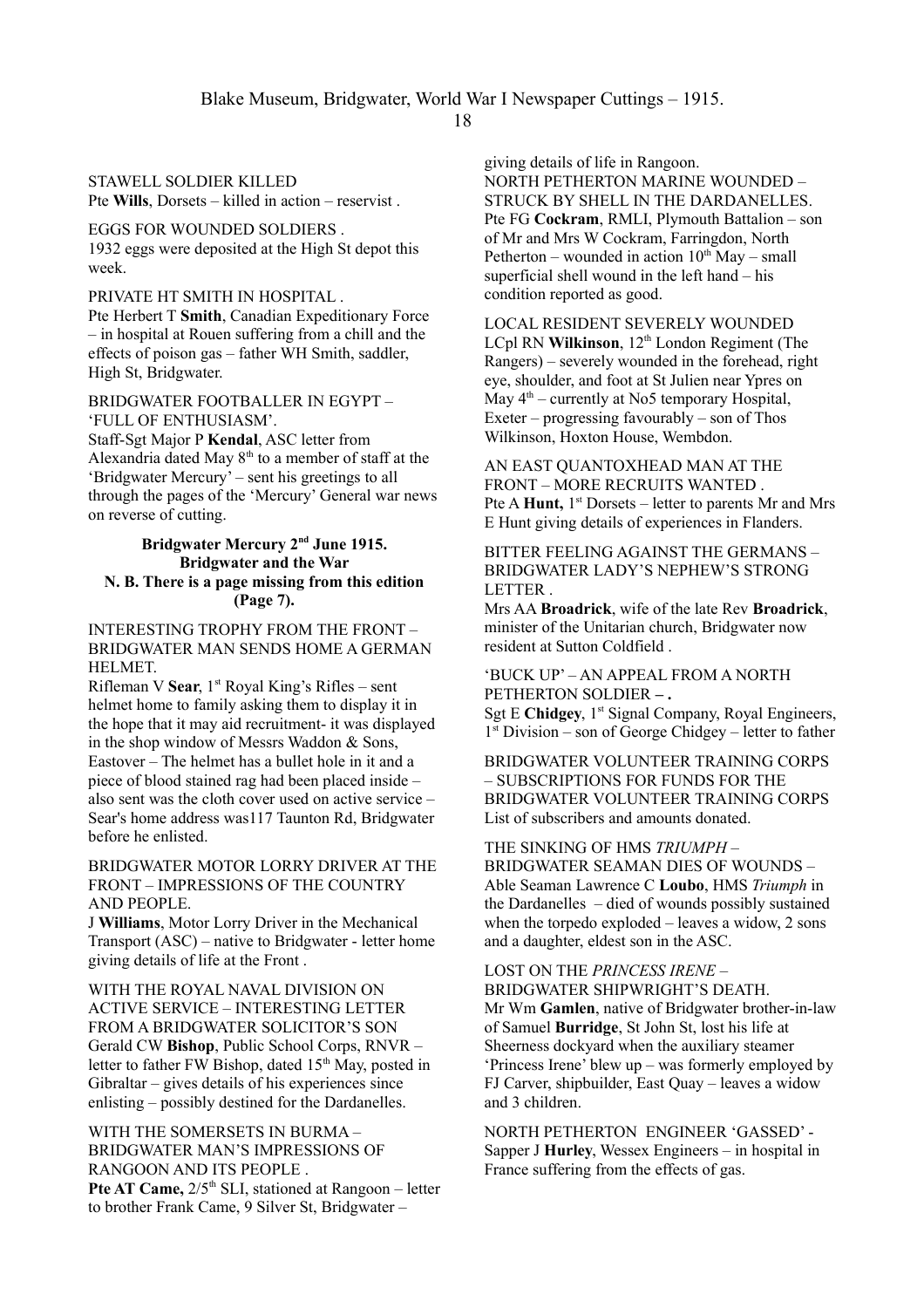# STAWELL SOLDIER KILLED

Pte **Wills**, Dorsets – killed in action – reservist .

EGGS FOR WOUNDED SOLDIERS . 1932 eggs were deposited at the High St depot this week.

# PRIVATE HT SMITH IN HOSPITAL .

Pte Herbert T **Smith**, Canadian Expeditionary Force – in hospital at Rouen suffering from a chill and the effects of poison gas – father WH Smith, saddler, High St, Bridgwater.

#### BRIDGWATER FOOTBALLER IN EGYPT – 'FULL OF ENTHUSIASM'.

Staff-Sgt Major P **Kendal**, ASC letter from Alexandria dated May  $8<sup>th</sup>$  to a member of staff at the 'Bridgwater Mercury' – sent his greetings to all through the pages of the 'Mercury' General war news on reverse of cutting.

## **Bridgwater Mercury 2nd June 1915. Bridgwater and the War N. B. There is a page missing from this edition (Page 7).**

## INTERESTING TROPHY FROM THE FRONT – BRIDGWATER MAN SENDS HOME A GERMAN HELMET.

Rifleman V **Sear**, 1<sup>st</sup> Royal King's Rifles – sent helmet home to family asking them to display it in the hope that it may aid recruitment- it was displayed in the shop window of Messrs Waddon & Sons, Eastover – The helmet has a bullet hole in it and a piece of blood stained rag had been placed inside – also sent was the cloth cover used on active service – Sear's home address was117 Taunton Rd, Bridgwater before he enlisted.

## BRIDGWATER MOTOR LORRY DRIVER AT THE FRONT – IMPRESSIONS OF THE COUNTRY AND PEOPLE.

J **Williams**, Motor Lorry Driver in the Mechanical Transport (ASC) – native to Bridgwater - letter home giving details of life at the Front .

WITH THE ROYAL NAVAL DIVISION ON ACTIVE SERVICE – INTERESTING LETTER FROM A BRIDGWATER SOLICITOR'S SON Gerald CW **Bishop**, Public School Corps, RNVR – letter to father FW Bishop, dated  $15<sup>th</sup>$  May, posted in Gibraltar – gives details of his experiences since enlisting – possibly destined for the Dardanelles.

## WITH THE SOMERSETS IN BURMA – BRIDGWATER MAN'S IMPRESSIONS OF RANGOON AND ITS PEOPLE .

Pte AT Came,  $2/5$ <sup>th</sup> SLI, stationed at Rangoon – letter to brother Frank Came, 9 Silver St, Bridgwater –

giving details of life in Rangoon. NORTH PETHERTON MARINE WOUNDED – STRUCK BY SHELL IN THE DARDANELLES. Pte FG **Cockram**, RMLI, Plymouth Battalion – son of Mr and Mrs W Cockram, Farringdon, North Petherton – wounded in action  $10^{th}$  May – small superficial shell wound in the left hand – his condition reported as good.

LOCAL RESIDENT SEVERELY WOUNDED LCpl RN **Wilkinson**, 12<sup>th</sup> London Regiment (The Rangers) – severely wounded in the forehead, right eye, shoulder, and foot at St Julien near Ypres on May  $4<sup>th</sup>$  – currently at No5 temporary Hospital, Exeter – progressing favourably – son of Thos Wilkinson, Hoxton House, Wembdon.

AN EAST QUANTOXHEAD MAN AT THE FRONT – MORE RECRUITS WANTED . Pte A **Hunt,** 1<sup>st</sup> Dorsets – letter to parents Mr and Mrs E Hunt giving details of experiences in Flanders.

BITTER FEELING AGAINST THE GERMANS – BRIDGWATER LADY'S NEPHEW'S STRONG **LETTER** 

Mrs AA **Broadrick**, wife of the late Rev **Broadrick**, minister of the Unitarian church, Bridgwater now resident at Sutton Coldfield .

### 'BUCK UP' – AN APPEAL FROM A NORTH PETHERTON SOLDIER **– .**

Sgt E **Chidgey**, 1<sup>st</sup> Signal Company, Royal Engineers, 1 st Division – son of George Chidgey – letter to father

BRIDGWATER VOLUNTEER TRAINING CORPS – SUBSCRIPTIONS FOR FUNDS FOR THE BRIDGWATER VOLUNTEER TRAINING CORPS List of subscribers and amounts donated.

THE SINKING OF HMS *TRIUMPH* – BRIDGWATER SEAMAN DIES OF WOUNDS – Able Seaman Lawrence C **Loubo**, HMS *Triumph* in the Dardanelles – died of wounds possibly sustained when the torpedo exploded – leaves a widow, 2 sons and a daughter, eldest son in the ASC.

## LOST ON THE *PRINCESS IRENE* – BRIDGWATER SHIPWRIGHT'S DEATH. Mr Wm **Gamlen**, native of Bridgwater brother-in-law of Samuel **Burridge**, St John St, lost his life at Sheerness dockyard when the auxiliary steamer 'Princess Irene' blew up – was formerly employed by FJ Carver, shipbuilder, East Quay – leaves a widow and 3 children.

NORTH PETHERTON ENGINEER 'GASSED' - Sapper J **Hurley**, Wessex Engineers – in hospital in France suffering from the effects of gas.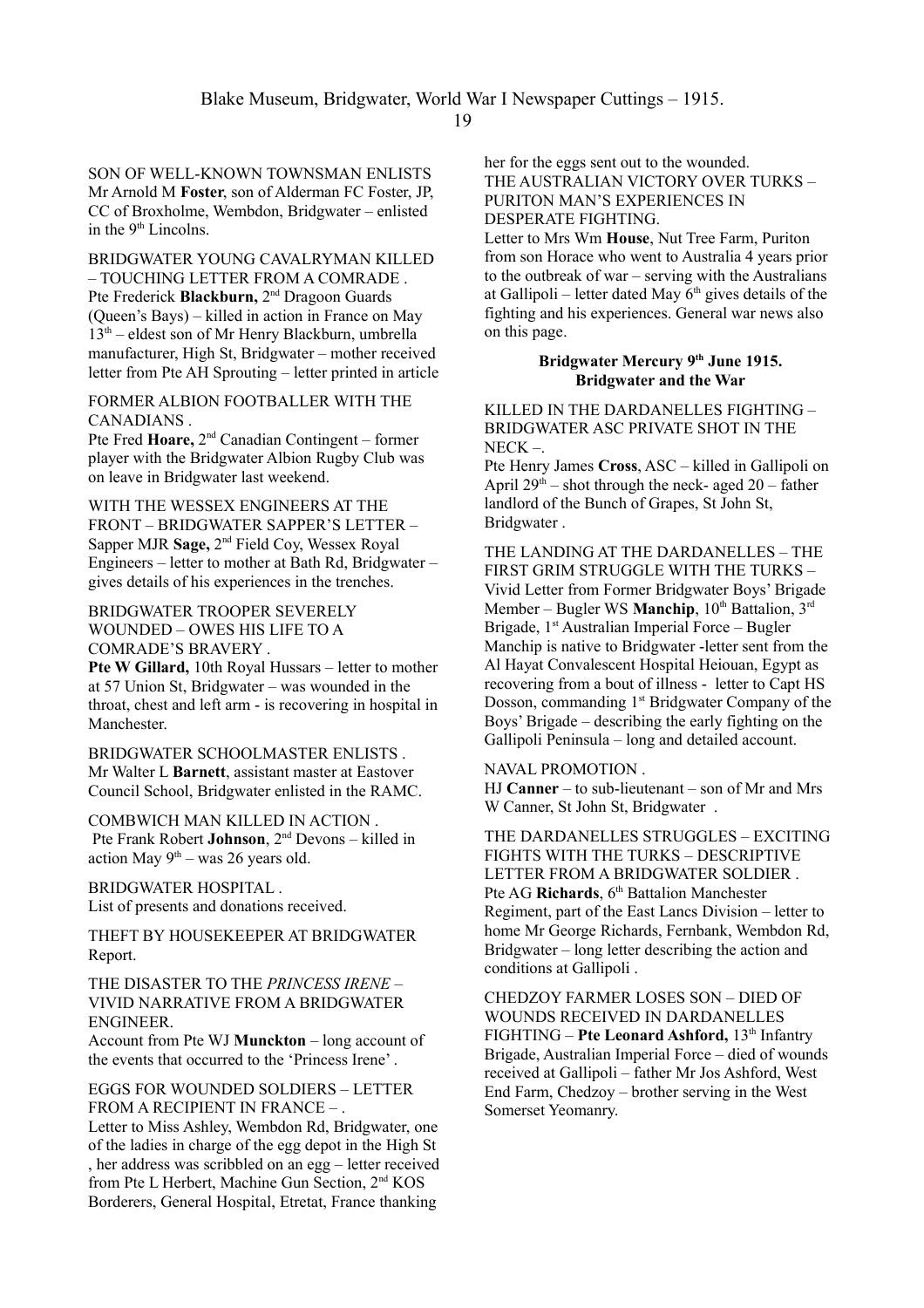SON OF WELL-KNOWN TOWNSMAN ENLISTS Mr Arnold M **Foster**, son of Alderman FC Foster, JP, CC of Broxholme, Wembdon, Bridgwater – enlisted in the  $9<sup>th</sup>$  Lincolns.

BRIDGWATER YOUNG CAVALRYMAN KILLED – TOUCHING LETTER FROM A COMRADE . Pte Frederick **Blackburn,** 2nd Dragoon Guards (Queen's Bays) – killed in action in France on May 13th – eldest son of Mr Henry Blackburn, umbrella manufacturer, High St, Bridgwater – mother received letter from Pte AH Sprouting – letter printed in article

FORMER ALBION FOOTBALLER WITH THE CANADIANS .

Pte Fred **Hoare,** 2nd Canadian Contingent – former player with the Bridgwater Albion Rugby Club was on leave in Bridgwater last weekend.

WITH THE WESSEX ENGINEERS AT THE FRONT – BRIDGWATER SAPPER'S LETTER – Sapper MJR **Sage,** 2nd Field Coy, Wessex Royal Engineers – letter to mother at Bath Rd, Bridgwater – gives details of his experiences in the trenches.

BRIDGWATER TROOPER SEVERELY WOUNDED – OWES HIS LIFE TO A COMRADE'S BRAVERY .

**Pte W Gillard,** 10th Royal Hussars – letter to mother at 57 Union St, Bridgwater – was wounded in the throat, chest and left arm - is recovering in hospital in Manchester.

BRIDGWATER SCHOOLMASTER ENLISTS . Mr Walter L **Barnett**, assistant master at Eastover Council School, Bridgwater enlisted in the RAMC.

COMBWICH MAN KILLED IN ACTION . Pte Frank Robert **Johnson**, 2nd Devons – killed in action May  $9<sup>th</sup>$  – was 26 years old.

BRIDGWATER HOSPITAL . List of presents and donations received.

THEFT BY HOUSEKEEPER AT BRIDGWATER Report.

## THE DISASTER TO THE *PRINCESS IRENE* – VIVID NARRATIVE FROM A BRIDGWATER ENGINEER.

Account from Pte WJ **Munckton** – long account of the events that occurred to the 'Princess Irene' .

EGGS FOR WOUNDED SOLDIERS – LETTER FROM A RECIPIENT IN FRANCE – .

Letter to Miss Ashley, Wembdon Rd, Bridgwater, one of the ladies in charge of the egg depot in the High St , her address was scribbled on an egg – letter received from Pte L Herbert, Machine Gun Section, 2nd KOS Borderers, General Hospital, Etretat, France thanking

her for the eggs sent out to the wounded. THE AUSTRALIAN VICTORY OVER TURKS – PURITON MAN'S EXPERIENCES IN DESPERATE FIGHTING.

Letter to Mrs Wm **House**, Nut Tree Farm, Puriton from son Horace who went to Australia 4 years prior to the outbreak of war – serving with the Australians at Gallipoli – letter dated May  $6<sup>th</sup>$  gives details of the fighting and his experiences. General war news also on this page.

### **Bridgwater Mercury 9th June 1915. Bridgwater and the War**

KILLED IN THE DARDANELLES FIGHTING – BRIDGWATER ASC PRIVATE SHOT IN THE  $NECK -$ 

Pte Henry James **Cross**, ASC – killed in Gallipoli on April  $29<sup>th</sup>$  – shot through the neck- aged  $20$  – father landlord of the Bunch of Grapes, St John St, Bridgwater .

THE LANDING AT THE DARDANELLES – THE FIRST GRIM STRUGGLE WITH THE TURKS – Vivid Letter from Former Bridgwater Boys' Brigade Member – Bugler WS **Manchip**,  $10^{th}$  Battalion,  $3^{rd}$ Brigade, 1<sup>st</sup> Australian Imperial Force – Bugler Manchip is native to Bridgwater -letter sent from the Al Hayat Convalescent Hospital Heiouan, Egypt as recovering from a bout of illness - letter to Capt HS Dosson, commanding  $1<sup>st</sup>$  Bridgwater Company of the Boys' Brigade – describing the early fighting on the Gallipoli Peninsula – long and detailed account.

#### NAVAL PROMOTION .

HJ **Canner** – to sub-lieutenant – son of Mr and Mrs W Canner, St John St, Bridgwater .

THE DARDANELLES STRUGGLES – EXCITING FIGHTS WITH THE TURKS - DESCRIPTIVE LETTER FROM A BRIDGWATER SOLDIER . Pte AG **Richards**, 6<sup>th</sup> Battalion Manchester Regiment, part of the East Lancs Division – letter to home Mr George Richards, Fernbank, Wembdon Rd, Bridgwater – long letter describing the action and conditions at Gallipoli .

CHEDZOY FARMER LOSES SON – DIED OF WOUNDS RECEIVED IN DARDANELLES FIGHTING – Pte Leonard Ashford, 13<sup>th</sup> Infantry Brigade, Australian Imperial Force – died of wounds received at Gallipoli – father Mr Jos Ashford, West End Farm, Chedzoy – brother serving in the West Somerset Yeomanry.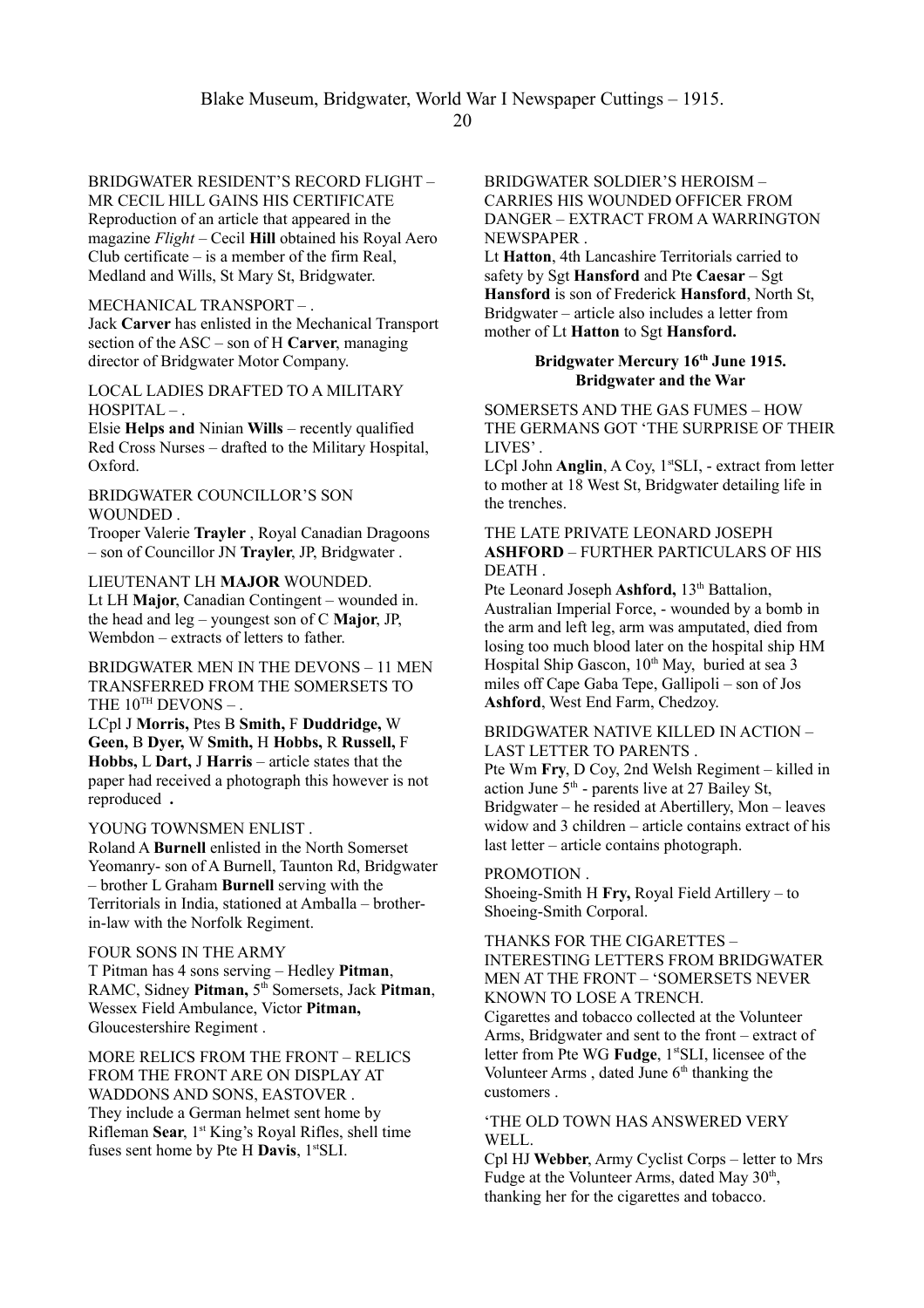BRIDGWATER RESIDENT'S RECORD FLIGHT – MR CECIL HILL GAINS HIS CERTIFICATE Reproduction of an article that appeared in the magazine *Flight* – Cecil **Hill** obtained his Royal Aero Club certificate – is a member of the firm Real, Medland and Wills, St Mary St, Bridgwater.

# MECHANICAL TRANSPORT – .

Jack **Carver** has enlisted in the Mechanical Transport section of the ASC – son of H **Carver**, managing director of Bridgwater Motor Company.

LOCAL LADIES DRAFTED TO A MILITARY HOSPITAL – .

Elsie **Helps and** Ninian **Wills** – recently qualified Red Cross Nurses – drafted to the Military Hospital, Oxford.

BRIDGWATER COUNCILLOR'S SON WOUNDED .

Trooper Valerie **Trayler** , Royal Canadian Dragoons – son of Councillor JN **Trayler**, JP, Bridgwater .

# LIEUTENANT LH **MAJOR** WOUNDED.

Lt LH **Major**, Canadian Contingent – wounded in. the head and leg – youngest son of C **Major**, JP, Wembdon – extracts of letters to father.

#### BRIDGWATER MEN IN THE DEVONS – 11 MEN TRANSFERRED FROM THE SOMERSETS TO THE  $10^{TH}$  DEVONS –.

LCpl J **Morris,** Ptes B **Smith,** F **Duddridge,** W **Geen,** B **Dyer,** W **Smith,** H **Hobbs,** R **Russell,** F **Hobbs,** L **Dart,** J **Harris** – article states that the paper had received a photograph this however is not reproduced **.**

#### YOUNG TOWNSMEN ENLIST.

Roland A **Burnell** enlisted in the North Somerset Yeomanry- son of A Burnell, Taunton Rd, Bridgwater – brother L Graham **Burnell** serving with the Territorials in India, stationed at Amballa – brotherin-law with the Norfolk Regiment.

#### FOUR SONS IN THE ARMY

T Pitman has 4 sons serving – Hedley **Pitman**, RAMC, Sidney **Pitman,** 5th Somersets, Jack **Pitman**, Wessex Field Ambulance, Victor **Pitman,**  Gloucestershire Regiment .

MORE RELICS FROM THE FRONT – RELICS FROM THE FRONT ARE ON DISPLAY AT WADDONS AND SONS, EASTOVER . They include a German helmet sent home by Rifleman **Sear**, 1st King's Royal Rifles, shell time fuses sent home by Pte H **Davis**, 1<sup>st</sup>SLI.

#### BRIDGWATER SOLDIER'S HEROISM – CARRIES HIS WOUNDED OFFICER FROM DANGER – EXTRACT FROM A WARRINGTON NEWSPAPER .

Lt **Hatton**, 4th Lancashire Territorials carried to safety by Sgt **Hansford** and Pte **Caesar** – Sgt **Hansford** is son of Frederick **Hansford**, North St, Bridgwater – article also includes a letter from mother of Lt **Hatton** to Sgt **Hansford.**

### **Bridgwater Mercury 16th June 1915. Bridgwater and the War**

SOMERSETS AND THE GAS FUMES – HOW THE GERMANS GOT 'THE SURPRISE OF THEIR LIVES' .

LCpl John **Anglin**, A Coy, 1<sup>st</sup>SLI, - extract from letter to mother at 18 West St, Bridgwater detailing life in the trenches.

#### THE LATE PRIVATE LEONARD JOSEPH **ASHFORD** – FURTHER PARTICULARS OF HIS DEATH .

Pte Leonard Joseph **Ashford**, 13<sup>th</sup> Battalion, Australian Imperial Force, - wounded by a bomb in the arm and left leg, arm was amputated, died from losing too much blood later on the hospital ship HM Hospital Ship Gascon, 10<sup>th</sup> May, buried at sea 3 miles off Cape Gaba Tepe, Gallipoli – son of Jos **Ashford**, West End Farm, Chedzoy.

## BRIDGWATER NATIVE KILLED IN ACTION – LAST LETTER TO PARENTS .

Pte Wm **Fry**, D Coy, 2nd Welsh Regiment – killed in action June  $5<sup>th</sup>$  - parents live at 27 Bailey St, Bridgwater – he resided at Abertillery, Mon – leaves widow and 3 children – article contains extract of his last letter – article contains photograph.

## PROMOTION .

Shoeing-Smith H **Fry,** Royal Field Artillery – to Shoeing-Smith Corporal.

## THANKS FOR THE CIGARETTES – INTERESTING LETTERS FROM BRIDGWATER

MEN AT THE FRONT – 'SOMERSETS NEVER KNOWN TO LOSE A TRENCH.

Cigarettes and tobacco collected at the Volunteer Arms, Bridgwater and sent to the front – extract of letter from Pte WG Fudge, 1<sup>st</sup>SLI, licensee of the Volunteer Arms, dated June  $6<sup>th</sup>$  thanking the customers .

### 'THE OLD TOWN HAS ANSWERED VERY WELL.

Cpl HJ **Webber**, Army Cyclist Corps – letter to Mrs Fudge at the Volunteer Arms, dated May  $30<sup>th</sup>$ , thanking her for the cigarettes and tobacco.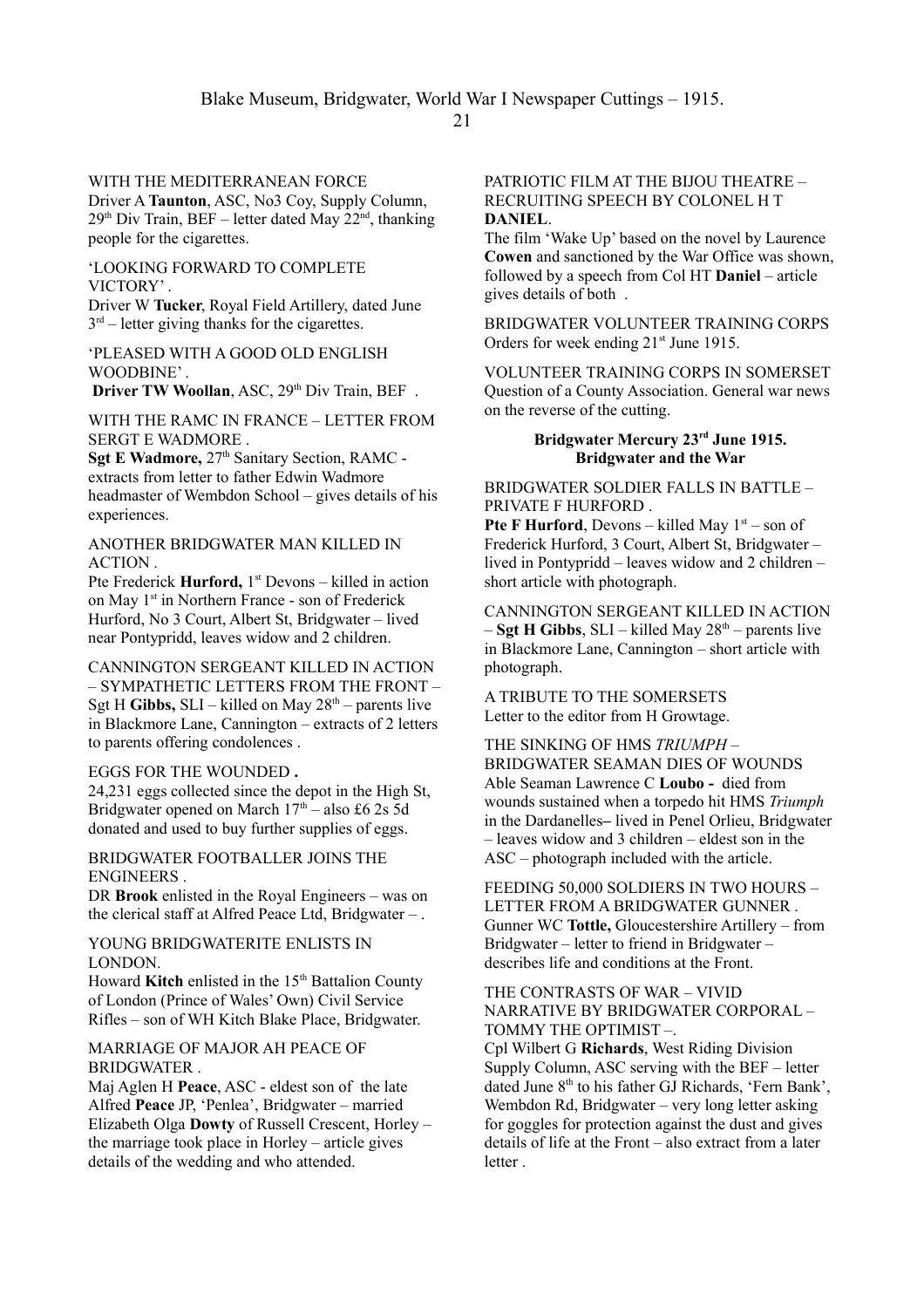WITH THE MEDITERRANEAN FORCE

Driver A **Taunton**, ASC, No3 Coy, Supply Column,  $29<sup>th</sup>$  Div Train, BEF – letter dated May  $22<sup>nd</sup>$ , thanking people for the cigarettes.

'LOOKING FORWARD TO COMPLETE VICTORY' .

Driver W **Tucker**, Royal Field Artillery, dated June  $3<sup>rd</sup>$  – letter giving thanks for the cigarettes.

'PLEASED WITH A GOOD OLD ENGLISH WOODBINE' .

**Driver TW Woollan, ASC, 29th Div Train, BEF** 

WITH THE RAMC IN FRANCE – LETTER FROM SERGT E WADMORE .

**Sgt E Wadmore, 27th Sanitary Section, RAMC** extracts from letter to father Edwin Wadmore headmaster of Wembdon School – gives details of his experiences.

# ANOTHER BRIDGWATER MAN KILLED IN ACTION .

Pte Frederick Hurford, 1<sup>st</sup> Devons – killed in action on May 1<sup>st</sup> in Northern France - son of Frederick Hurford, No 3 Court, Albert St, Bridgwater – lived near Pontypridd, leaves widow and 2 children.

CANNINGTON SERGEANT KILLED IN ACTION – SYMPATHETIC LETTERS FROM THE FRONT – Sgt H Gibbs, SLI – killed on May  $28<sup>th</sup>$  – parents live in Blackmore Lane, Cannington – extracts of 2 letters to parents offering condolences .

## EGGS FOR THE WOUNDED **.**

24,231 eggs collected since the depot in the High St, Bridgwater opened on March  $17<sup>th</sup>$  – also £6 2s 5d donated and used to buy further supplies of eggs.

BRIDGWATER FOOTBALLER JOINS THE ENGINEERS .

DR **Brook** enlisted in the Royal Engineers – was on the clerical staff at Alfred Peace Ltd, Bridgwater – .

YOUNG BRIDGWATERITE ENLISTS IN LONDON.

Howard **Kitch** enlisted in the 15th Battalion County of London (Prince of Wales' Own) Civil Service Rifles – son of WH Kitch Blake Place, Bridgwater.

# MARRIAGE OF MAJOR AH PEACE OF BRIDGWATER .

Maj Aglen H **Peace**, ASC - eldest son of the late Alfred **Peace** JP, 'Penlea', Bridgwater – married Elizabeth Olga **Dowty** of Russell Crescent, Horley – the marriage took place in Horley – article gives details of the wedding and who attended.

#### PATRIOTIC FILM AT THE BIJOU THEATRE – RECRUITING SPEECH BY COLONEL H T **DANIEL**.

The film 'Wake Up' based on the novel by Laurence **Cowen** and sanctioned by the War Office was shown, followed by a speech from Col HT **Daniel** – article gives details of both .

BRIDGWATER VOLUNTEER TRAINING CORPS Orders for week ending  $21<sup>st</sup>$  June 1915.

VOLUNTEER TRAINING CORPS IN SOMERSET Question of a County Association. General war news on the reverse of the cutting.

## **Bridgwater Mercury 23rd June 1915. Bridgwater and the War**

BRIDGWATER SOLDIER FALLS IN BATTLE – PRIVATE F HURFORD .

**Pte F Hurford**, Devons – killed May  $1<sup>st</sup>$  – son of Frederick Hurford, 3 Court, Albert St, Bridgwater – lived in Pontypridd – leaves widow and 2 children – short article with photograph.

CANNINGTON SERGEANT KILLED IN ACTION  $-$  **Sgt H Gibbs**, SLI – killed May  $28<sup>th</sup>$  – parents live in Blackmore Lane, Cannington – short article with photograph.

A TRIBUTE TO THE SOMERSETS Letter to the editor from H Growtage.

THE SINKING OF HMS *TRIUMPH* – BRIDGWATER SEAMAN DIES OF WOUNDS Able Seaman Lawrence C **Loubo -** died from wounds sustained when a torpedo hit HMS *Triumph* in the Dardanelles**–** lived in Penel Orlieu, Bridgwater – leaves widow and 3 children – eldest son in the ASC – photograph included with the article.

FEEDING 50,000 SOLDIERS IN TWO HOURS – LETTER FROM A BRIDGWATER GUNNER . Gunner WC **Tottle,** Gloucestershire Artillery – from Bridgwater – letter to friend in Bridgwater – describes life and conditions at the Front.

#### THE CONTRASTS OF WAR – VIVID NARRATIVE BY BRIDGWATER CORPORAL – TOMMY THE OPTIMIST –.

Cpl Wilbert G **Richards**, West Riding Division Supply Column, ASC serving with the BEF – letter dated June  $8<sup>th</sup>$  to his father GJ Richards, 'Fern Bank', Wembdon Rd, Bridgwater – very long letter asking for goggles for protection against the dust and gives details of life at the Front – also extract from a later letter .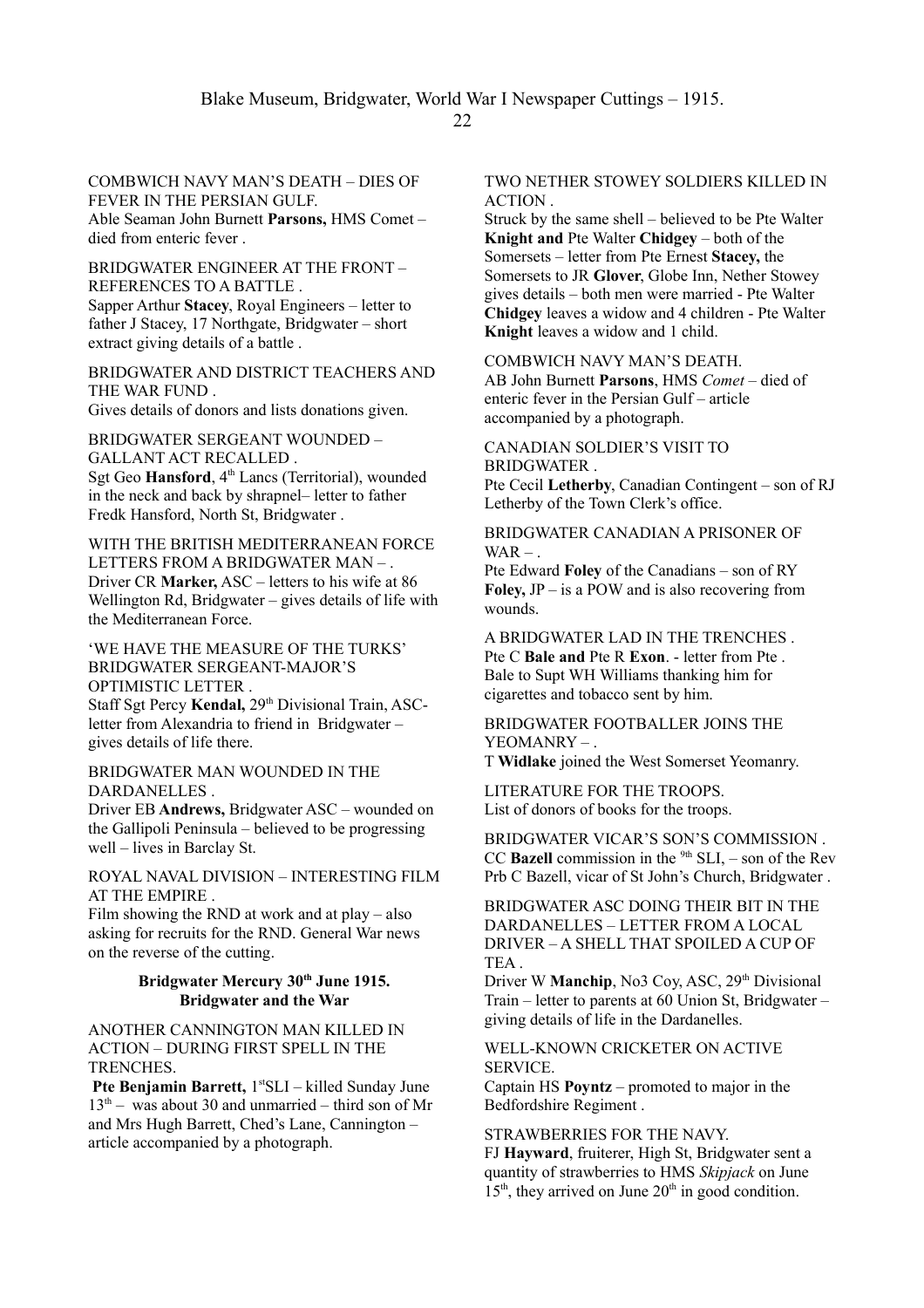COMBWICH NAVY MAN'S DEATH – DIES OF FEVER IN THE PERSIAN GULF. Able Seaman John Burnett **Parsons,** HMS Comet –

died from enteric fever .

BRIDGWATER ENGINEER AT THE FRONT – REFERENCES TO A BATTLE .

Sapper Arthur **Stacey**, Royal Engineers – letter to father J Stacey, 17 Northgate, Bridgwater – short extract giving details of a battle .

BRIDGWATER AND DISTRICT TEACHERS AND THE WAR FUND

Gives details of donors and lists donations given.

BRIDGWATER SERGEANT WOUNDED – GALLANT ACT RECALLED . Sgt Geo Hansford, 4<sup>th</sup> Lancs (Territorial), wounded in the neck and back by shrapnel– letter to father Fredk Hansford, North St, Bridgwater .

WITH THE BRITISH MEDITERRANEAN FORCE LETTERS FROM A BRIDGWATER MAN – . Driver CR **Marker,** ASC – letters to his wife at 86 Wellington Rd, Bridgwater – gives details of life with the Mediterranean Force.

'WE HAVE THE MEASURE OF THE TURKS' BRIDGWATER SERGEANT-MAJOR'S OPTIMISTIC LETTER .

Staff Sgt Percy Kendal, 29<sup>th</sup> Divisional Train, ASCletter from Alexandria to friend in Bridgwater – gives details of life there.

BRIDGWATER MAN WOUNDED IN THE DARDANELLES .

Driver EB **Andrews,** Bridgwater ASC – wounded on the Gallipoli Peninsula – believed to be progressing well – lives in Barclay St.

ROYAL NAVAL DIVISION – INTERESTING FILM AT THE EMPIRE .

Film showing the RND at work and at play – also asking for recruits for the RND. General War news on the reverse of the cutting.

# **Bridgwater Mercury 30th June 1915. Bridgwater and the War**

ANOTHER CANNINGTON MAN KILLED IN ACTION – DURING FIRST SPELL IN THE TRENCHES.

**Pte Benjamin Barrett,** 1<sup>st</sup>SLI – killed Sunday June  $13<sup>th</sup>$  – was about 30 and unmarried – third son of Mr and Mrs Hugh Barrett, Ched's Lane, Cannington – article accompanied by a photograph.

#### TWO NETHER STOWEY SOLDIERS KILLED IN **ACTION**

Struck by the same shell – believed to be Pte Walter **Knight and** Pte Walter **Chidgey** – both of the Somersets – letter from Pte Ernest **Stacey,** the Somersets to JR **Glover**, Globe Inn, Nether Stowey gives details – both men were married - Pte Walter **Chidgey** leaves a widow and 4 children - Pte Walter **Knight** leaves a widow and 1 child.

COMBWICH NAVY MAN'S DEATH.

AB John Burnett **Parsons**, HMS *Comet* – died of enteric fever in the Persian Gulf – article accompanied by a photograph.

CANADIAN SOLDIER'S VISIT TO BRIDGWATER .

Pte Cecil **Letherby**, Canadian Contingent – son of RJ Letherby of the Town Clerk's office.

BRIDGWATER CANADIAN A PRISONER OF  $WAR -$ .

Pte Edward **Foley** of the Canadians – son of RY **Foley,** JP – is a POW and is also recovering from wounds.

A BRIDGWATER LAD IN THE TRENCHES Pte C **Bale and** Pte R **Exon**. - letter from Pte . Bale to Supt WH Williams thanking him for cigarettes and tobacco sent by him.

BRIDGWATER FOOTBALLER JOINS THE YEOMANRY –

T **Widlake** joined the West Somerset Yeomanry.

LITERATURE FOR THE TROOPS. List of donors of books for the troops.

BRIDGWATER VICAR'S SON'S COMMISSION . CC **Bazell** commission in the  $9th$  SLI, – son of the Rev Prb C Bazell, vicar of St John's Church, Bridgwater .

BRIDGWATER ASC DOING THEIR BIT IN THE DARDANELLES – LETTER FROM A LOCAL DRIVER – A SHELL THAT SPOILED A CUP OF TEA .

Driver W **Manchip**, No<sub>3</sub> Coy, ASC, 29<sup>th</sup> Divisional Train – letter to parents at 60 Union St, Bridgwater – giving details of life in the Dardanelles.

WELL-KNOWN CRICKETER ON ACTIVE SERVICE.

Captain HS **Poyntz** – promoted to major in the Bedfordshire Regiment .

STRAWBERRIES FOR THE NAVY.

FJ **Hayward**, fruiterer, High St, Bridgwater sent a quantity of strawberries to HMS *Skipjack* on June  $15<sup>th</sup>$ , they arrived on June  $20<sup>th</sup>$  in good condition.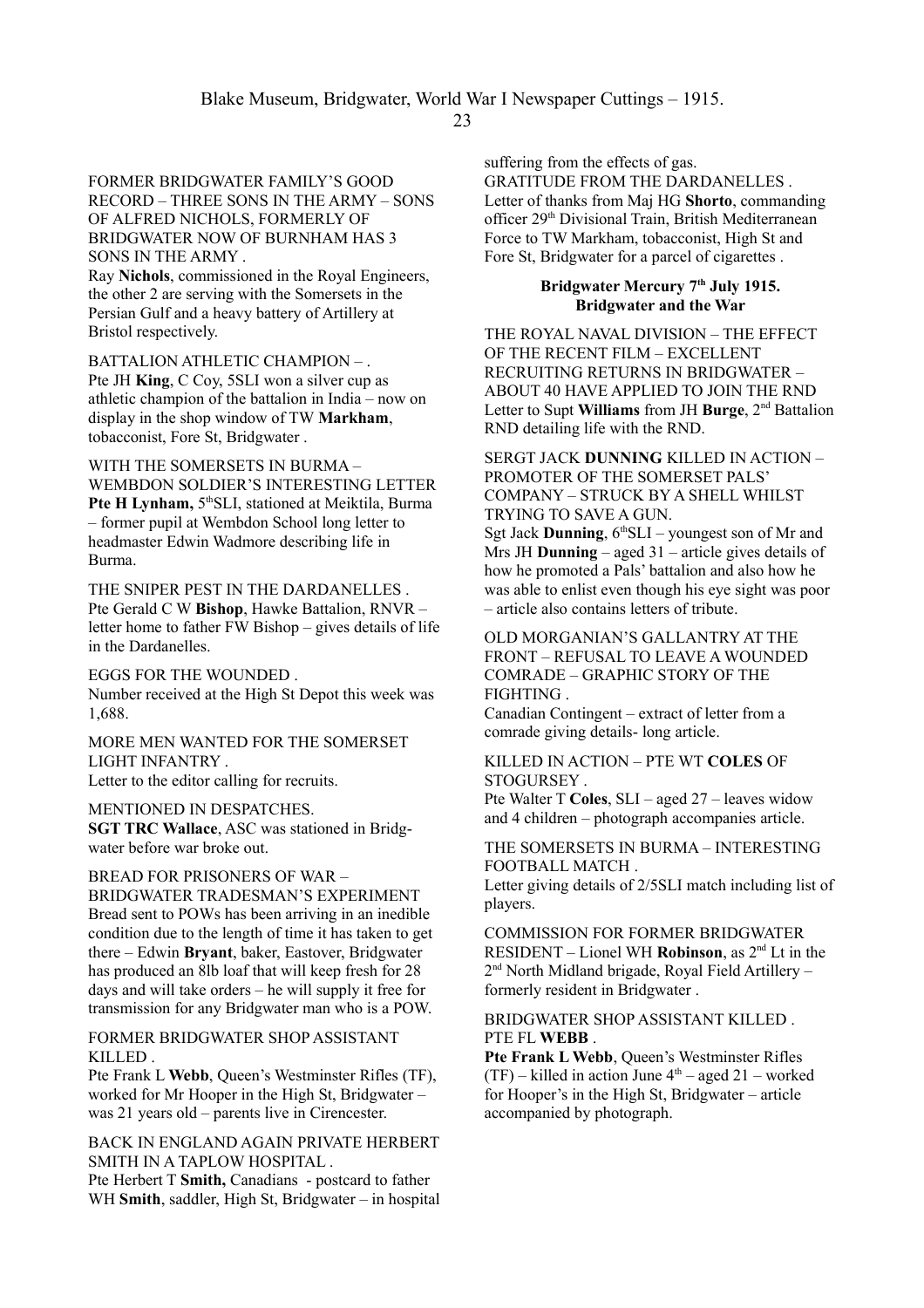## FORMER BRIDGWATER FAMILY'S GOOD RECORD – THREE SONS IN THE ARMY – SONS OF ALFRED NICHOLS, FORMERLY OF BRIDGWATER NOW OF BURNHAM HAS 3 SONS IN THE ARMY .

Ray **Nichols**, commissioned in the Royal Engineers, the other 2 are serving with the Somersets in the Persian Gulf and a heavy battery of Artillery at Bristol respectively.

BATTALION ATHLETIC CHAMPION – . Pte JH **King**, C Coy, 5SLI won a silver cup as athletic champion of the battalion in India – now on display in the shop window of TW **Markham**, tobacconist, Fore St, Bridgwater .

WITH THE SOMERSETS IN BURMA – WEMBDON SOLDIER'S INTERESTING LETTER Pte H Lynham, 5<sup>th</sup>SLI, stationed at Meiktila, Burma – former pupil at Wembdon School long letter to headmaster Edwin Wadmore describing life in Burma.

THE SNIPER PEST IN THE DARDANELLES . Pte Gerald C W **Bishop**, Hawke Battalion, RNVR – letter home to father FW Bishop – gives details of life in the Dardanelles.

EGGS FOR THE WOUNDED . Number received at the High St Depot this week was 1,688.

MORE MEN WANTED FOR THE SOMERSET LIGHT INFANTRY .

Letter to the editor calling for recruits.

MENTIONED IN DESPATCHES. **SGT TRC Wallace**, ASC was stationed in Bridgwater before war broke out.

BREAD FOR PRISONERS OF WAR – BRIDGWATER TRADESMAN'S EXPERIMENT Bread sent to POWs has been arriving in an inedible condition due to the length of time it has taken to get there – Edwin **Bryant**, baker, Eastover, Bridgwater has produced an 8lb loaf that will keep fresh for 28 days and will take orders – he will supply it free for transmission for any Bridgwater man who is a POW.

## FORMER BRIDGWATER SHOP ASSISTANT KILLED .

Pte Frank L **Webb**, Queen's Westminster Rifles (TF), worked for Mr Hooper in the High St, Bridgwater – was 21 years old – parents live in Cirencester.

# BACK IN ENGLAND AGAIN PRIVATE HERBERT SMITH IN A TAPLOW HOSPITAL .

Pte Herbert T **Smith,** Canadians - postcard to father WH **Smith**, saddler, High St, Bridgwater – in hospital suffering from the effects of gas. GRATITUDE FROM THE DARDANELLES . Letter of thanks from Maj HG **Shorto**, commanding officer 29<sup>th</sup> Divisional Train, British Mediterranean Force to TW Markham, tobacconist, High St and Fore St, Bridgwater for a parcel of cigarettes .

# **Bridgwater Mercury 7th July 1915. Bridgwater and the War**

THE ROYAL NAVAL DIVISION – THE EFFECT OF THE RECENT FILM – EXCELLENT RECRUITING RETURNS IN BRIDGWATER – ABOUT 40 HAVE APPLIED TO JOIN THE RND Letter to Supt **Williams** from JH **Burge**, 2nd Battalion RND detailing life with the RND.

SERGT JACK **DUNNING** KILLED IN ACTION – PROMOTER OF THE SOMERSET PALS' COMPANY – STRUCK BY A SHELL WHILST TRYING TO SAVE A GUN.

Sgt Jack **Dunning**,  $6<sup>th</sup>SLI$  – youngest son of Mr and Mrs JH **Dunning** – aged 31 – article gives details of how he promoted a Pals' battalion and also how he was able to enlist even though his eye sight was poor – article also contains letters of tribute.

### OLD MORGANIAN'S GALLANTRY AT THE FRONT – REFUSAL TO LEAVE A WOUNDED COMRADE – GRAPHIC STORY OF THE **FIGHTING**

Canadian Contingent – extract of letter from a comrade giving details- long article.

### KILLED IN ACTION – PTE WT **COLES** OF STOGURSEY .

Pte Walter T **Coles**, SLI – aged 27 – leaves widow and 4 children – photograph accompanies article.

## THE SOMERSETS IN BURMA – INTERESTING FOOTBALL MATCH .

Letter giving details of 2/5SLI match including list of players.

COMMISSION FOR FORMER BRIDGWATER RESIDENT – Lionel WH **Robinson**, as 2nd Lt in the 2 nd North Midland brigade, Royal Field Artillery – formerly resident in Bridgwater .

## BRIDGWATER SHOP ASSISTANT KILLED . PTE FL **WEBB** .

**Pte Frank L Webb**, Queen's Westminster Rifles (TF) – killed in action June  $4<sup>th</sup>$  – aged 21 – worked for Hooper's in the High St, Bridgwater – article accompanied by photograph.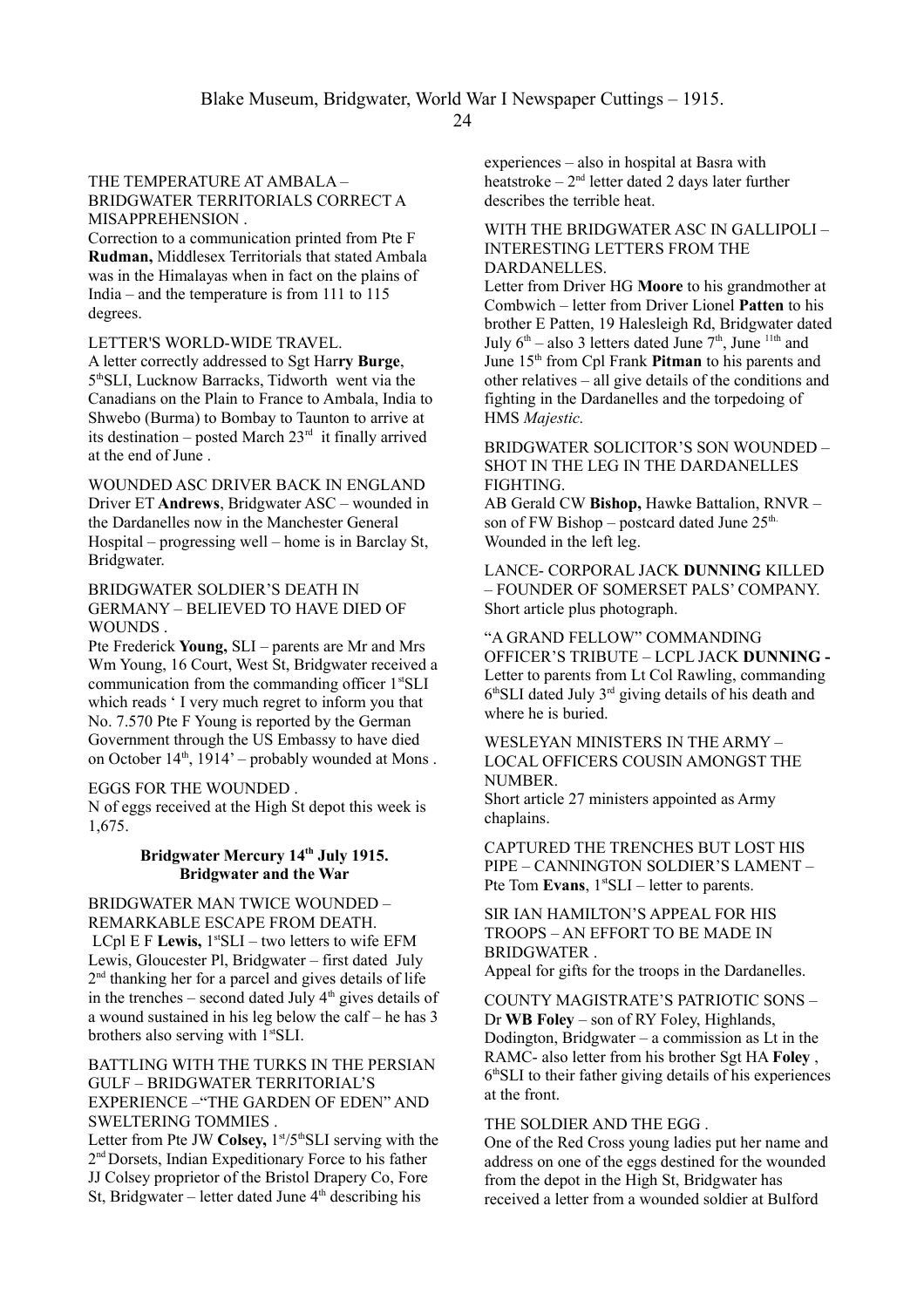24

## THE TEMPERATURE AT AMBALA – BRIDGWATER TERRITORIALS CORRECT A MISAPPREHENSION .

Correction to a communication printed from Pte F **Rudman,** Middlesex Territorials that stated Ambala was in the Himalayas when in fact on the plains of India – and the temperature is from 111 to 115 degrees.

### LETTER'S WORLD-WIDE TRAVEL.

A letter correctly addressed to Sgt Har**ry Burge**, 5 thSLI, Lucknow Barracks, Tidworth went via the Canadians on the Plain to France to Ambala, India to Shwebo (Burma) to Bombay to Taunton to arrive at its destination – posted March  $23<sup>rd</sup>$  it finally arrived at the end of June .

WOUNDED ASC DRIVER BACK IN ENGLAND Driver ET **Andrews**, Bridgwater ASC – wounded in the Dardanelles now in the Manchester General Hospital – progressing well – home is in Barclay St, Bridgwater.

BRIDGWATER SOLDIER'S DEATH IN GERMANY – BELIEVED TO HAVE DIED OF WOUNDS .

Pte Frederick **Young,** SLI – parents are Mr and Mrs Wm Young, 16 Court, West St, Bridgwater received a communication from the commanding officer 1<sup>st</sup>SLI which reads  $\lq$  I very much regret to inform you that No. 7.570 Pte F Young is reported by the German Government through the US Embassy to have died on October  $14<sup>th</sup>$ ,  $1914'$  – probably wounded at Mons.

## EGGS FOR THE WOUNDED .

N of eggs received at the High St depot this week is 1,675.

### **Bridgwater Mercury 14th July 1915. Bridgwater and the War**

BRIDGWATER MAN TWICE WOUNDED – REMARKABLE ESCAPE FROM DEATH. LCpl  $E$  F Lewis,  $1^{st}$ SLI – two letters to wife EFM Lewis, Gloucester Pl, Bridgwater – first dated July 2<sup>nd</sup> thanking her for a parcel and gives details of life in the trenches – second dated July  $4<sup>th</sup>$  gives details of a wound sustained in his leg below the calf – he has 3 brothers also serving with 1<sup>st</sup>SLI.

BATTLING WITH THE TURKS IN THE PERSIAN GULF – BRIDGWATER TERRITORIAL'S EXPERIENCE –"THE GARDEN OF EDEN" AND SWELTERING TOMMIES .

Letter from Pte JW Colsey, 1<sup>st</sup>/5<sup>th</sup>SLI serving with the 2 nd Dorsets, Indian Expeditionary Force to his father JJ Colsey proprietor of the Bristol Drapery Co, Fore St, Bridgwater – letter dated June  $4<sup>th</sup>$  describing his

experiences – also in hospital at Basra with heatstroke –  $2<sup>nd</sup>$  letter dated 2 days later further describes the terrible heat.

### WITH THE BRIDGWATER ASC IN GALLIPOLI – INTERESTING LETTERS FROM THE DARDANELLES.

Letter from Driver HG **Moore** to his grandmother at Combwich – letter from Driver Lionel **Patten** to his brother E Patten, 19 Halesleigh Rd, Bridgwater dated July  $6<sup>th</sup> - also$  3 letters dated June  $7<sup>th</sup>$ , June  $1<sup>1th</sup>$  and June 15th from Cpl Frank **Pitman** to his parents and other relatives – all give details of the conditions and fighting in the Dardanelles and the torpedoing of HMS *Majestic.*

BRIDGWATER SOLICITOR'S SON WOUNDED – SHOT IN THE LEG IN THE DARDANELLES FIGHTING.

AB Gerald CW **Bishop,** Hawke Battalion, RNVR – son of FW Bishop – postcard dated June  $25<sup>th</sup>$ . Wounded in the left leg.

LANCE- CORPORAL JACK **DUNNING** KILLED – FOUNDER OF SOMERSET PALS' COMPANY. Short article plus photograph.

"A GRAND FELLOW" COMMANDING OFFICER'S TRIBUTE – LCPL JACK **DUNNING -**  Letter to parents from Lt Col Rawling, commanding 6<sup>th</sup>SLI dated July 3<sup>rd</sup> giving details of his death and where he is buried.

# WESLEYAN MINISTERS IN THE ARMY – LOCAL OFFICERS COUSIN AMONGST THE NUMBER.

Short article 27 ministers appointed as Army chaplains.

CAPTURED THE TRENCHES BUT LOST HIS PIPE – CANNINGTON SOLDIER'S LAMENT – Pte Tom **Evans**,  $1^{st}$ SLI – letter to parents.

SIR IAN HAMILTON'S APPEAL FOR HIS TROOPS – AN EFFORT TO BE MADE IN BRIDGWATER .

Appeal for gifts for the troops in the Dardanelles.

COUNTY MAGISTRATE'S PATRIOTIC SONS – Dr **WB Foley** – son of RY Foley, Highlands, Dodington, Bridgwater – a commission as Lt in the RAMC- also letter from his brother Sgt HA **Foley** , 6 thSLI to their father giving details of his experiences at the front.

## THE SOLDIER AND THE EGG .

One of the Red Cross young ladies put her name and address on one of the eggs destined for the wounded from the depot in the High St, Bridgwater has received a letter from a wounded soldier at Bulford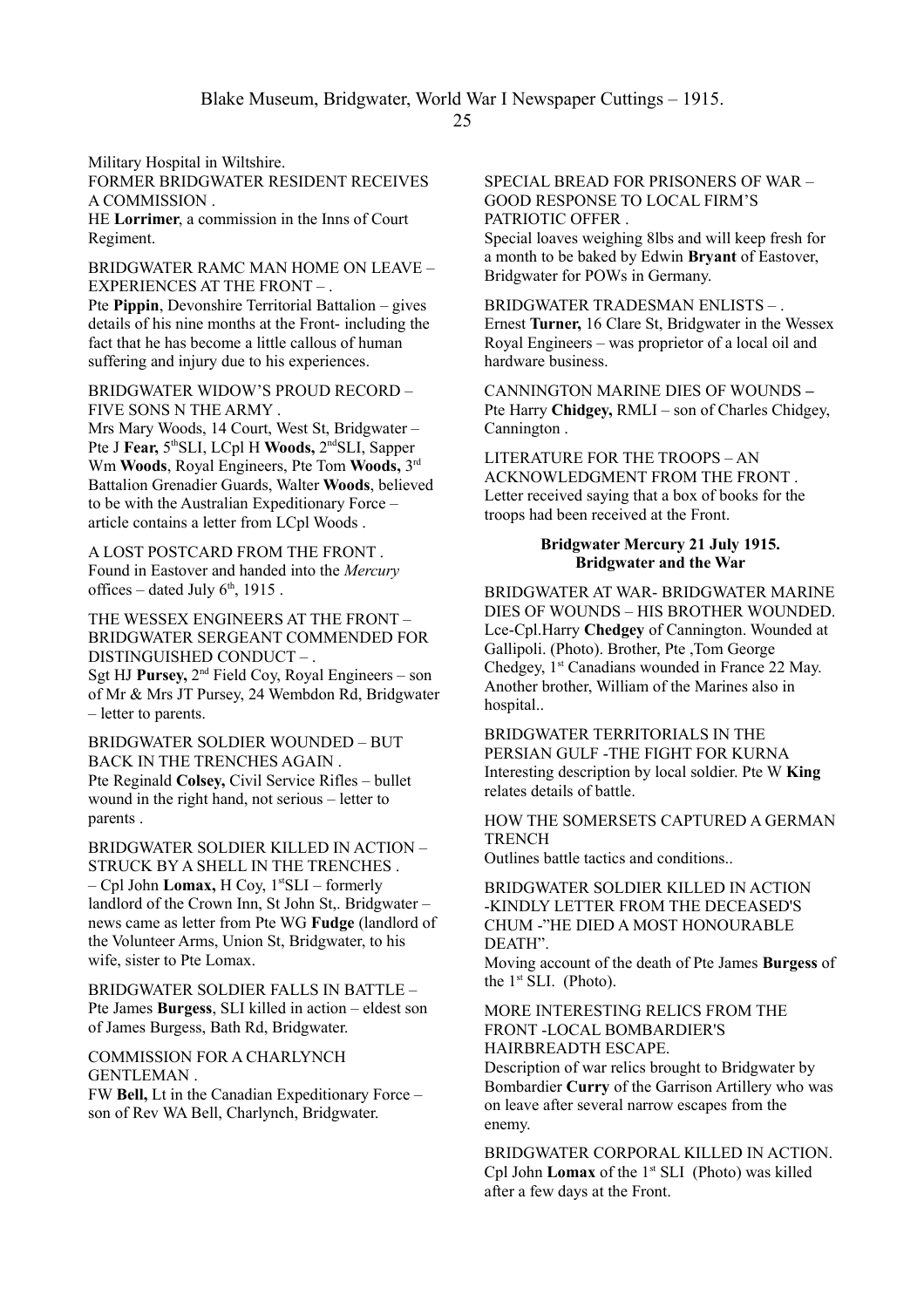Military Hospital in Wiltshire.

FORMER BRIDGWATER RESIDENT RECEIVES A COMMISSION .

HE **Lorrimer**, a commission in the Inns of Court Regiment.

BRIDGWATER RAMC MAN HOME ON LEAVE – EXPERIENCES AT THE FRONT – .

Pte **Pippin**, Devonshire Territorial Battalion – gives details of his nine months at the Front- including the fact that he has become a little callous of human suffering and injury due to his experiences.

BRIDGWATER WIDOW'S PROUD RECORD – FIVE SONS N THE ARMY .

Mrs Mary Woods, 14 Court, West St, Bridgwater – Pte J Fear, 5<sup>th</sup>SLI, LCpl H Woods, 2<sup>nd</sup>SLI, Sapper Wm **Woods**, Royal Engineers, Pte Tom **Woods,** 3 rd Battalion Grenadier Guards, Walter **Woods**, believed to be with the Australian Expeditionary Force – article contains a letter from LCpl Woods .

A LOST POSTCARD FROM THE FRONT . Found in Eastover and handed into the *Mercury* offices – dated July  $6<sup>th</sup>$ , 1915.

THE WESSEX ENGINEERS AT THE FRONT – BRIDGWATER SERGEANT COMMENDED FOR DISTINGUISHED CONDUCT – . Sgt HJ **Pursey,** 2<sup>nd</sup> Field Coy, Royal Engineers – son

of Mr & Mrs JT Pursey, 24 Wembdon Rd, Bridgwater – letter to parents.

BRIDGWATER SOLDIER WOUNDED – BUT BACK IN THE TRENCHES AGAIN . Pte Reginald **Colsey,** Civil Service Rifles – bullet wound in the right hand, not serious – letter to parents .

BRIDGWATER SOLDIER KILLED IN ACTION – STRUCK BY A SHELL IN THE TRENCHES . – Cpl John **Lomax,** H Coy, 1stSLI – formerly landlord of the Crown Inn, St John St,. Bridgwater – news came as letter from Pte WG **Fudge** (landlord of the Volunteer Arms, Union St, Bridgwater, to his wife, sister to Pte Lomax.

BRIDGWATER SOLDIER FALLS IN BATTLE – Pte James **Burgess**, SLI killed in action – eldest son of James Burgess, Bath Rd, Bridgwater.

### COMMISSION FOR A CHARLYNCH GENTLEMAN .

FW **Bell,** Lt in the Canadian Expeditionary Force – son of Rev WA Bell, Charlynch, Bridgwater.

#### SPECIAL BREAD FOR PRISONERS OF WAR – GOOD RESPONSE TO LOCAL FIRM'S PATRIOTIC OFFER .

Special loaves weighing 8lbs and will keep fresh for a month to be baked by Edwin **Bryant** of Eastover, Bridgwater for POWs in Germany.

BRIDGWATER TRADESMAN ENLISTS – . Ernest **Turner,** 16 Clare St, Bridgwater in the Wessex Royal Engineers – was proprietor of a local oil and hardware business.

CANNINGTON MARINE DIES OF WOUNDS **–**  Pte Harry **Chidgey,** RMLI – son of Charles Chidgey, Cannington .

LITERATURE FOR THE TROOPS – AN ACKNOWLEDGMENT FROM THE FRONT . Letter received saying that a box of books for the troops had been received at the Front.

## **Bridgwater Mercury 21 July 1915. Bridgwater and the War**

BRIDGWATER AT WAR- BRIDGWATER MARINE DIES OF WOUNDS – HIS BROTHER WOUNDED. Lce-Cpl.Harry **Chedgey** of Cannington. Wounded at Gallipoli. (Photo). Brother, Pte ,Tom George Chedgey, 1<sup>st</sup> Canadians wounded in France 22 May. Another brother, William of the Marines also in hospital..

BRIDGWATER TERRITORIALS IN THE PERSIAN GULF -THE FIGHT FOR KURNA Interesting description by local soldier. Pte W **King** relates details of battle.

## HOW THE SOMERSETS CAPTURED A GERMAN **TRENCH**

Outlines battle tactics and conditions..

BRIDGWATER SOLDIER KILLED IN ACTION -KINDLY LETTER FROM THE DECEASED'S CHUM -"HE DIED A MOST HONOURABLE DEATH".

Moving account of the death of Pte James **Burgess** of the  $1<sup>st</sup> SLI$ . (Photo).

#### MORE INTERESTING RELICS FROM THE FRONT -LOCAL BOMBARDIER'S HAIRBREADTH ESCAPE.

Description of war relics brought to Bridgwater by Bombardier **Curry** of the Garrison Artillery who was on leave after several narrow escapes from the enemy.

BRIDGWATER CORPORAL KILLED IN ACTION. Cpl John **Lomax** of the 1<sup>st</sup> SLI (Photo) was killed after a few days at the Front.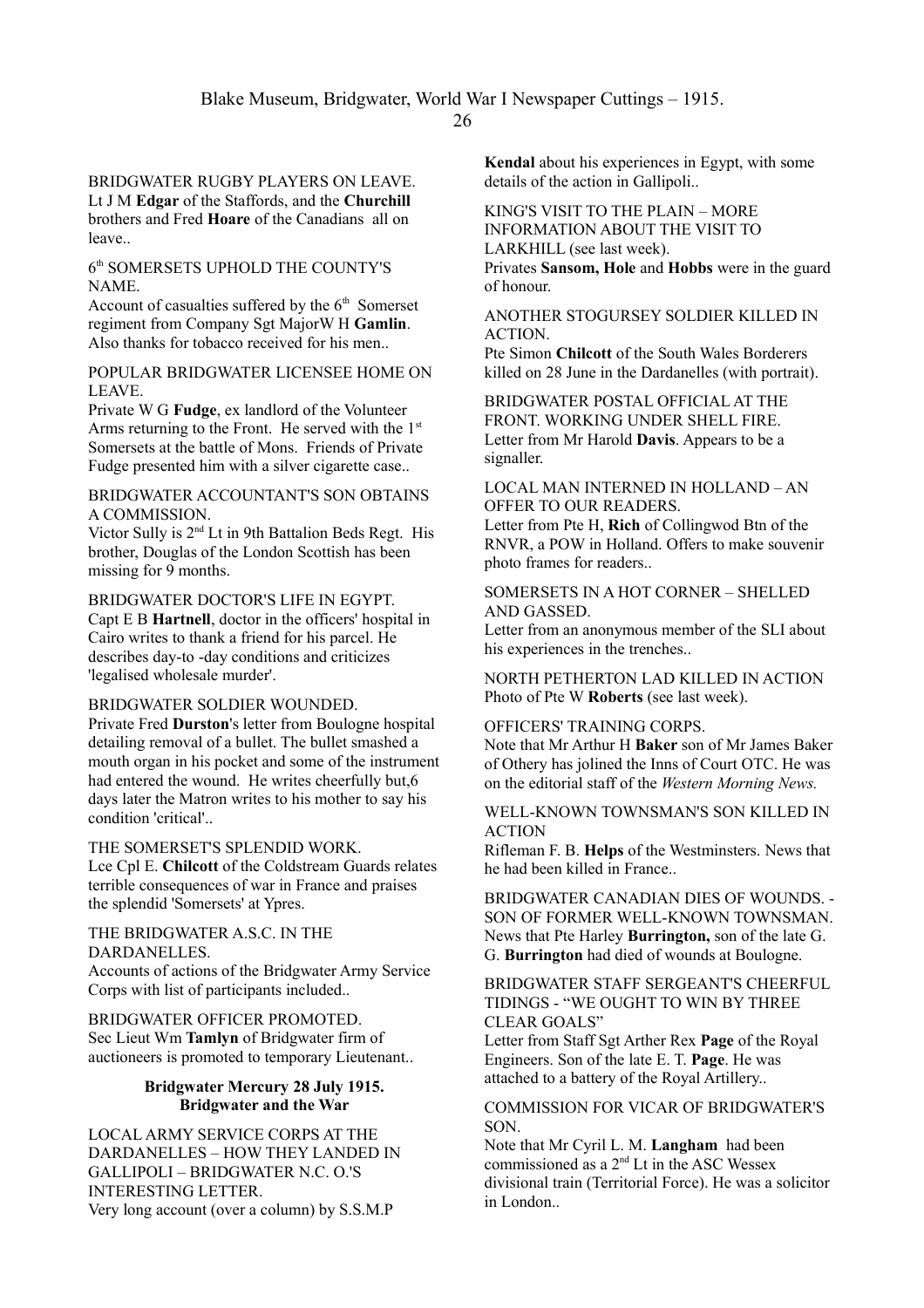BRIDGWATER RUGBY PLAYERS ON LEAVE. Lt J M **Edgar** of the Staffords, and the **Churchill** brothers and Fred **Hoare** of the Canadians all on leave..

6 th SOMERSETS UPHOLD THE COUNTY'S NAME.

Account of casualties suffered by the  $6<sup>th</sup>$  Somerset regiment from Company Sgt MajorW H **Gamlin**. Also thanks for tobacco received for his men..

POPULAR BRIDGWATER LICENSEE HOME ON LEAVE.

Private W G **Fudge**, ex landlord of the Volunteer Arms returning to the Front. He served with the  $1<sup>st</sup>$ Somersets at the battle of Mons. Friends of Private Fudge presented him with a silver cigarette case..

BRIDGWATER ACCOUNTANT'S SON OBTAINS A COMMISSION.

Victor Sully is 2nd Lt in 9th Battalion Beds Regt. His brother, Douglas of the London Scottish has been missing for 9 months.

BRIDGWATER DOCTOR'S LIFE IN EGYPT. Capt E B **Hartnell**, doctor in the officers' hospital in Cairo writes to thank a friend for his parcel. He describes day-to -day conditions and criticizes 'legalised wholesale murder'.

#### BRIDGWATER SOLDIER WOUNDED.

Private Fred **Durston**'s letter from Boulogne hospital detailing removal of a bullet. The bullet smashed a mouth organ in his pocket and some of the instrument had entered the wound. He writes cheerfully but,6 days later the Matron writes to his mother to say his condition 'critical'..

THE SOMERSET'S SPLENDID WORK. Lce Cpl E. **Chilcott** of the Coldstream Guards relates terrible consequences of war in France and praises the splendid 'Somersets' at Ypres.

THE BRIDGWATER A.S.C. IN THE DARDANELLES.

Accounts of actions of the Bridgwater Army Service Corps with list of participants included..

BRIDGWATER OFFICER PROMOTED. Sec Lieut Wm **Tamlyn** of Bridgwater firm of auctioneers is promoted to temporary Lieutenant..

## **Bridgwater Mercury 28 July 1915. Bridgwater and the War**

LOCAL ARMY SERVICE CORPS AT THE DARDANELLES – HOW THEY LANDED IN GALLIPOLI – BRIDGWATER N.C. O.'S INTERESTING LETTER. Very long account (over a column) by S.S.M.P

**Kendal** about his experiences in Egypt, with some details of the action in Gallipoli..

KING'S VISIT TO THE PLAIN – MORE INFORMATION ABOUT THE VISIT TO LARKHILL (see last week). Privates **Sansom, Hole** and **Hobbs** were in the guard of honour.

ANOTHER STOGURSEY SOLDIER KILLED IN ACTION.

Pte Simon **Chilcott** of the South Wales Borderers killed on 28 June in the Dardanelles (with portrait).

BRIDGWATER POSTAL OFFICIAL AT THE FRONT. WORKING UNDER SHELL FIRE. Letter from Mr Harold **Davis**. Appears to be a signaller.

LOCAL MAN INTERNED IN HOLLAND – AN OFFER TO OUR READERS.

Letter from Pte H, **Rich** of Collingwod Btn of the RNVR, a POW in Holland. Offers to make souvenir photo frames for readers..

#### SOMERSETS IN A HOT CORNER – SHELLED AND GASSED.

Letter from an anonymous member of the SLI about his experiences in the trenches..

NORTH PETHERTON LAD KILLED IN ACTION Photo of Pte W **Roberts** (see last week).

## OFFICERS' TRAINING CORPS.

Note that Mr Arthur H **Baker** son of Mr James Baker of Othery has jolined the Inns of Court OTC. He was on the editorial staff of the *Western Morning News.*

#### WELL-KNOWN TOWNSMAN'S SON KILLED IN ACTION

Rifleman F. B. **Helps** of the Westminsters. News that he had been killed in France..

BRIDGWATER CANADIAN DIES OF WOUNDS. - SON OF FORMER WELL-KNOWN TOWNSMAN. News that Pte Harley **Burrington,** son of the late G. G. **Burrington** had died of wounds at Boulogne.

## BRIDGWATER STAFF SERGEANT'S CHEERFUL TIDINGS - "WE OUGHT TO WIN BY THREE CLEAR GOALS"

Letter from Staff Sgt Arther Rex **Page** of the Royal Engineers. Son of the late E. T. **Page**. He was attached to a battery of the Royal Artillery..

#### COMMISSION FOR VICAR OF BRIDGWATER'S SON.

Note that Mr Cyril L. M. **Langham** had been commissioned as a 2<sup>nd</sup> Lt in the ASC Wessex divisional train (Territorial Force). He was a solicitor in London..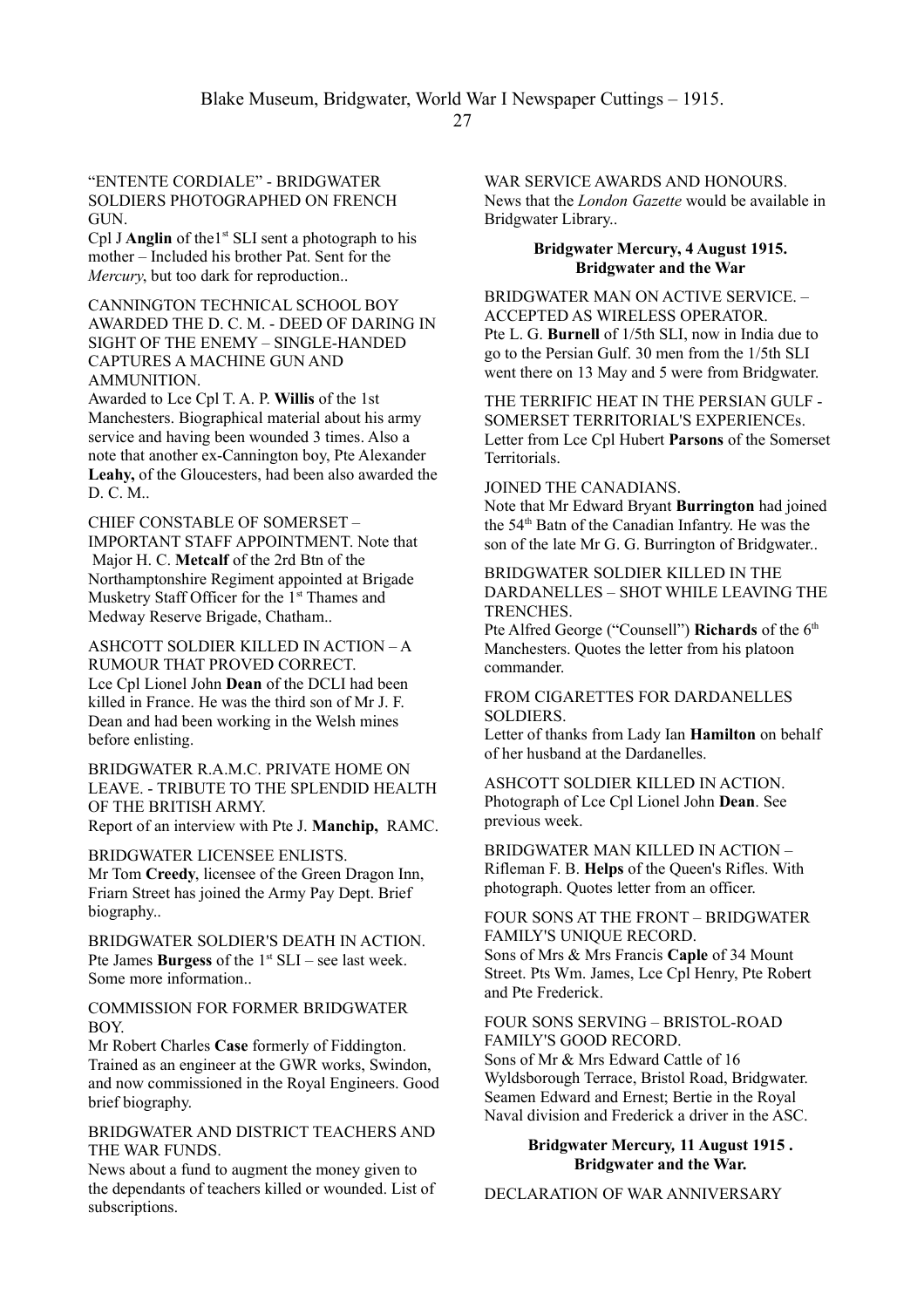#### "ENTENTE CORDIALE" - BRIDGWATER SOLDIERS PHOTOGRAPHED ON FRENCH **GUN.**

Cpl J **Anglin** of the<sup>1st</sup> SLI sent a photograph to his mother – Included his brother Pat. Sent for the *Mercury*, but too dark for reproduction..

#### CANNINGTON TECHNICAL SCHOOL BOY AWARDED THE D. C. M. - DEED OF DARING IN SIGHT OF THE ENEMY – SINGLE-HANDED CAPTURES A MACHINE GUN AND AMMUNITION.

Awarded to Lce Cpl T. A. P. **Willis** of the 1st Manchesters. Biographical material about his army service and having been wounded 3 times. Also a note that another ex-Cannington boy, Pte Alexander **Leahy,** of the Gloucesters, had been also awarded the D. C. M..

## CHIEF CONSTABLE OF SOMERSET – IMPORTANT STAFF APPOINTMENT. Note that Major H. C. **Metcalf** of the 2rd Btn of the Northamptonshire Regiment appointed at Brigade Musketry Staff Officer for the 1<sup>st</sup> Thames and Medway Reserve Brigade, Chatham..

ASHCOTT SOLDIER KILLED IN ACTION – A RUMOUR THAT PROVED CORRECT. Lce Cpl Lionel John **Dean** of the DCLI had been killed in France. He was the third son of Mr J. F. Dean and had been working in the Welsh mines before enlisting.

# BRIDGWATER R.A.M.C. PRIVATE HOME ON LEAVE. - TRIBUTE TO THE SPLENDID HEALTH OF THE BRITISH ARMY.

Report of an interview with Pte J. **Manchip,** RAMC.

#### BRIDGWATER LICENSEE ENLISTS. Mr Tom **Creedy**, licensee of the Green Dragon Inn, Friarn Street has joined the Army Pay Dept. Brief biography..

BRIDGWATER SOLDIER'S DEATH IN ACTION. Pte James **Burgess** of the 1<sup>st</sup> SLI – see last week. Some more information..

## COMMISSION FOR FORMER BRIDGWATER BOY.

Mr Robert Charles **Case** formerly of Fiddington. Trained as an engineer at the GWR works, Swindon, and now commissioned in the Royal Engineers. Good brief biography.

#### BRIDGWATER AND DISTRICT TEACHERS AND THE WAR FUNDS.

News about a fund to augment the money given to the dependants of teachers killed or wounded. List of subscriptions.

WAR SERVICE AWARDS AND HONOURS News that the *London Gazette* would be available in Bridgwater Library..

# **Bridgwater Mercury, 4 August 1915. Bridgwater and the War**

BRIDGWATER MAN ON ACTIVE SERVICE. – ACCEPTED AS WIRELESS OPERATOR. Pte L. G. **Burnell** of 1/5th SLI, now in India due to go to the Persian Gulf. 30 men from the 1/5th SLI went there on 13 May and 5 were from Bridgwater.

THE TERRIFIC HEAT IN THE PERSIAN GULF - SOMERSET TERRITORIAL'S EXPERIENCEs. Letter from Lce Cpl Hubert **Parsons** of the Somerset Territorials.

### JOINED THE CANADIANS.

Note that Mr Edward Bryant **Burrington** had joined the 54th Batn of the Canadian Infantry. He was the son of the late Mr G. G. Burrington of Bridgwater..

#### BRIDGWATER SOLDIER KILLED IN THE DARDANELLES – SHOT WHILE LEAVING THE **TRENCHES**

Pte Alfred George ("Counsell") **Richards** of the 6<sup>th</sup> Manchesters. Quotes the letter from his platoon commander.

## FROM CIGARETTES FOR DARDANELLES SOLDIERS.

Letter of thanks from Lady Ian **Hamilton** on behalf of her husband at the Dardanelles.

ASHCOTT SOLDIER KILLED IN ACTION. Photograph of Lce Cpl Lionel John **Dean**. See previous week.

BRIDGWATER MAN KILLED IN ACTION – Rifleman F. B. **Helps** of the Queen's Rifles. With photograph. Quotes letter from an officer.

## FOUR SONS AT THE FRONT – BRIDGWATER FAMILY'S UNIQUE RECORD. Sons of Mrs & Mrs Francis **Caple** of 34 Mount Street. Pts Wm. James, Lce Cpl Henry, Pte Robert and Pte Frederick.

#### FOUR SONS SERVING – BRISTOL-ROAD FAMILY'S GOOD RECORD. Sons of Mr & Mrs Edward Cattle of 16 Wyldsborough Terrace, Bristol Road, Bridgwater. Seamen Edward and Ernest; Bertie in the Royal Naval division and Frederick a driver in the ASC.

### **Bridgwater Mercury***,* **11 August 1915 . Bridgwater and the War.**

DECLARATION OF WAR ANNIVERSARY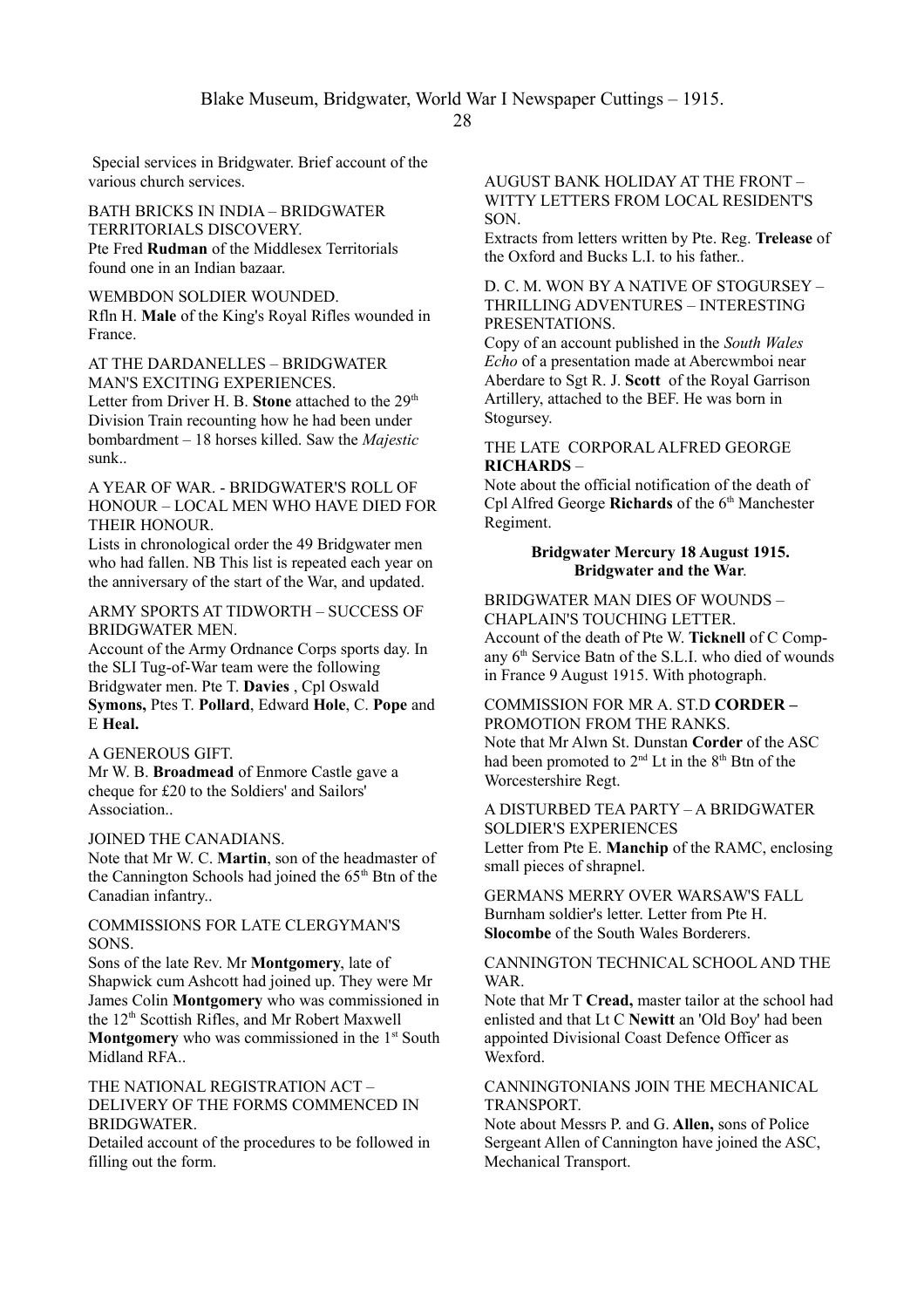Special services in Bridgwater. Brief account of the various church services.

#### BATH BRICKS IN INDIA – BRIDGWATER TERRITORIALS DISCOVERY. Pte Fred **Rudman** of the Middlesex Territorials found one in an Indian bazaar.

WEMBDON SOLDIER WOUNDED. Rfln H. **Male** of the King's Royal Rifles wounded in France.

#### AT THE DARDANELLES – BRIDGWATER MAN'S EXCITING EXPERIENCES.

Letter from Driver H. B. **Stone** attached to the 29<sup>th</sup> Division Train recounting how he had been under bombardment – 18 horses killed. Saw the *Majestic* sunk..

## A YEAR OF WAR. - BRIDGWATER'S ROLL OF HONOUR – LOCAL MEN WHO HAVE DIED FOR THEIR HONOUR.

Lists in chronological order the 49 Bridgwater men who had fallen. NB This list is repeated each year on the anniversary of the start of the War, and updated.

## ARMY SPORTS AT TIDWORTH – SUCCESS OF BRIDGWATER MEN.

Account of the Army Ordnance Corps sports day. In the SLI Tug-of-War team were the following Bridgwater men. Pte T. **Davies** , Cpl Oswald **Symons,** Ptes T. **Pollard**, Edward **Hole**, C. **Pope** and E **Heal.**

#### A GENEROUS GIFT.

Mr W. B. **Broadmead** of Enmore Castle gave a cheque for £20 to the Soldiers' and Sailors' Association..

# JOINED THE CANADIANS.

Note that Mr W. C. **Martin**, son of the headmaster of the Cannington Schools had joined the  $65<sup>th</sup>$  Btn of the Canadian infantry..

#### COMMISSIONS FOR LATE CLERGYMAN'S SONS.

Sons of the late Rev. Mr **Montgomery**, late of Shapwick cum Ashcott had joined up. They were Mr James Colin **Montgomery** who was commissioned in the 12th Scottish Rifles, and Mr Robert Maxwell **Montgomery** who was commissioned in the 1<sup>st</sup> South Midland RFA..

# THE NATIONAL REGISTRATION ACT – DELIVERY OF THE FORMS COMMENCED IN BRIDGWATER.

Detailed account of the procedures to be followed in filling out the form.

## AUGUST BANK HOLIDAY AT THE FRONT – WITTY LETTERS FROM LOCAL RESIDENT'S SON.

Extracts from letters written by Pte. Reg. **Trelease** of the Oxford and Bucks L.I. to his father..

# D. C. M. WON BY A NATIVE OF STOGURSEY – THRILLING ADVENTURES – INTERESTING PRESENTATIONS.

Copy of an account published in the *South Wales Echo* of a presentation made at Abercwmboi near Aberdare to Sgt R. J. **Scott** of the Royal Garrison Artillery, attached to the BEF. He was born in Stogursey.

#### THE LATE CORPORAL ALFRED GEORGE **RICHARDS** –

Note about the official notification of the death of Cpl Alfred George **Richards** of the 6<sup>th</sup> Manchester Regiment.

### **Bridgwater Mercury 18 August 1915. Bridgwater and the War**.

## BRIDGWATER MAN DIES OF WOUNDS – CHAPLAIN'S TOUCHING LETTER. Account of the death of Pte W. **Ticknell** of C Company 6<sup>th</sup> Service Batn of the S.L.I. who died of wounds

in France 9 August 1915. With photograph.

#### COMMISSION FOR MR A. ST.D **CORDER –** PROMOTION FROM THE RANKS.

Note that Mr Alwn St. Dunstan **Corder** of the ASC had been promoted to  $2<sup>nd</sup>$  Lt in the  $8<sup>th</sup>$  Btn of the Worcestershire Regt.

#### A DISTURBED TEA PARTY – A BRIDGWATER SOLDIER'S EXPERIENCES

Letter from Pte E. **Manchip** of the RAMC, enclosing small pieces of shrapnel.

GERMANS MERRY OVER WARSAW'S FALL Burnham soldier's letter. Letter from Pte H. **Slocombe** of the South Wales Borderers.

### CANNINGTON TECHNICAL SCHOOL AND THE WAR.

Note that Mr T **Cread,** master tailor at the school had enlisted and that Lt C **Newitt** an 'Old Boy' had been appointed Divisional Coast Defence Officer as Wexford.

#### CANNINGTONIANS JOIN THE MECHANICAL TRANSPORT.

Note about Messrs P. and G. **Allen,** sons of Police Sergeant Allen of Cannington have joined the ASC, Mechanical Transport.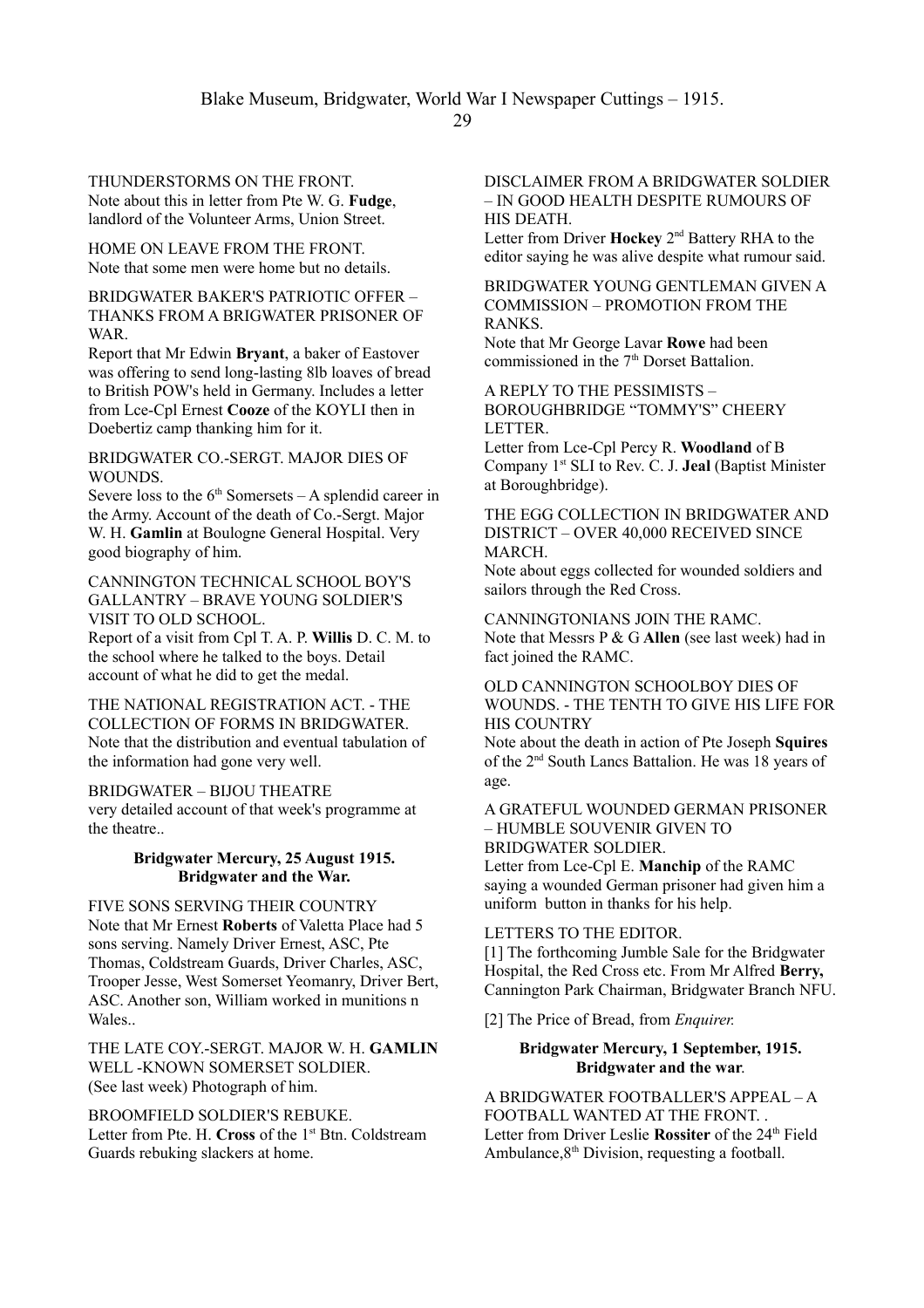#### THUNDERSTORMS ON THE FRONT. Note about this in letter from Pte W. G. **Fudge**, landlord of the Volunteer Arms, Union Street.

HOME ON LEAVE FROM THE FRONT. Note that some men were home but no details.

BRIDGWATER BAKER'S PATRIOTIC OFFER – THANKS FROM A BRIGWATER PRISONER OF WAR.

Report that Mr Edwin **Bryant**, a baker of Eastover was offering to send long-lasting 8lb loaves of bread to British POW's held in Germany. Includes a letter from Lce-Cpl Ernest **Cooze** of the KOYLI then in Doebertiz camp thanking him for it.

BRIDGWATER CO.-SERGT. MAJOR DIES OF WOUNDS.

Severe loss to the  $6<sup>th</sup>$  Somersets – A splendid career in the Army. Account of the death of Co.-Sergt. Major W. H. **Gamlin** at Boulogne General Hospital. Very good biography of him.

CANNINGTON TECHNICAL SCHOOL BOY'S GALLANTRY – BRAVE YOUNG SOLDIER'S VISIT TO OLD SCHOOL.

Report of a visit from Cpl T. A. P. **Willis** D. C. M. to the school where he talked to the boys. Detail account of what he did to get the medal.

THE NATIONAL REGISTRATION ACT. - THE COLLECTION OF FORMS IN BRIDGWATER. Note that the distribution and eventual tabulation of the information had gone very well.

BRIDGWATER – BIJOU THEATRE

very detailed account of that week's programme at the theatre..

## **Bridgwater Mercury, 25 August 1915. Bridgwater and the War.**

FIVE SONS SERVING THEIR COUNTRY Note that Mr Ernest **Roberts** of Valetta Place had 5 sons serving. Namely Driver Ernest, ASC, Pte Thomas, Coldstream Guards, Driver Charles, ASC, Trooper Jesse, West Somerset Yeomanry, Driver Bert, ASC. Another son, William worked in munitions n Wales..

THE LATE COY.-SERGT. MAJOR W. H. **GAMLIN** WELL -KNOWN SOMERSET SOLDIER. (See last week) Photograph of him.

BROOMFIELD SOLDIER'S REBUKE. Letter from Pte. H. Cross of the 1<sup>st</sup> Btn. Coldstream Guards rebuking slackers at home.

## DISCLAIMER FROM A BRIDGWATER SOLDIER – IN GOOD HEALTH DESPITE RUMOURS OF HIS DEATH.

Letter from Driver **Hockey** 2nd Battery RHA to the editor saying he was alive despite what rumour said.

BRIDGWATER YOUNG GENTLEMAN GIVEN A COMMISSION – PROMOTION FROM THE RANKS.

Note that Mr George Lavar **Rowe** had been commissioned in the 7<sup>th</sup> Dorset Battalion.

A REPLY TO THE PESSIMISTS – BOROUGHBRIDGE "TOMMY'S" CHEERY LETTER.

Letter from Lce-Cpl Percy R. **Woodland** of B Company 1st SLI to Rev. C. J. **Jeal** (Baptist Minister at Boroughbridge).

THE EGG COLLECTION IN BRIDGWATER AND DISTRICT – OVER 40,000 RECEIVED SINCE MARCH.

Note about eggs collected for wounded soldiers and sailors through the Red Cross.

CANNINGTONIANS JOIN THE RAMC. Note that Messrs P & G **Allen** (see last week) had in fact joined the RAMC.

OLD CANNINGTON SCHOOLBOY DIES OF WOUNDS. - THE TENTH TO GIVE HIS LIFE FOR HIS COUNTRY

Note about the death in action of Pte Joseph **Squires** of the 2nd South Lancs Battalion. He was 18 years of age.

A GRATEFUL WOUNDED GERMAN PRISONER – HUMBLE SOUVENIR GIVEN TO BRIDGWATER SOLDIER.

Letter from Lce-Cpl E. **Manchip** of the RAMC saying a wounded German prisoner had given him a uniform button in thanks for his help.

## LETTERS TO THE EDITOR.

[1] The forthcoming Jumble Sale for the Bridgwater Hospital, the Red Cross etc. From Mr Alfred **Berry,** Cannington Park Chairman, Bridgwater Branch NFU.

[2] The Price of Bread, from *Enquirer.*

## **Bridgwater Mercury, 1 September, 1915. Bridgwater and the war**.

A BRIDGWATER FOOTBALLER'S APPEAL – A FOOTBALL WANTED AT THE FRONT. . Letter from Driver Leslie Rossiter of the 24<sup>th</sup> Field Ambulance, $8<sup>th</sup>$  Division, requesting a football.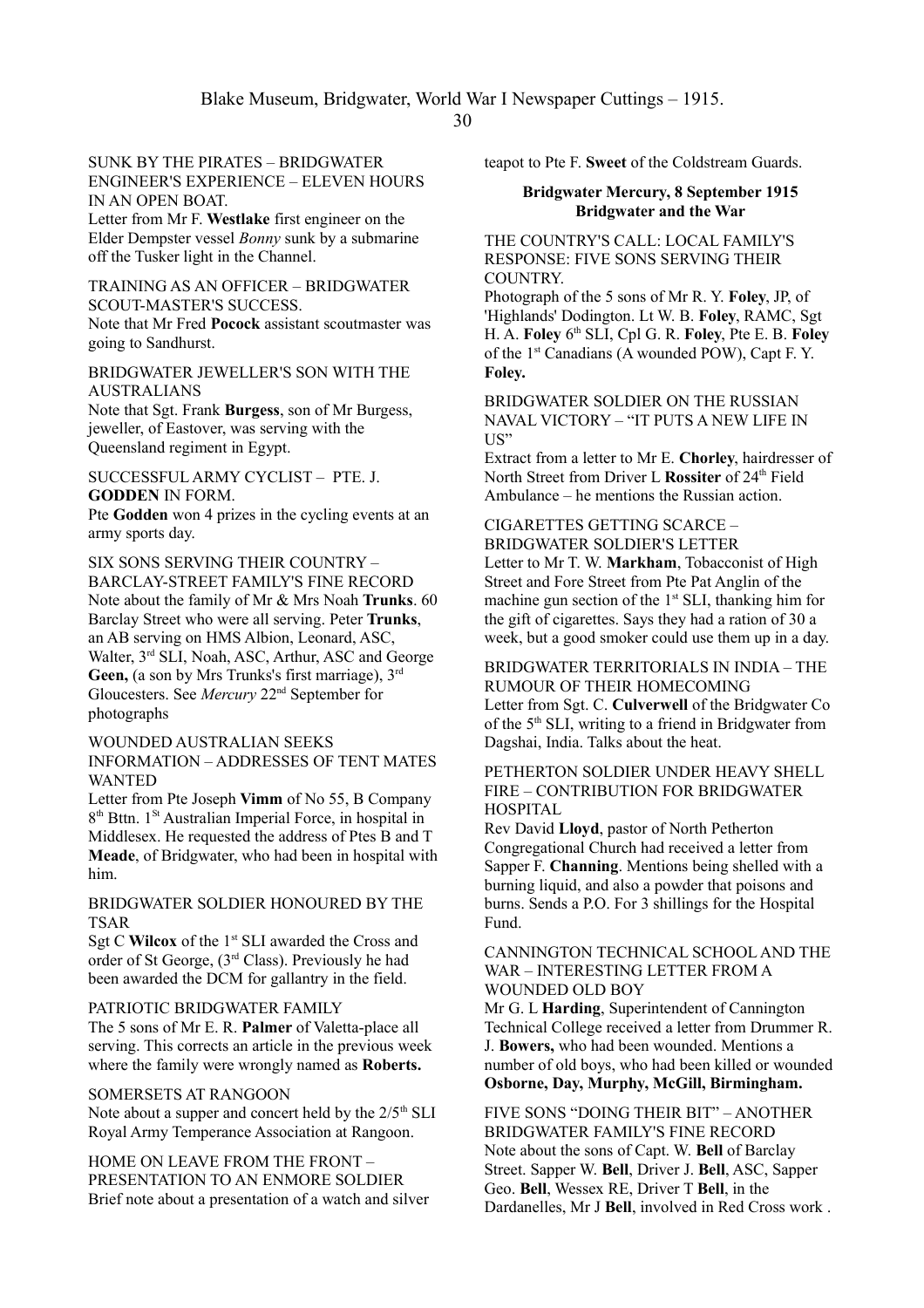Blake Museum, Bridgwater, World War I Newspaper Cuttings – 1915.

#### SUNK BY THE PIRATES – BRIDGWATER ENGINEER'S EXPERIENCE – ELEVEN HOURS IN AN OPEN BOAT.

Letter from Mr F. **Westlake** first engineer on the Elder Dempster vessel *Bonny* sunk by a submarine off the Tusker light in the Channel.

#### TRAINING AS AN OFFICER – BRIDGWATER SCOUT-MASTER'S SUCCESS.

Note that Mr Fred **Pocock** assistant scoutmaster was going to Sandhurst.

#### BRIDGWATER JEWELLER'S SON WITH THE AUSTRALIANS

Note that Sgt. Frank **Burgess**, son of Mr Burgess, jeweller, of Eastover, was serving with the Queensland regiment in Egypt.

#### SUCCESSFUL ARMY CYCLIST – PTE. J. **GODDEN** IN FORM.

Pte **Godden** won 4 prizes in the cycling events at an army sports day.

SIX SONS SERVING THEIR COUNTRY – BARCLAY-STREET FAMILY'S FINE RECORD Note about the family of Mr & Mrs Noah **Trunks**. 60 Barclay Street who were all serving. Peter **Trunks**, an AB serving on HMS Albion, Leonard, ASC, Walter, 3<sup>rd</sup> SLI, Noah, ASC, Arthur, ASC and George Geen, (a son by Mrs Trunks's first marriage), 3<sup>rd</sup> Gloucesters. See *Mercury* 22nd September for photographs

#### WOUNDED AUSTRALIAN SEEKS INFORMATION – ADDRESSES OF TENT MATES WANTED

Letter from Pte Joseph **Vimm** of No 55, B Company 8<sup>th</sup> Bttn. 1<sup>St</sup> Australian Imperial Force, in hospital in Middlesex. He requested the address of Ptes B and T **Meade**, of Bridgwater, who had been in hospital with him.

## BRIDGWATER SOLDIER HONOURED BY THE TSAR

Sgt C Wilcox of the 1<sup>st</sup> SLI awarded the Cross and order of St George, (3rd Class). Previously he had been awarded the DCM for gallantry in the field.

## PATRIOTIC BRIDGWATER FAMILY

The 5 sons of Mr E. R. **Palmer** of Valetta-place all serving. This corrects an article in the previous week where the family were wrongly named as **Roberts.**

#### SOMERSETS AT RANGOON

Note about a supper and concert held by the  $2/5<sup>th</sup> SLI$ Royal Army Temperance Association at Rangoon.

HOME ON LEAVE FROM THE FRONT – PRESENTATION TO AN ENMORE SOLDIER Brief note about a presentation of a watch and silver teapot to Pte F. **Sweet** of the Coldstream Guards.

#### **Bridgwater Mercury, 8 September 1915 Bridgwater and the War**

THE COUNTRY'S CALL: LOCAL FAMILY'S RESPONSE: FIVE SONS SERVING THEIR COUNTRY.

Photograph of the 5 sons of Mr R. Y. **Foley**, JP, of 'Highlands' Dodington. Lt W. B. **Foley**, RAMC, Sgt H. A. **Foley** 6th SLI, Cpl G. R. **Foley**, Pte E. B. **Foley** of the 1st Canadians (A wounded POW), Capt F. Y. **Foley.**

BRIDGWATER SOLDIER ON THE RUSSIAN NAVAL VICTORY – "IT PUTS A NEW LIFE IN US"

Extract from a letter to Mr E. **Chorley**, hairdresser of North Street from Driver L **Rossiter** of 24<sup>th</sup> Field Ambulance – he mentions the Russian action.

#### CIGARETTES GETTING SCARCE – BRIDGWATER SOLDIER'S LETTER

Letter to Mr T. W. **Markham**, Tobacconist of High Street and Fore Street from Pte Pat Anglin of the machine gun section of the 1<sup>st</sup> SLI, thanking him for the gift of cigarettes. Says they had a ration of 30 a week, but a good smoker could use them up in a day.

BRIDGWATER TERRITORIALS IN INDIA – THE RUMOUR OF THEIR HOMECOMING Letter from Sgt. C. **Culverwell** of the Bridgwater Co of the  $5<sup>th</sup>$  SLI, writing to a friend in Bridgwater from Dagshai, India. Talks about the heat.

## PETHERTON SOLDIER UNDER HEAVY SHELL FIRE – CONTRIBUTION FOR BRIDGWATER HOSPITAL

Rev David **Lloyd**, pastor of North Petherton Congregational Church had received a letter from Sapper F. **Channing**. Mentions being shelled with a burning liquid, and also a powder that poisons and burns. Sends a P.O. For 3 shillings for the Hospital Fund.

## CANNINGTON TECHNICAL SCHOOL AND THE WAR – INTERESTING LETTER FROM A WOUNDED OLD BOY

Mr G. L **Harding**, Superintendent of Cannington Technical College received a letter from Drummer R. J. **Bowers,** who had been wounded. Mentions a number of old boys, who had been killed or wounded **Osborne, Day, Murphy, McGill, Birmingham.**

FIVE SONS "DOING THEIR BIT" – ANOTHER BRIDGWATER FAMILY'S FINE RECORD Note about the sons of Capt. W. **Bell** of Barclay Street. Sapper W. **Bell**, Driver J. **Bell**, ASC, Sapper Geo. **Bell**, Wessex RE, Driver T **Bell**, in the Dardanelles, Mr J **Bell**, involved in Red Cross work .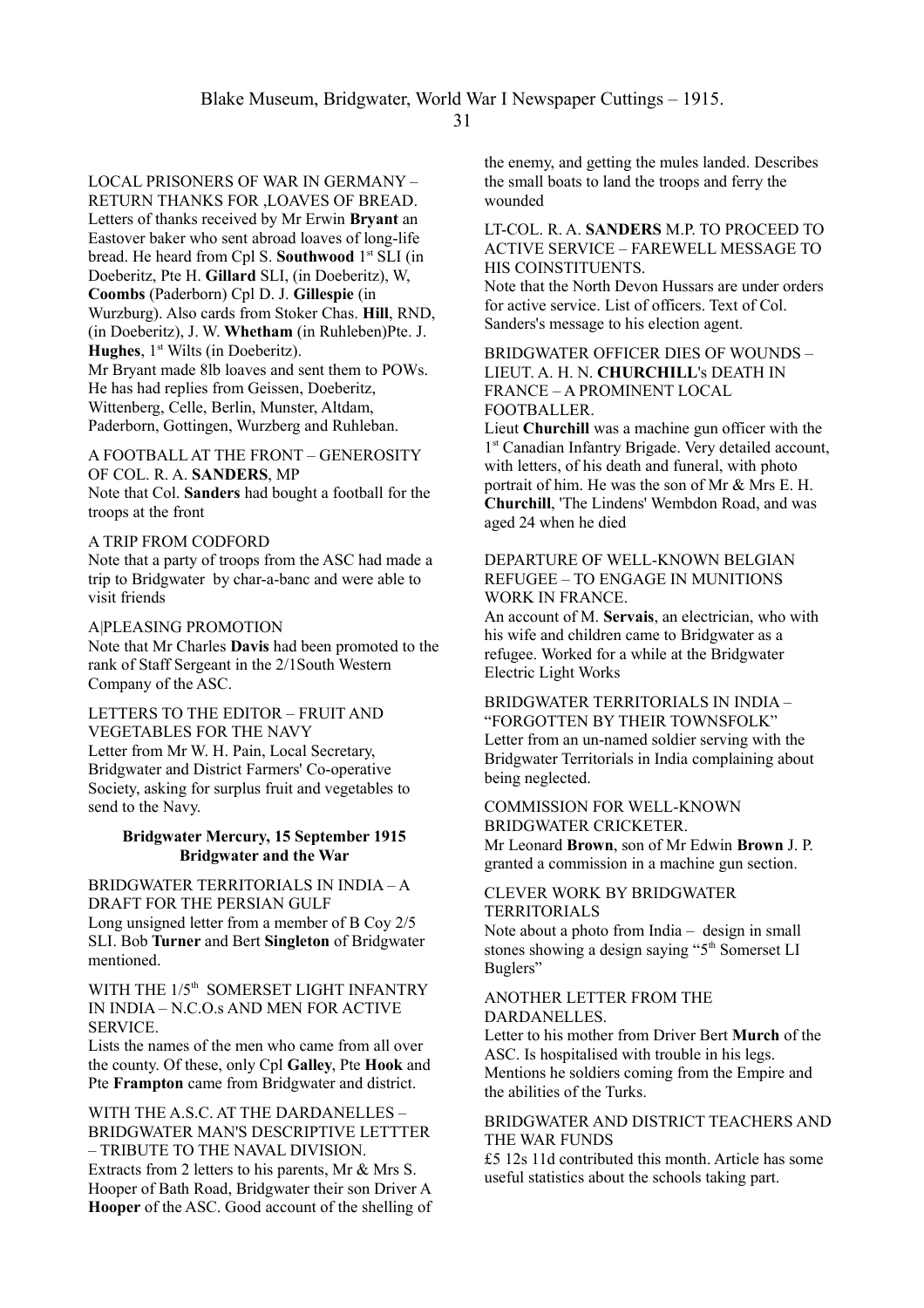31

LOCAL PRISONERS OF WAR IN GERMANY – RETURN THANKS FOR ,LOAVES OF BREAD. Letters of thanks received by Mr Erwin **Bryant** an Eastover baker who sent abroad loaves of long-life bread. He heard from Cpl S. **Southwood** 1<sup>st</sup> SLI (in Doeberitz, Pte H. **Gillard** SLI, (in Doeberitz), W, **Coombs** (Paderborn) Cpl D. J. **Gillespie** (in Wurzburg). Also cards from Stoker Chas. **Hill**, RND, (in Doeberitz), J. W. **Whetham** (in Ruhleben)Pte. J. **Hughes**, 1<sup>st</sup> Wilts (in Doeberitz).

Mr Bryant made 8lb loaves and sent them to POWs. He has had replies from Geissen, Doeberitz, Wittenberg, Celle, Berlin, Munster, Altdam, Paderborn, Gottingen, Wurzberg and Ruhleban.

## A FOOTBALL AT THE FRONT – GENEROSITY OF COL. R. A. **SANDERS**, MP

Note that Col. **Sanders** had bought a football for the troops at the front

### A TRIP FROM CODFORD

Note that a party of troops from the ASC had made a trip to Bridgwater by char-a-banc and were able to visit friends

#### A|PLEASING PROMOTION

Note that Mr Charles **Davis** had been promoted to the rank of Staff Sergeant in the 2/1South Western Company of the ASC.

#### LETTERS TO THE EDITOR – FRUIT AND VEGETABLES FOR THE NAVY

Letter from Mr W. H. Pain, Local Secretary, Bridgwater and District Farmers' Co-operative Society, asking for surplus fruit and vegetables to send to the Navy.

#### **Bridgwater Mercury, 15 September 1915 Bridgwater and the War**

# BRIDGWATER TERRITORIALS IN INDIA – A DRAFT FOR THE PERSIAN GULF Long unsigned letter from a member of B Coy 2/5

SLI. Bob **Turner** and Bert **Singleton** of Bridgwater mentioned.

# WITH THE 1/5<sup>th</sup> SOMERSET LIGHT INFANTRY IN INDIA – N.C.O.s AND MEN FOR ACTIVE SERVICE.

Lists the names of the men who came from all over the county. Of these, only Cpl **Galley**, Pte **Hook** and Pte **Frampton** came from Bridgwater and district.

#### WITH THE A.S.C. AT THE DARDANELLES – BRIDGWATER MAN'S DESCRIPTIVE LETTTER – TRIBUTE TO THE NAVAL DIVISION.

Extracts from 2 letters to his parents, Mr & Mrs S. Hooper of Bath Road, Bridgwater their son Driver A **Hooper** of the ASC. Good account of the shelling of the enemy, and getting the mules landed. Describes the small boats to land the troops and ferry the wounded

## LT-COL. R. A. **SANDERS** M.P. TO PROCEED TO ACTIVE SERVICE – FAREWELL MESSAGE TO HIS COINSTITUENTS

Note that the North Devon Hussars are under orders for active service. List of officers. Text of Col. Sanders's message to his election agent.

## BRIDGWATER OFFICER DIES OF WOUNDS – LIEUT. A. H. N. **CHURCHILL**'s DEATH IN FRANCE – A PROMINENT LOCAL FOOTBALLER.

Lieut **Churchill** was a machine gun officer with the 1 st Canadian Infantry Brigade. Very detailed account, with letters, of his death and funeral, with photo portrait of him. He was the son of Mr & Mrs E. H. **Churchill**, 'The Lindens' Wembdon Road, and was aged 24 when he died

## DEPARTURE OF WELL-KNOWN BELGIAN REFUGEE – TO ENGAGE IN MUNITIONS WORK IN FRANCE.

An account of M. **Servais**, an electrician, who with his wife and children came to Bridgwater as a refugee. Worked for a while at the Bridgwater Electric Light Works

## BRIDGWATER TERRITORIALS IN INDIA – "FORGOTTEN BY THEIR TOWNSFOLK" Letter from an un-named soldier serving with the Bridgwater Territorials in India complaining about being neglected.

#### COMMISSION FOR WELL-KNOWN BRIDGWATER CRICKETER.

Mr Leonard **Brown**, son of Mr Edwin **Brown** J. P. granted a commission in a machine gun section.

# CLEVER WORK BY BRIDGWATER **TERRITORIALS**

Note about a photo from India – design in small stones showing a design saying "5<sup>th</sup> Somerset LI Buglers"

#### ANOTHER LETTER FROM THE **DARDANELLES**

Letter to his mother from Driver Bert **Murch** of the ASC. Is hospitalised with trouble in his legs. Mentions he soldiers coming from the Empire and the abilities of the Turks.

## BRIDGWATER AND DISTRICT TEACHERS AND THE WAR FUNDS

£5 12s 11d contributed this month. Article has some useful statistics about the schools taking part.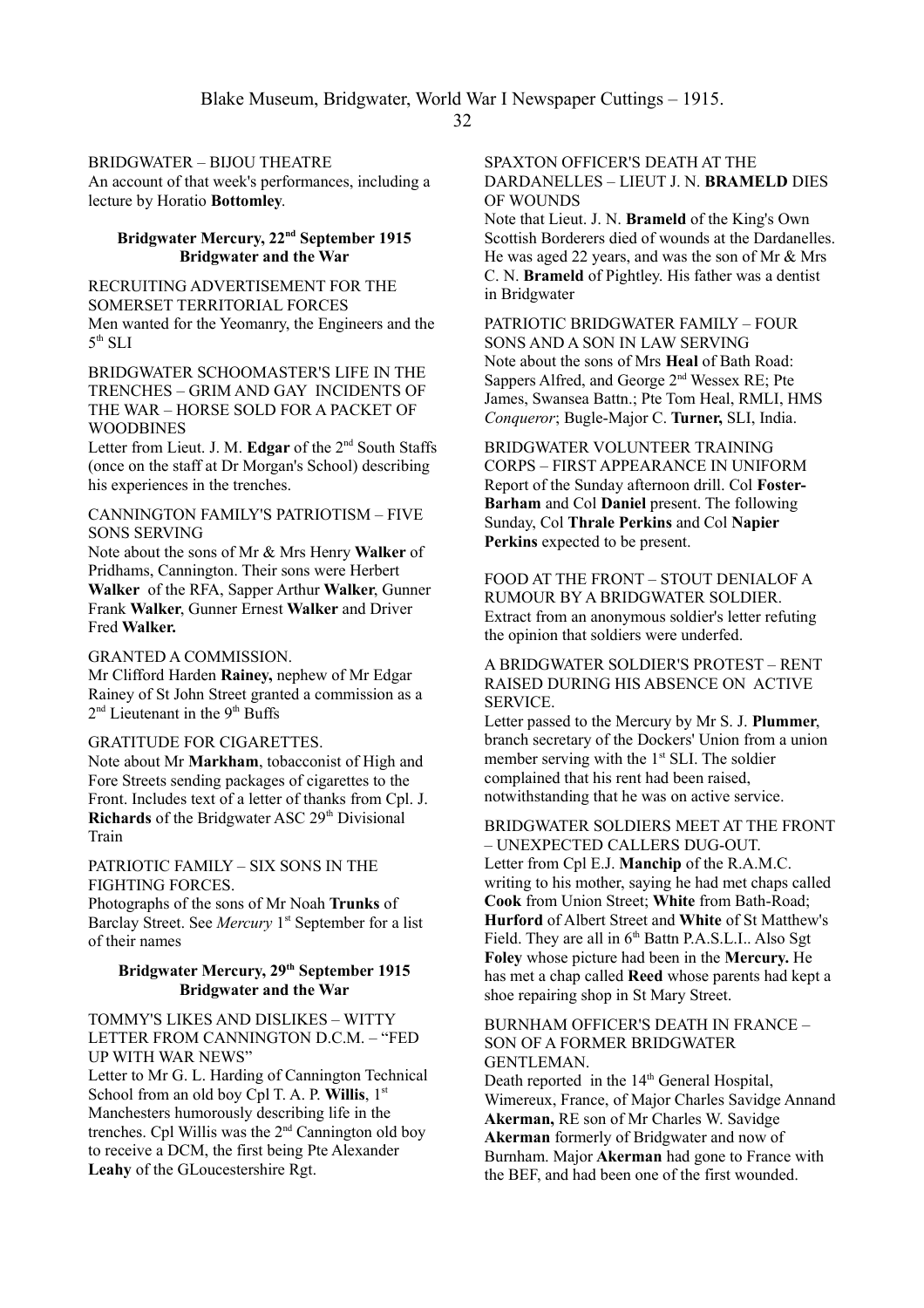## BRIDGWATER – BIJOU THEATRE

An account of that week's performances, including a lecture by Horatio **Bottomley**.

## **Bridgwater Mercury, 22nd September 1915 Bridgwater and the War**

RECRUITING ADVERTISEMENT FOR THE SOMERSET TERRITORIAL FORCES Men wanted for the Yeomanry, the Engineers and the  $5<sup>th</sup> SLI$ 

BRIDGWATER SCHOOMASTER'S LIFE IN THE TRENCHES – GRIM AND GAY INCIDENTS OF THE WAR – HORSE SOLD FOR A PACKET OF WOODBINES

Letter from Lieut. J. M. **Edgar** of the 2nd South Staffs (once on the staff at Dr Morgan's School) describing his experiences in the trenches.

#### CANNINGTON FAMILY'S PATRIOTISM – FIVE SONS SERVING

Note about the sons of Mr & Mrs Henry **Walker** of Pridhams, Cannington. Their sons were Herbert **Walker** of the RFA, Sapper Arthur **Walker**, Gunner Frank **Walker**, Gunner Ernest **Walker** and Driver Fred **Walker.**

#### GRANTED A COMMISSION.

Mr Clifford Harden **Rainey,** nephew of Mr Edgar Rainey of St John Street granted a commission as a 2<sup>nd</sup> Lieutenant in the 9<sup>th</sup> Buffs

## GRATITUDE FOR CIGARETTES.

Note about Mr **Markham**, tobacconist of High and Fore Streets sending packages of cigarettes to the Front. Includes text of a letter of thanks from Cpl. J. **Richards** of the Bridgwater ASC 29<sup>th</sup> Divisional Train

## PATRIOTIC FAMILY – SIX SONS IN THE FIGHTING FORCES.

Photographs of the sons of Mr Noah **Trunks** of Barclay Street. See *Mercury* 1<sup>st</sup> September for a list of their names

#### **Bridgwater Mercury, 29 th September 1915 Bridgwater and the War**

## TOMMY'S LIKES AND DISLIKES – WITTY LETTER FROM CANNINGTON D.C.M. – "FED UP WITH WAR NEWS"

Letter to Mr G. L. Harding of Cannington Technical School from an old boy Cpl T. A. P. **Willis**, 1<sup>st</sup> Manchesters humorously describing life in the trenches. Cpl Willis was the  $2<sup>nd</sup>$  Cannington old boy to receive a DCM, the first being Pte Alexander **Leahy** of the GLoucestershire Rgt.

#### SPAXTON OFFICER'S DEATH AT THE DARDANELLES – LIEUT J. N. **BRAMELD** DIES OF WOUNDS

Note that Lieut. J. N. **Brameld** of the King's Own Scottish Borderers died of wounds at the Dardanelles. He was aged 22 years, and was the son of Mr & Mrs C. N. **Brameld** of Pightley. His father was a dentist in Bridgwater

PATRIOTIC BRIDGWATER FAMILY – FOUR SONS AND A SON IN LAW SERVING Note about the sons of Mrs **Heal** of Bath Road: Sappers Alfred, and George 2nd Wessex RE; Pte James, Swansea Battn.; Pte Tom Heal, RMLI, HMS *Conqueror*; Bugle-Major C. **Turner,** SLI, India.

BRIDGWATER VOLUNTEER TRAINING CORPS – FIRST APPEARANCE IN UNIFORM Report of the Sunday afternoon drill. Col **Foster-Barham** and Col **Daniel** present. The following Sunday, Col **Thrale Perkins** and Col **Napier Perkins** expected to be present.

#### FOOD AT THE FRONT – STOUT DENIALOF A RUMOUR BY A BRIDGWATER SOLDIER. Extract from an anonymous soldier's letter refuting the opinion that soldiers were underfed.

#### A BRIDGWATER SOLDIER'S PROTEST – RENT RAISED DURING HIS ABSENCE ON ACTIVE SERVICE.

Letter passed to the Mercury by Mr S. J. **Plummer**, branch secretary of the Dockers' Union from a union member serving with the  $1<sup>st</sup> SLI$ . The soldier complained that his rent had been raised, notwithstanding that he was on active service.

## BRIDGWATER SOLDIERS MEET AT THE FRONT – UNEXPECTED CALLERS DUG-OUT. Letter from Cpl E.J. **Manchip** of the R.A.M.C. writing to his mother, saying he had met chaps called **Cook** from Union Street; **White** from Bath-Road; **Hurford** of Albert Street and **White** of St Matthew's Field. They are all in 6<sup>th</sup> Battn P.A.S.L.I.. Also Sgt **Foley** whose picture had been in the **Mercury.** He

has met a chap called **Reed** whose parents had kept a shoe repairing shop in St Mary Street.

#### BURNHAM OFFICER'S DEATH IN FRANCE – SON OF A FORMER BRIDGWATER GENTLEMAN.

Death reported in the  $14<sup>th</sup>$  General Hospital. Wimereux, France, of Major Charles Savidge Annand **Akerman,** RE son of Mr Charles W. Savidge **Akerman** formerly of Bridgwater and now of Burnham. Major **Akerman** had gone to France with the BEF, and had been one of the first wounded.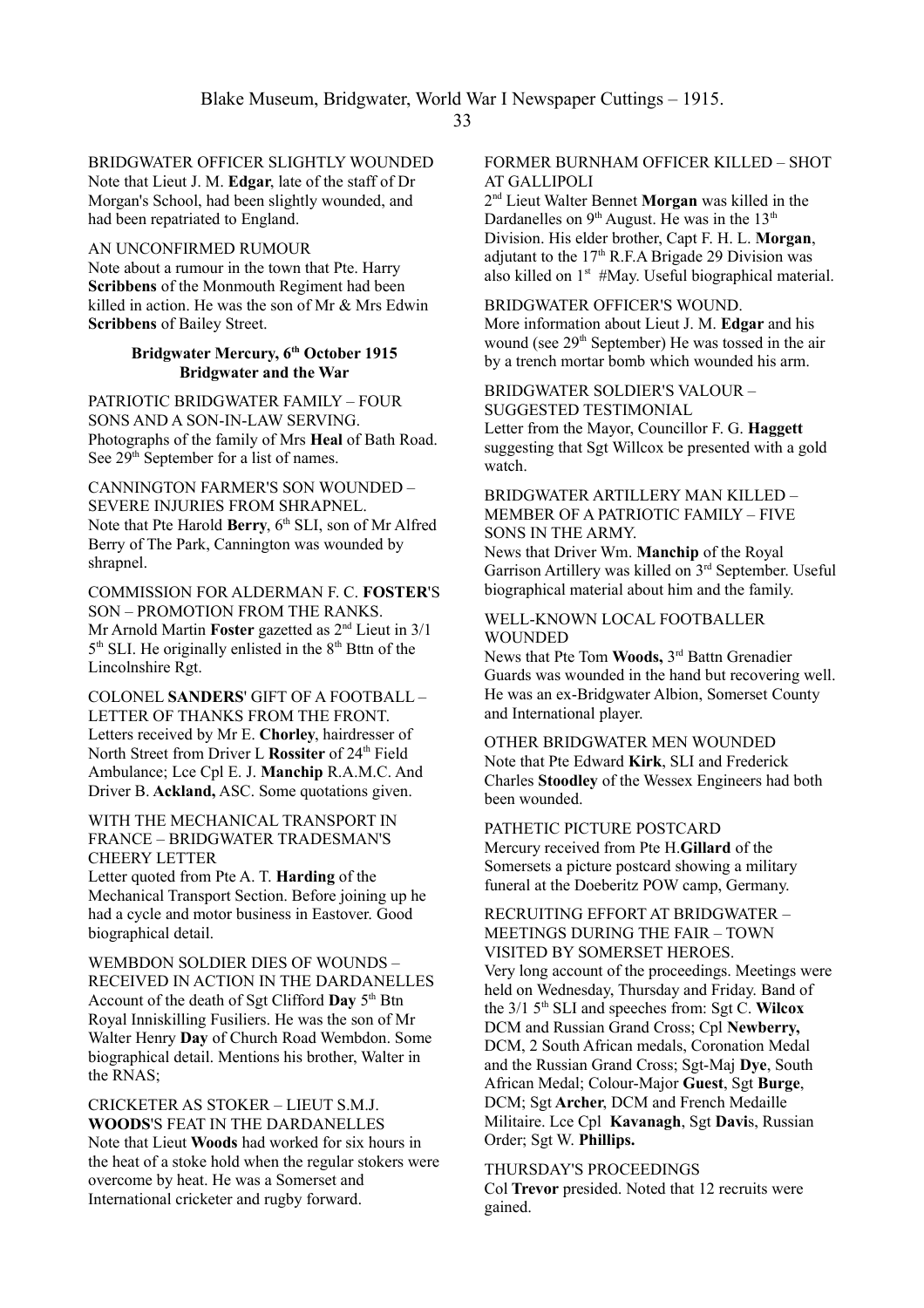# BRIDGWATER OFFICER SLIGHTLY WOUNDED

Note that Lieut J. M. **Edgar**, late of the staff of Dr Morgan's School, had been slightly wounded, and had been repatriated to England.

#### AN UNCONFIRMED RUMOUR

Note about a rumour in the town that Pte. Harry **Scribbens** of the Monmouth Regiment had been killed in action. He was the son of Mr & Mrs Edwin **Scribbens** of Bailey Street.

#### **Bridgwater Mercury, 6 th October 1915 Bridgwater and the War**

PATRIOTIC BRIDGWATER FAMILY – FOUR SONS AND A SON-IN-LAW SERVING. Photographs of the family of Mrs **Heal** of Bath Road. See 29<sup>th</sup> September for a list of names.

CANNINGTON FARMER'S SON WOUNDED – SEVERE INJURIES FROM SHRAPNEL. Note that Pte Harold Berry, 6<sup>th</sup> SLI, son of Mr Alfred Berry of The Park, Cannington was wounded by shrapnel.

COMMISSION FOR ALDERMAN F. C. **FOSTER**'S SON – PROMOTION FROM THE RANKS. Mr Arnold Martin **Foster** gazetted as 2nd Lieut in 3/1  $5<sup>th</sup>$  SLI. He originally enlisted in the  $8<sup>th</sup>$  Bttn of the Lincolnshire Rgt.

COLONEL **SANDERS**' GIFT OF A FOOTBALL – LETTER OF THANKS FROM THE FRONT. Letters received by Mr E. **Chorley**, hairdresser of North Street from Driver L Rossiter of 24<sup>th</sup> Field Ambulance; Lce Cpl E. J. **Manchip** R.A.M.C. And Driver B. **Ackland,** ASC. Some quotations given.

WITH THE MECHANICAL TRANSPORT IN FRANCE – BRIDGWATER TRADESMAN'S CHEERY LETTER

Letter quoted from Pte A. T. **Harding** of the Mechanical Transport Section. Before joining up he had a cycle and motor business in Eastover. Good biographical detail.

WEMBDON SOLDIER DIES OF WOUNDS – RECEIVED IN ACTION IN THE DARDANELLES Account of the death of Sgt Clifford Day 5<sup>th</sup> Btn Royal Inniskilling Fusiliers. He was the son of Mr Walter Henry **Day** of Church Road Wembdon. Some biographical detail. Mentions his brother, Walter in the RNAS;

CRICKETER AS STOKER – LIEUT S.M.J. **WOODS**'S FEAT IN THE DARDANELLES Note that Lieut **Woods** had worked for six hours in the heat of a stoke hold when the regular stokers were overcome by heat. He was a Somerset and International cricketer and rugby forward.

### FORMER BURNHAM OFFICER KILLED – SHOT AT GALLIPOLI

2 nd Lieut Walter Bennet **Morgan** was killed in the Dardanelles on  $9<sup>th</sup>$  August. He was in the 13<sup>th</sup> Division. His elder brother, Capt F. H. L. **Morgan**, adjutant to the  $17<sup>th</sup>$  R.F.A Brigade 29 Division was also killed on 1<sup>st</sup> #May. Useful biographical material.

## BRIDGWATER OFFICER'S WOUND.

More information about Lieut J. M. **Edgar** and his wound (see 29<sup>th</sup> September) He was tossed in the air by a trench mortar bomb which wounded his arm.

#### BRIDGWATER SOLDIER'S VALOUR – SUGGESTED TESTIMONIAL

Letter from the Mayor, Councillor F. G. **Haggett**  suggesting that Sgt Willcox be presented with a gold watch.

# BRIDGWATER ARTILLERY MAN KILLED – MEMBER OF A PATRIOTIC FAMILY – FIVE SONS IN THE ARMY.

News that Driver Wm. **Manchip** of the Royal Garrison Artillery was killed on 3rd September. Useful biographical material about him and the family.

## WELL-KNOWN LOCAL FOOTBALLER **WOUNDED**

News that Pte Tom **Woods,** 3 rd Battn Grenadier Guards was wounded in the hand but recovering well. He was an ex-Bridgwater Albion, Somerset County and International player.

OTHER BRIDGWATER MEN WOUNDED Note that Pte Edward **Kirk**, SLI and Frederick Charles **Stoodley** of the Wessex Engineers had both been wounded.

PATHETIC PICTURE POSTCARD Mercury received from Pte H.**Gillard** of the Somersets a picture postcard showing a military funeral at the Doeberitz POW camp, Germany.

## RECRUITING EFFORT AT BRIDGWATER – MEETINGS DURING THE FAIR – TOWN VISITED BY SOMERSET HEROES. Very long account of the proceedings. Meetings were held on Wednesday, Thursday and Friday. Band of the 3/1 5<sup>th</sup> SLI and speeches from: Sgt C. **Wilcox** DCM and Russian Grand Cross; Cpl **Newberry,** DCM, 2 South African medals, Coronation Medal and the Russian Grand Cross; Sgt-Maj **Dye**, South African Medal; Colour-Major **Guest**, Sgt **Burge**, DCM; Sgt **Archer**, DCM and French Medaille Militaire. Lce Cpl **Kavanagh**, Sgt **Davi**s, Russian Order; Sgt W. **Phillips.**

#### THURSDAY'S PROCEEDINGS

Col **Trevor** presided. Noted that 12 recruits were gained.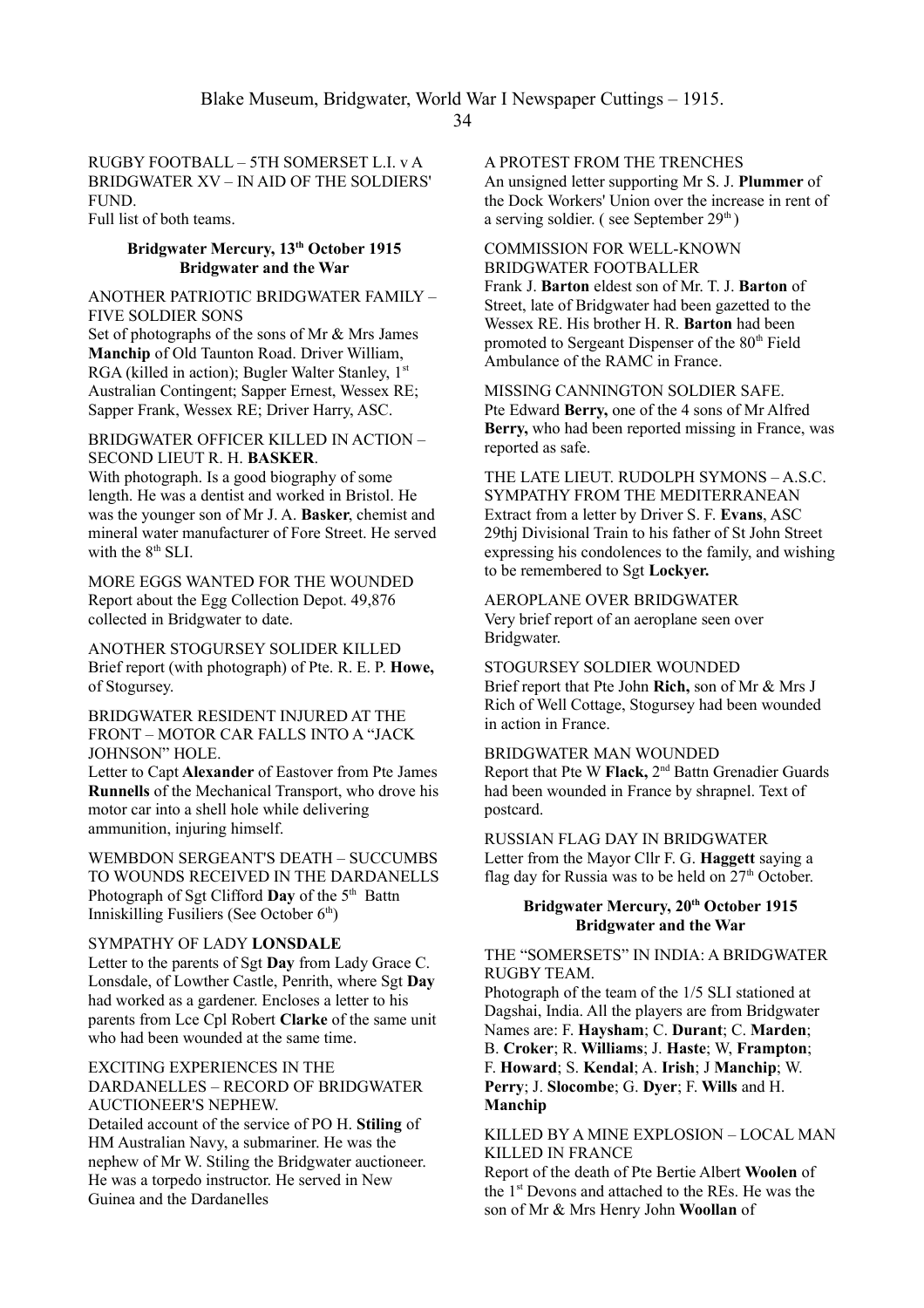RUGBY FOOTBALL – 5TH SOMERSET L.I. v A BRIDGWATER XV – IN AID OF THE SOLDIERS' FUND.

Full list of both teams.

#### **Bridgwater Mercury, 13th October 1915 Bridgwater and the War**

## ANOTHER PATRIOTIC BRIDGWATER FAMILY – FIVE SOLDIER SONS

Set of photographs of the sons of Mr & Mrs James **Manchip** of Old Taunton Road. Driver William, RGA (killed in action); Bugler Walter Stanley, 1<sup>st</sup> Australian Contingent; Sapper Ernest, Wessex RE; Sapper Frank, Wessex RE; Driver Harry, ASC.

#### BRIDGWATER OFFICER KILLED IN ACTION – SECOND LIEUT R. H. **BASKER**.

With photograph. Is a good biography of some length. He was a dentist and worked in Bristol. He was the younger son of Mr J. A. **Basker**, chemist and mineral water manufacturer of Fore Street. He served with the  $8<sup>th</sup> SLI$ .

MORE EGGS WANTED FOR THE WOUNDED Report about the Egg Collection Depot. 49,876 collected in Bridgwater to date.

ANOTHER STOGURSEY SOLIDER KILLED Brief report (with photograph) of Pte. R. E. P. **Howe,**  of Stogursey.

BRIDGWATER RESIDENT INJURED AT THE FRONT – MOTOR CAR FALLS INTO A "JACK JOHNSON" HOLE.

Letter to Capt **Alexander** of Eastover from Pte James **Runnells** of the Mechanical Transport, who drove his motor car into a shell hole while delivering ammunition, injuring himself.

WEMBDON SERGEANT'S DEATH – SUCCUMBS TO WOUNDS RECEIVED IN THE DARDANELLS Photograph of Sgt Clifford **Day** of the 5<sup>th</sup> Battn Inniskilling Fusiliers (See October  $6<sup>th</sup>$ )

#### SYMPATHY OF LADY **LONSDALE**

Letter to the parents of Sgt **Day** from Lady Grace C. Lonsdale, of Lowther Castle, Penrith, where Sgt **Day** had worked as a gardener. Encloses a letter to his parents from Lce Cpl Robert **Clarke** of the same unit who had been wounded at the same time.

## EXCITING EXPERIENCES IN THE DARDANELLES – RECORD OF BRIDGWATER AUCTIONEER'S NEPHEW.

Detailed account of the service of PO H. **Stiling** of HM Australian Navy, a submariner. He was the nephew of Mr W. Stiling the Bridgwater auctioneer. He was a torpedo instructor. He served in New Guinea and the Dardanelles

A PROTEST FROM THE TRENCHES

An unsigned letter supporting Mr S. J. **Plummer** of the Dock Workers' Union over the increase in rent of a serving soldier. (see September  $29<sup>th</sup>$ )

#### COMMISSION FOR WELL-KNOWN BRIDGWATER FOOTBALLER

Frank J. **Barton** eldest son of Mr. T. J. **Barton** of Street, late of Bridgwater had been gazetted to the Wessex RE. His brother H. R. **Barton** had been promoted to Sergeant Dispenser of the 80<sup>th</sup> Field Ambulance of the RAMC in France.

## MISSING CANNINGTON SOLDIER SAFE. Pte Edward **Berry,** one of the 4 sons of Mr Alfred **Berry,** who had been reported missing in France, was reported as safe.

THE LATE LIEUT. RUDOLPH SYMONS – A.S.C. SYMPATHY FROM THE MEDITERRANEAN Extract from a letter by Driver S. F. **Evans**, ASC 29thj Divisional Train to his father of St John Street expressing his condolences to the family, and wishing to be remembered to Sgt **Lockyer.**

### AEROPLANE OVER BRIDGWATER

Very brief report of an aeroplane seen over Bridgwater.

#### STOGURSEY SOLDIER WOUNDED

Brief report that Pte John **Rich,** son of Mr & Mrs J Rich of Well Cottage, Stogursey had been wounded in action in France.

#### BRIDGWATER MAN WOUNDED

Report that Pte W **Flack,** 2nd Battn Grenadier Guards had been wounded in France by shrapnel. Text of postcard.

RUSSIAN FLAG DAY IN BRIDGWATER Letter from the Mayor Cllr F. G. **Haggett** saying a flag day for Russia was to be held on  $27<sup>th</sup>$  October.

# **Bridgwater Mercury, 20th October 1915 Bridgwater and the War**

#### THE "SOMERSETS" IN INDIA: A BRIDGWATER RUGBY TEAM.

Photograph of the team of the 1/5 SLI stationed at Dagshai, India. All the players are from Bridgwater Names are: F. **Haysham**; C. **Durant**; C. **Marden**; B. **Croker**; R. **Williams**; J. **Haste**; W, **Frampton**; F. **Howard**; S. **Kendal**; A. **Irish**; J **Manchip**; W. **Perry**; J. **Slocombe**; G. **Dyer**; F. **Wills** and H. **Manchip**

### KILLED BY A MINE EXPLOSION – LOCAL MAN KILLED IN FRANCE

Report of the death of Pte Bertie Albert **Woolen** of the 1st Devons and attached to the REs. He was the son of Mr & Mrs Henry John **Woollan** of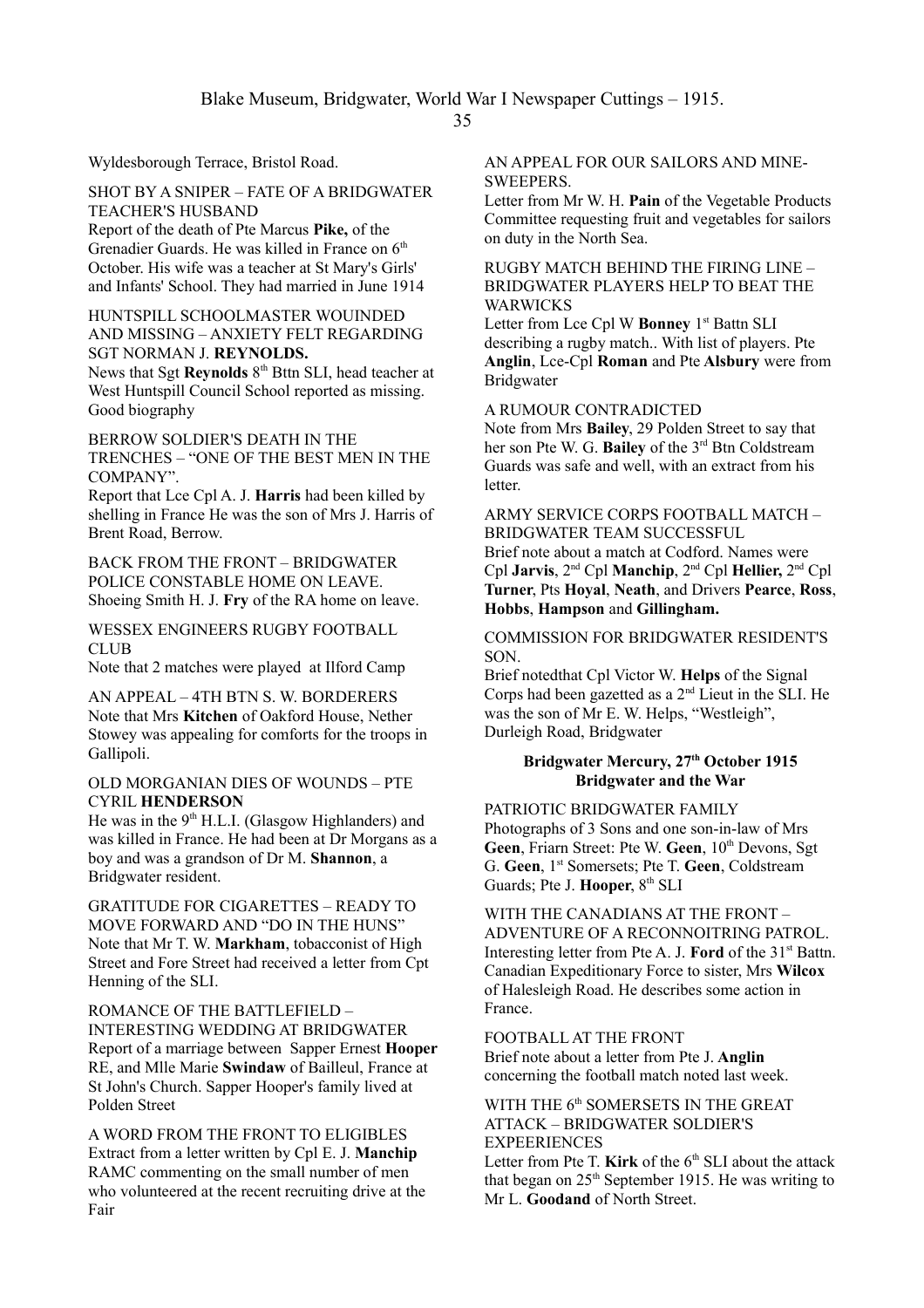Wyldesborough Terrace, Bristol Road.

#### SHOT BY A SNIPER – FATE OF A BRIDGWATER TEACHER'S HUSBAND

Report of the death of Pte Marcus **Pike,** of the Grenadier Guards. He was killed in France on 6<sup>th</sup> October. His wife was a teacher at St Mary's Girls' and Infants' School. They had married in June 1914

## HUNTSPILL SCHOOLMASTER WOUINDED AND MISSING – ANXIETY FELT REGARDING SGT NORMAN J. **REYNOLDS.**

News that Sgt Reynolds 8<sup>th</sup> Bttn SLI, head teacher at West Huntspill Council School reported as missing. Good biography

#### BERROW SOLDIER'S DEATH IN THE TRENCHES – "ONE OF THE BEST MEN IN THE COMPANY".

Report that Lce Cpl A. J. **Harris** had been killed by shelling in France He was the son of Mrs J. Harris of Brent Road, Berrow.

BACK FROM THE FRONT – BRIDGWATER POLICE CONSTABLE HOME ON LEAVE. Shoeing Smith H. J. **Fry** of the RA home on leave.

### WESSEX ENGINEERS RUGBY FOOTBALL CLUB

Note that 2 matches were played at Ilford Camp

AN APPEAL – 4TH BTN S. W. BORDERERS Note that Mrs **Kitchen** of Oakford House, Nether Stowey was appealing for comforts for the troops in Gallipoli.

### OLD MORGANIAN DIES OF WOUNDS – PTE CYRIL **HENDERSON**

He was in the  $9<sup>th</sup>$  H.L.I. (Glasgow Highlanders) and was killed in France. He had been at Dr Morgans as a boy and was a grandson of Dr M. **Shannon**, a Bridgwater resident.

GRATITUDE FOR CIGARETTES – READY TO MOVE FORWARD AND "DO IN THE HUNS" Note that Mr T. W. **Markham**, tobacconist of High Street and Fore Street had received a letter from Cpt Henning of the SLI.

ROMANCE OF THE BATTLEFIELD – INTERESTING WEDDING AT BRIDGWATER Report of a marriage between Sapper Ernest **Hooper** RE, and Mlle Marie **Swindaw** of Bailleul, France at St John's Church. Sapper Hooper's family lived at Polden Street

A WORD FROM THE FRONT TO ELIGIBLES Extract from a letter written by Cpl E. J. **Manchip** RAMC commenting on the small number of men who volunteered at the recent recruiting drive at the Fair

#### AN APPEAL FOR OUR SAILORS AND MINE-SWEEPERS.

Letter from Mr W. H. **Pain** of the Vegetable Products Committee requesting fruit and vegetables for sailors on duty in the North Sea.

## RUGBY MATCH BEHIND THE FIRING LINE – BRIDGWATER PLAYERS HELP TO BEAT THE WARWICKS

Letter from Lce Cpl W Bonney 1<sup>st</sup> Battn SLI describing a rugby match.. With list of players. Pte **Anglin**, Lce-Cpl **Roman** and Pte **Alsbury** were from Bridgwater

### A RUMOUR CONTRADICTED

Note from Mrs **Bailey**, 29 Polden Street to say that her son Pte W. G. **Bailey** of the 3rd Btn Coldstream Guards was safe and well, with an extract from his letter.

# ARMY SERVICE CORPS FOOTBALL MATCH – BRIDGWATER TEAM SUCCESSFUL Brief note about a match at Codford. Names were

Cpl **Jarvis**, 2nd Cpl **Manchip**, 2nd Cpl **Hellier,** 2nd Cpl **Turner**, Pts **Hoyal**, **Neath**, and Drivers **Pearce**, **Ross**, **Hobbs**, **Hampson** and **Gillingham.**

## COMMISSION FOR BRIDGWATER RESIDENT'S SON.

Brief notedthat Cpl Victor W. **Helps** of the Signal Corps had been gazetted as a  $2<sup>nd</sup>$  Lieut in the SLI. He was the son of Mr E. W. Helps, "Westleigh", Durleigh Road, Bridgwater

# **Bridgwater Mercury, 27 th October 1915 Bridgwater and the War**

PATRIOTIC BRIDGWATER FAMILY Photographs of 3 Sons and one son-in-law of Mrs Geen, Friarn Street: Pte W. Geen, 10<sup>th</sup> Devons, Sgt G. **Geen**, 1st Somersets; Pte T. **Geen**, Coldstream Guards: Pte J. **Hooper**, 8<sup>th</sup> SLI

WITH THE CANADIANS AT THE FRONT – ADVENTURE OF A RECONNOITRING PATROL. Interesting letter from Pte A. J. **Ford** of the 31<sup>st</sup> Battn. Canadian Expeditionary Force to sister, Mrs **Wilcox** of Halesleigh Road. He describes some action in France.

## FOOTBALL AT THE FRONT Brief note about a letter from Pte J. **Anglin** concerning the football match noted last week.

WITH THE 6<sup>th</sup> SOMERSETS IN THE GREAT ATTACK – BRIDGWATER SOLDIER'S **EXPEERIENCES** 

Letter from Pte T. **Kirk** of the  $6<sup>th</sup>$  SLI about the attack that began on  $25<sup>th</sup>$  September 1915. He was writing to Mr L. **Goodand** of North Street.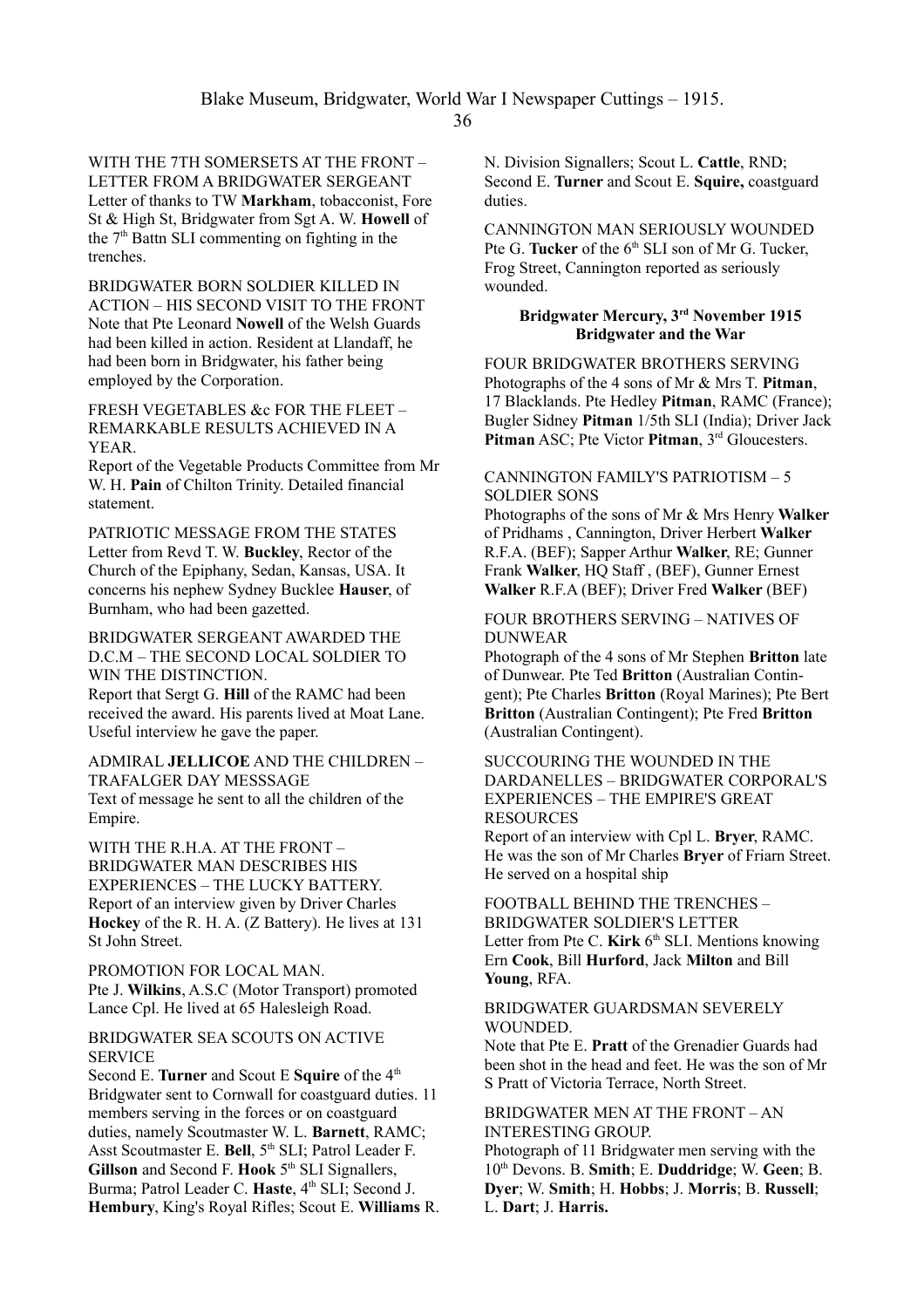WITH THE 7TH SOMERSETS AT THE FRONT – LETTER FROM A BRIDGWATER SERGEANT Letter of thanks to TW **Markham**, tobacconist, Fore St & High St, Bridgwater from Sgt A. W. **Howell** of the  $7<sup>th</sup>$  Battn SLI commenting on fighting in the trenches.

BRIDGWATER BORN SOLDIER KILLED IN ACTION – HIS SECOND VISIT TO THE FRONT Note that Pte Leonard **Nowell** of the Welsh Guards had been killed in action. Resident at Llandaff, he had been born in Bridgwater, his father being employed by the Corporation.

FRESH VEGETABLES &c FOR THE FLEET – REMARKABLE RESULTS ACHIEVED IN A **YEAR** 

Report of the Vegetable Products Committee from Mr W. H. **Pain** of Chilton Trinity. Detailed financial statement.

PATRIOTIC MESSAGE FROM THE STATES Letter from Revd T. W. **Buckley**, Rector of the Church of the Epiphany, Sedan, Kansas, USA. It concerns his nephew Sydney Bucklee **Hauser**, of Burnham, who had been gazetted.

## BRIDGWATER SERGEANT AWARDED THE D.C.M – THE SECOND LOCAL SOLDIER TO WIN THE DISTINCTION.

Report that Sergt G. **Hill** of the RAMC had been received the award. His parents lived at Moat Lane. Useful interview he gave the paper.

# ADMIRAL **JELLICOE** AND THE CHILDREN – TRAFALGER DAY MESSSAGE

Text of message he sent to all the children of the Empire.

WITH THE R H A AT THE FRONT -BRIDGWATER MAN DESCRIBES HIS EXPERIENCES – THE LUCKY BATTERY. Report of an interview given by Driver Charles **Hockey** of the R. H. A. (Z Battery). He lives at 131 St John Street.

PROMOTION FOR LOCAL MAN. Pte J. **Wilkins**, A.S.C (Motor Transport) promoted Lance Cpl. He lived at 65 Halesleigh Road.

#### BRIDGWATER SEA SCOUTS ON ACTIVE **SERVICE**

Second E. **Turner** and Scout E **Squire** of the 4<sup>th</sup> Bridgwater sent to Cornwall for coastguard duties. 11 members serving in the forces or on coastguard duties, namely Scoutmaster W. L. **Barnett**, RAMC; Asst Scoutmaster E. Bell, 5<sup>th</sup> SLI; Patrol Leader F. Gillson and Second F. Hook 5<sup>th</sup> SLI Signallers, Burma; Patrol Leader C. Haste, 4<sup>th</sup> SLI; Second J. **Hembury**, King's Royal Rifles; Scout E. **Williams** R. N. Division Signallers; Scout L. **Cattle**, RND; Second E. **Turner** and Scout E. **Squire,** coastguard duties.

CANNINGTON MAN SERIOUSLY WOUNDED Pte G. **Tucker** of the 6<sup>th</sup> SLI son of Mr G. Tucker, Frog Street, Cannington reported as seriously wounded.

#### **Bridgwater Mercury, 3 rd November 1915 Bridgwater and the War**

FOUR BRIDGWATER BROTHERS SERVING Photographs of the 4 sons of Mr & Mrs T. **Pitman**, 17 Blacklands. Pte Hedley **Pitman**, RAMC (France); Bugler Sidney **Pitman** 1/5th SLI (India); Driver Jack **Pitman** ASC; Pte Victor **Pitman**, 3rd Gloucesters.

# CANNINGTON FAMILY'S PATRIOTISM – 5 SOLDIER SONS

Photographs of the sons of Mr & Mrs Henry **Walker** of Pridhams , Cannington, Driver Herbert **Walker** R.F.A. (BEF); Sapper Arthur **Walker**, RE; Gunner Frank **Walker**, HQ Staff , (BEF), Gunner Ernest **Walker** R.F.A (BEF); Driver Fred **Walker** (BEF)

#### FOUR BROTHERS SERVING – NATIVES OF DUNWEAR

Photograph of the 4 sons of Mr Stephen **Britton** late of Dunwear. Pte Ted **Britton** (Australian Contingent); Pte Charles **Britton** (Royal Marines); Pte Bert **Britton** (Australian Contingent); Pte Fred **Britton** (Australian Contingent).

## SUCCOURING THE WOUNDED IN THE DARDANELLES – BRIDGWATER CORPORAL'S EXPERIENCES – THE EMPIRE'S GREAT **RESOURCES**

Report of an interview with Cpl L. **Bryer**, RAMC. He was the son of Mr Charles **Bryer** of Friarn Street. He served on a hospital ship

## FOOTBALL BEHIND THE TRENCHES – BRIDGWATER SOLDIER'S LETTER Letter from Pte C. Kirk 6<sup>th</sup> SLI. Mentions knowing Ern **Cook**, Bill **Hurford**, Jack **Milton** and Bill **Young**, RFA.

#### BRIDGWATER GUARDSMAN SEVERELY WOUNDED.

Note that Pte E. **Pratt** of the Grenadier Guards had been shot in the head and feet. He was the son of Mr S Pratt of Victoria Terrace, North Street.

### BRIDGWATER MEN AT THE FRONT – AN INTERESTING GROUP.

Photograph of 11 Bridgwater men serving with the 10th Devons. B. **Smith**; E. **Duddridge**; W. **Geen**; B. **Dyer**; W. **Smith**; H. **Hobbs**; J. **Morris**; B. **Russell**; L. **Dart**; J. **Harris.**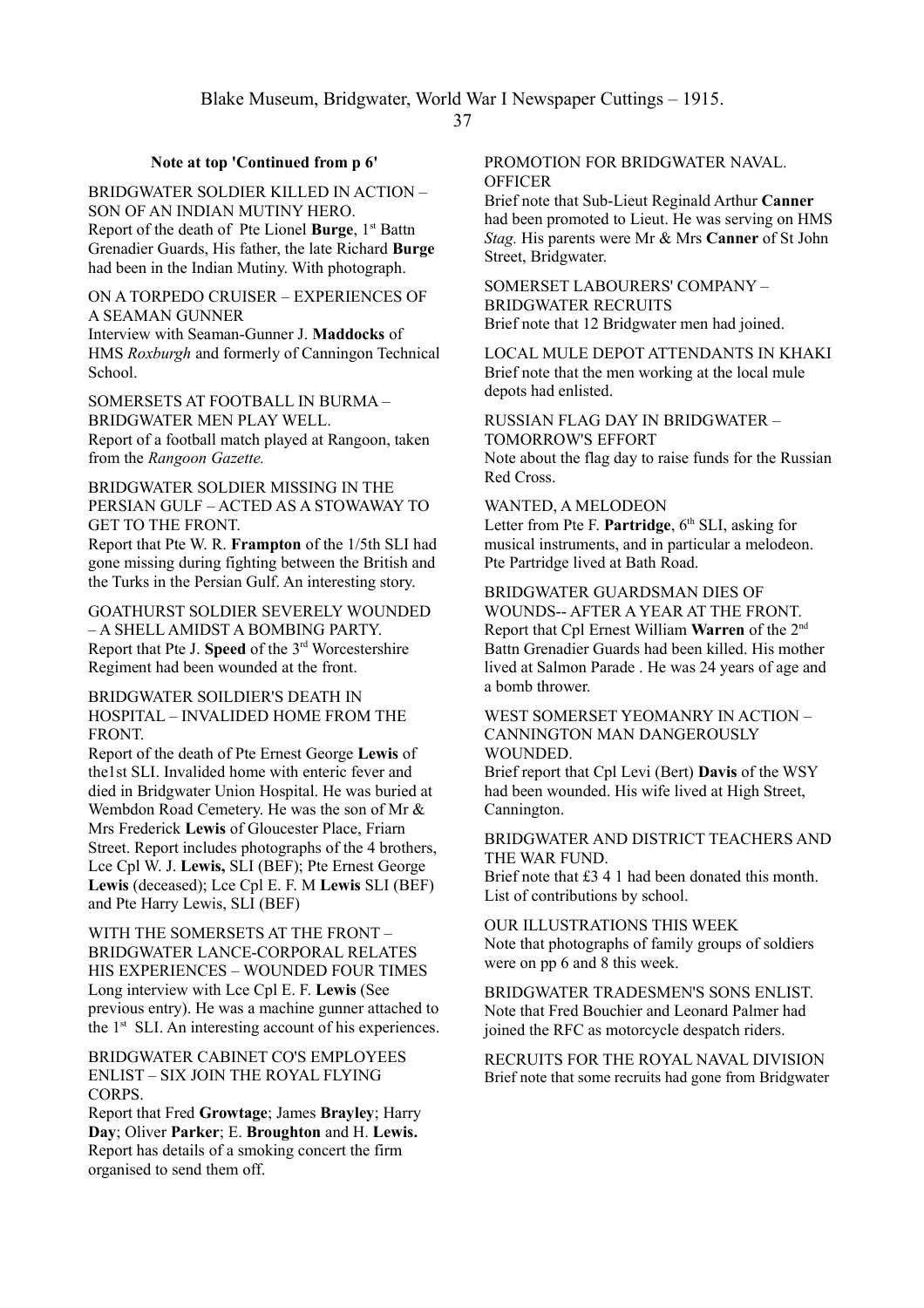Blake Museum, Bridgwater, World War I Newspaper Cuttings – 1915.

## **Note at top 'Continued from p 6'**

BRIDGWATER SOLDIER KILLED IN ACTION – SON OF AN INDIAN MUTINY HERO. Report of the death of Pte Lionel Burge, 1<sup>st</sup> Battn Grenadier Guards, His father, the late Richard **Burge** had been in the Indian Mutiny. With photograph.

ON A TORPEDO CRUISER – EXPERIENCES OF A SEAMAN GUNNER

Interview with Seaman-Gunner J. **Maddocks** of HMS *Roxburgh* and formerly of Canningon Technical School.

SOMERSETS AT FOOTBALL IN BURMA – BRIDGWATER MEN PLAY WELL. Report of a football match played at Rangoon, taken from the *Rangoon Gazette.*

BRIDGWATER SOLDIER MISSING IN THE PERSIAN GULF – ACTED AS A STOWAWAY TO GET TO THE FRONT.

Report that Pte W. R. **Frampton** of the 1/5th SLI had gone missing during fighting between the British and the Turks in the Persian Gulf. An interesting story.

GOATHURST SOLDIER SEVERELY WOUNDED – A SHELL AMIDST A BOMBING PARTY. Report that Pte J. **Speed** of the 3rd Worcestershire Regiment had been wounded at the front.

BRIDGWATER SOILDIER'S DEATH IN HOSPITAL – INVALIDED HOME FROM THE **FRONT** 

Report of the death of Pte Ernest George **Lewis** of the1st SLI. Invalided home with enteric fever and died in Bridgwater Union Hospital. He was buried at Wembdon Road Cemetery. He was the son of Mr & Mrs Frederick **Lewis** of Gloucester Place, Friarn Street. Report includes photographs of the 4 brothers, Lce Cpl W. J. **Lewis,** SLI (BEF); Pte Ernest George **Lewis** (deceased); Lce Cpl E. F. M **Lewis** SLI (BEF) and Pte Harry Lewis, SLI (BEF)

WITH THE SOMERSETS AT THE FRONT – BRIDGWATER LANCE-CORPORAL RELATES HIS EXPERIENCES – WOUNDED FOUR TIMES Long interview with Lce Cpl E. F. **Lewis** (See previous entry). He was a machine gunner attached to the 1<sup>st</sup> SLI. An interesting account of his experiences.

BRIDGWATER CABINET CO'S EMPLOYEES ENLIST – SIX JOIN THE ROYAL FLYING **CORPS** 

Report that Fred **Growtage**; James **Brayley**; Harry **Day**; Oliver **Parker**; E. **Broughton** and H. **Lewis.**  Report has details of a smoking concert the firm organised to send them off.

PROMOTION FOR BRIDGWATER NAVAL. **OFFICER** 

Brief note that Sub-Lieut Reginald Arthur **Canner** had been promoted to Lieut. He was serving on HMS *Stag.* His parents were Mr & Mrs **Canner** of St John Street, Bridgwater.

SOMERSET LABOURERS' COMPANY – BRIDGWATER RECRUITS Brief note that 12 Bridgwater men had joined.

LOCAL MULE DEPOT ATTENDANTS IN KHAKI Brief note that the men working at the local mule depots had enlisted.

RUSSIAN FLAG DAY IN BRIDGWATER – TOMORROW'S EFFORT Note about the flag day to raise funds for the Russian Red Cross.

#### WANTED, A MELODEON

Letter from Pte F. **Partridge**, 6<sup>th</sup> SLI, asking for musical instruments, and in particular a melodeon. Pte Partridge lived at Bath Road.

BRIDGWATER GUARDSMAN DIES OF WOUNDS-- AFTER A YEAR AT THE FRONT. Report that Cpl Ernest William **Warren** of the 2nd Battn Grenadier Guards had been killed. His mother lived at Salmon Parade . He was 24 years of age and a bomb thrower.

WEST SOMERSET YEOMANRY IN ACTION – CANNINGTON MAN DANGEROUSLY WOUNDED.

Brief report that Cpl Levi (Bert) **Davis** of the WSY had been wounded. His wife lived at High Street, Cannington.

#### BRIDGWATER AND DISTRICT TEACHERS AND THE WAR FUND.

Brief note that £3 4 1 had been donated this month. List of contributions by school.

OUR ILLUSTRATIONS THIS WEEK Note that photographs of family groups of soldiers were on pp 6 and 8 this week.

BRIDGWATER TRADESMEN'S SONS ENLIST. Note that Fred Bouchier and Leonard Palmer had joined the RFC as motorcycle despatch riders.

RECRUITS FOR THE ROYAL NAVAL DIVISION Brief note that some recruits had gone from Bridgwater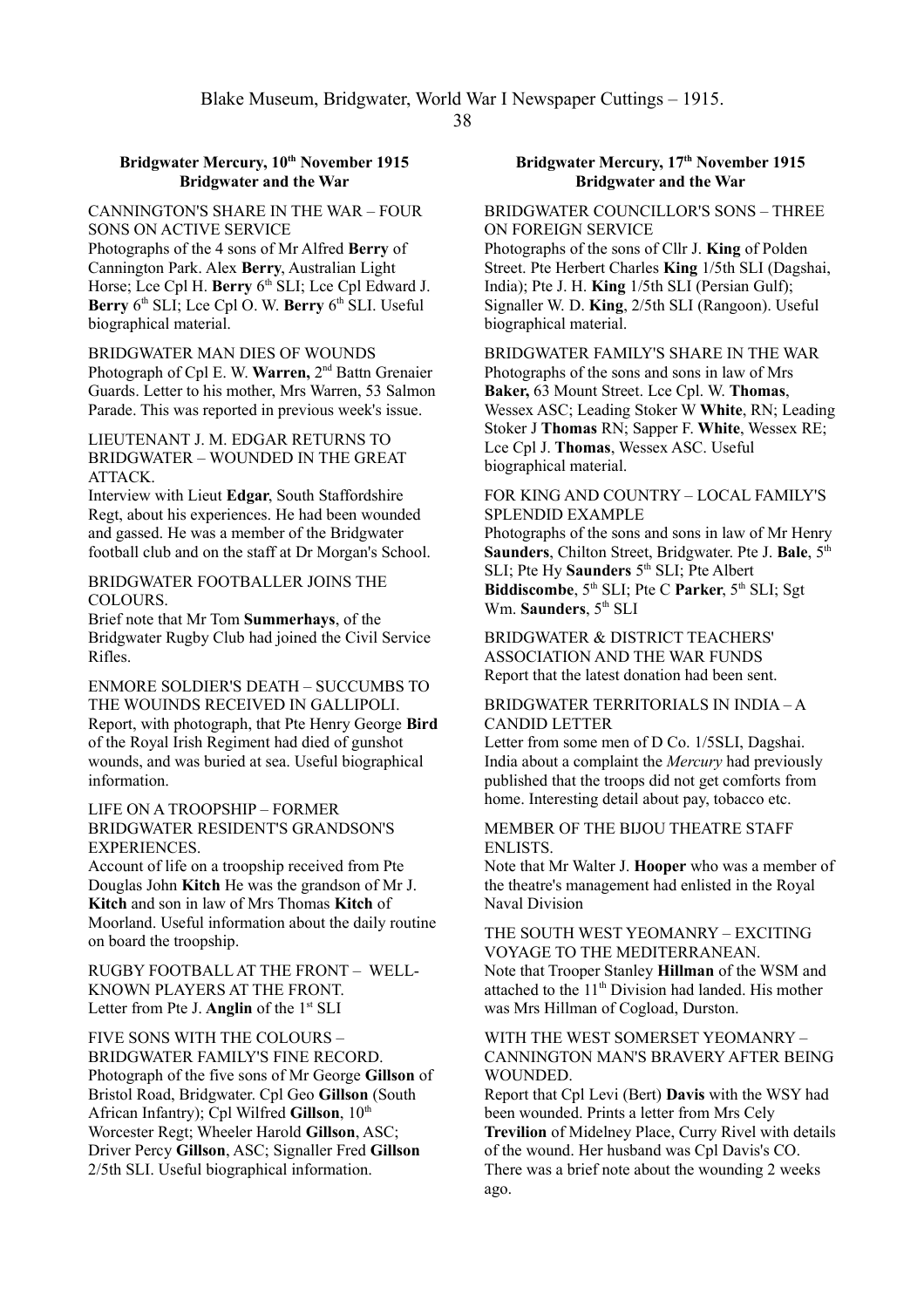## **Bridgwater Mercury, 10th November 1915 Bridgwater and the War**

CANNINGTON'S SHARE IN THE WAR – FOUR SONS ON ACTIVE SERVICE

Photographs of the 4 sons of Mr Alfred **Berry** of Cannington Park. Alex **Berry**, Australian Light Horse; Lce Cpl H. **Berry** 6<sup>th</sup> SLI; Lce Cpl Edward J. **Berry** 6th SLI; Lce Cpl O. W. **Berry** 6th SLI. Useful biographical material.

BRIDGWATER MAN DIES OF WOUNDS Photograph of Cpl E. W. Warren, 2<sup>nd</sup> Battn Grenaier Guards. Letter to his mother, Mrs Warren, 53 Salmon Parade. This was reported in previous week's issue.

#### LIEUTENANT J. M. EDGAR RETURNS TO BRIDGWATER – WOUNDED IN THE GREAT ATTACK.

Interview with Lieut **Edgar**, South Staffordshire Regt, about his experiences. He had been wounded and gassed. He was a member of the Bridgwater football club and on the staff at Dr Morgan's School.

#### BRIDGWATER FOOTBALLER JOINS THE COLOURS.

Brief note that Mr Tom **Summerhays**, of the Bridgwater Rugby Club had joined the Civil Service Rifles.

ENMORE SOLDIER'S DEATH – SUCCUMBS TO THE WOUINDS RECEIVED IN GALLIPOLI. Report, with photograph, that Pte Henry George **Bird** of the Royal Irish Regiment had died of gunshot wounds, and was buried at sea. Useful biographical information.

#### LIFE ON A TROOPSHIP – FORMER BRIDGWATER RESIDENT'S GRANDSON'S **EXPERIENCES**

Account of life on a troopship received from Pte Douglas John **Kitch** He was the grandson of Mr J. **Kitch** and son in law of Mrs Thomas **Kitch** of Moorland. Useful information about the daily routine on board the troopship.

RUGBY FOOTBALL AT THE FRONT – WELL-KNOWN PLAYERS AT THE FRONT. Letter from Pte J. **Anglin** of the 1<sup>st</sup> SLI

FIVE SONS WITH THE COLOURS – BRIDGWATER FAMILY'S FINE RECORD. Photograph of the five sons of Mr George **Gillson** of Bristol Road, Bridgwater. Cpl Geo **Gillson** (South African Infantry); Cpl Wilfred Gillson,  $10^{th}$ Worcester Regt; Wheeler Harold **Gillson**, ASC; Driver Percy **Gillson**, ASC; Signaller Fred **Gillson** 2/5th SLI. Useful biographical information.

#### **Bridgwater Mercury, 17 th November 1915 Bridgwater and the War**

BRIDGWATER COUNCILLOR'S SONS – THREE ON FOREIGN SERVICE

Photographs of the sons of Cllr J. **King** of Polden Street. Pte Herbert Charles **King** 1/5th SLI (Dagshai, India); Pte J. H. **King** 1/5th SLI (Persian Gulf); Signaller W. D. **King**, 2/5th SLI (Rangoon). Useful biographical material.

BRIDGWATER FAMILY'S SHARE IN THE WAR Photographs of the sons and sons in law of Mrs **Baker,** 63 Mount Street. Lce Cpl. W. **Thomas**, Wessex ASC; Leading Stoker W **White**, RN; Leading Stoker J **Thomas** RN; Sapper F. **White**, Wessex RE; Lce Cpl J. **Thomas**, Wessex ASC. Useful biographical material.

#### FOR KING AND COUNTRY – LOCAL FAMILY'S SPLENDID EXAMPLE

Photographs of the sons and sons in law of Mr Henry Saunders, Chilton Street, Bridgwater. Pte J. Bale, 5<sup>th</sup> SLI; Pte Hy **Saunders** 5th SLI; Pte Albert **Biddiscombe**,  $5<sup>th</sup> SLI$ ; Pte C **Parker**,  $5<sup>th</sup> SLI$ ; Sgt Wm. **Saunders**, 5<sup>th</sup> SLI

BRIDGWATER & DISTRICT TEACHERS' ASSOCIATION AND THE WAR FUNDS Report that the latest donation had been sent.

## BRIDGWATER TERRITORIALS IN INDIA – A CANDID LETTER

Letter from some men of D Co. 1/5SLI, Dagshai. India about a complaint the *Mercury* had previously published that the troops did not get comforts from home. Interesting detail about pay, tobacco etc.

## MEMBER OF THE BIJOU THEATRE STAFF ENLISTS.

Note that Mr Walter J. **Hooper** who was a member of the theatre's management had enlisted in the Royal Naval Division

THE SOUTH WEST YEOMANRY – EXCITING VOYAGE TO THE MEDITERRANEAN. Note that Trooper Stanley **Hillman** of the WSM and attached to the  $11<sup>th</sup>$  Division had landed. His mother was Mrs Hillman of Cogload, Durston.

#### WITH THE WEST SOMERSET YEOMANRY – CANNINGTON MAN'S BRAVERY AFTER BEING WOUNDED.

Report that Cpl Levi (Bert) **Davis** with the WSY had been wounded. Prints a letter from Mrs Cely **Trevilion** of Midelney Place, Curry Rivel with details of the wound. Her husband was Cpl Davis's CO. There was a brief note about the wounding 2 weeks ago.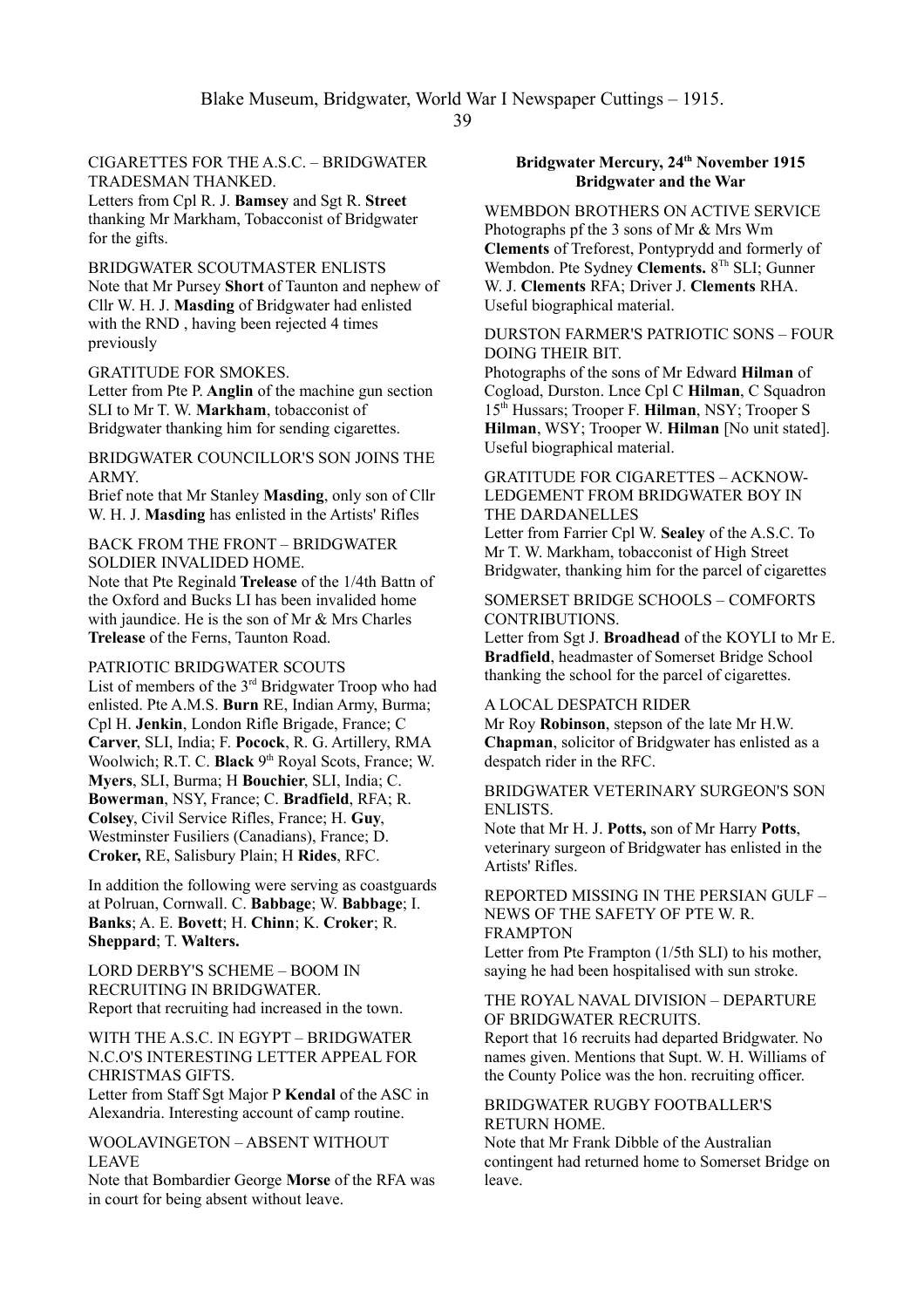Blake Museum, Bridgwater, World War I Newspaper Cuttings – 1915.

### CIGARETTES FOR THE A.S.C. – BRIDGWATER TRADESMAN THANKED.

Letters from Cpl R. J. **Bamsey** and Sgt R. **Street**  thanking Mr Markham, Tobacconist of Bridgwater for the gifts.

## BRIDGWATER SCOUTMASTER ENLISTS

Note that Mr Pursey **Short** of Taunton and nephew of Cllr W. H. J. **Masding** of Bridgwater had enlisted with the RND , having been rejected 4 times previously

## GRATITUDE FOR SMOKES.

Letter from Pte P. **Anglin** of the machine gun section SLI to Mr T. W. **Markham**, tobacconist of Bridgwater thanking him for sending cigarettes.

BRIDGWATER COUNCILLOR'S SON JOINS THE ARMY.

Brief note that Mr Stanley **Masding**, only son of Cllr W. H. J. **Masding** has enlisted in the Artists' Rifles

#### BACK FROM THE FRONT – BRIDGWATER SOLDIER INVALIDED HOME.

Note that Pte Reginald **Trelease** of the 1/4th Battn of the Oxford and Bucks LI has been invalided home with jaundice. He is the son of Mr & Mrs Charles **Trelease** of the Ferns, Taunton Road.

## PATRIOTIC BRIDGWATER SCOUTS

List of members of the 3<sup>rd</sup> Bridgwater Troop who had enlisted. Pte A.M.S. **Burn** RE, Indian Army, Burma; Cpl H. **Jenkin**, London Rifle Brigade, France; C **Carver**, SLI, India; F. **Pocock**, R. G. Artillery, RMA Woolwich: R.T. C. **Black** 9<sup>th</sup> Royal Scots, France: W. **Myers**, SLI, Burma; H **Bouchier**, SLI, India; C. **Bowerman**, NSY, France; C. **Bradfield**, RFA; R. **Colsey**, Civil Service Rifles, France; H. **Guy**, Westminster Fusiliers (Canadians), France; D. **Croker,** RE, Salisbury Plain; H **Rides**, RFC.

In addition the following were serving as coastguards at Polruan, Cornwall. C. **Babbage**; W. **Babbage**; I. **Banks**; A. E. **Bovett**; H. **Chinn**; K. **Croker**; R. **Sheppard**; T. **Walters.**

LORD DERBY'S SCHEME – BOOM IN RECRUITING IN BRIDGWATER. Report that recruiting had increased in the town.

## WITH THE A.S.C. IN EGYPT – BRIDGWATER N.C.O'S INTERESTING LETTER APPEAL FOR CHRISTMAS GIFTS.

Letter from Staff Sgt Major P **Kendal** of the ASC in Alexandria. Interesting account of camp routine.

### WOOLAVINGETON – ABSENT WITHOUT LEAVE

Note that Bombardier George **Morse** of the RFA was in court for being absent without leave.

## **Bridgwater Mercury, 24th November 1915 Bridgwater and the War**

WEMBDON BROTHERS ON ACTIVE SERVICE Photographs pf the 3 sons of Mr & Mrs Wm **Clements** of Treforest, Pontyprydd and formerly of Wembdon. Pte Sydney **Clements.** 8 Th SLI; Gunner W. J. **Clements** RFA; Driver J. **Clements** RHA. Useful biographical material.

## DURSTON FARMER'S PATRIOTIC SONS – FOUR DOING THEIR BIT.

Photographs of the sons of Mr Edward **Hilman** of Cogload, Durston. Lnce Cpl C **Hilman**, C Squadron 15th Hussars; Trooper F. **Hilman**, NSY; Trooper S **Hilman**, WSY; Trooper W. **Hilman** [No unit stated]. Useful biographical material.

# GRATITUDE FOR CIGARETTES – ACKNOW-LEDGEMENT FROM BRIDGWATER BOY IN THE DARDANELLES

Letter from Farrier Cpl W. **Sealey** of the A.S.C. To Mr T. W. Markham, tobacconist of High Street Bridgwater, thanking him for the parcel of cigarettes

#### SOMERSET BRIDGE SCHOOLS – COMFORTS CONTRIBUTIONS.

Letter from Sgt J. **Broadhead** of the KOYLI to Mr E. **Bradfield**, headmaster of Somerset Bridge School thanking the school for the parcel of cigarettes.

# A LOCAL DESPATCH RIDER

Mr Roy **Robinson**, stepson of the late Mr H.W. **Chapman**, solicitor of Bridgwater has enlisted as a despatch rider in the RFC.

## BRIDGWATER VETERINARY SURGEON'S SON ENLISTS.

Note that Mr H. J. **Potts,** son of Mr Harry **Potts**, veterinary surgeon of Bridgwater has enlisted in the Artists' Rifles.

## REPORTED MISSING IN THE PERSIAN GULF – NEWS OF THE SAFETY OF PTE W. R. FRAMPTON

Letter from Pte Frampton (1/5th SLI) to his mother, saying he had been hospitalised with sun stroke.

#### THE ROYAL NAVAL DIVISION – DEPARTURE OF BRIDGWATER RECRUITS.

Report that 16 recruits had departed Bridgwater. No names given. Mentions that Supt. W. H. Williams of the County Police was the hon. recruiting officer.

## BRIDGWATER RUGBY FOOTBALLER'S RETURN HOME.

Note that Mr Frank Dibble of the Australian contingent had returned home to Somerset Bridge on leave.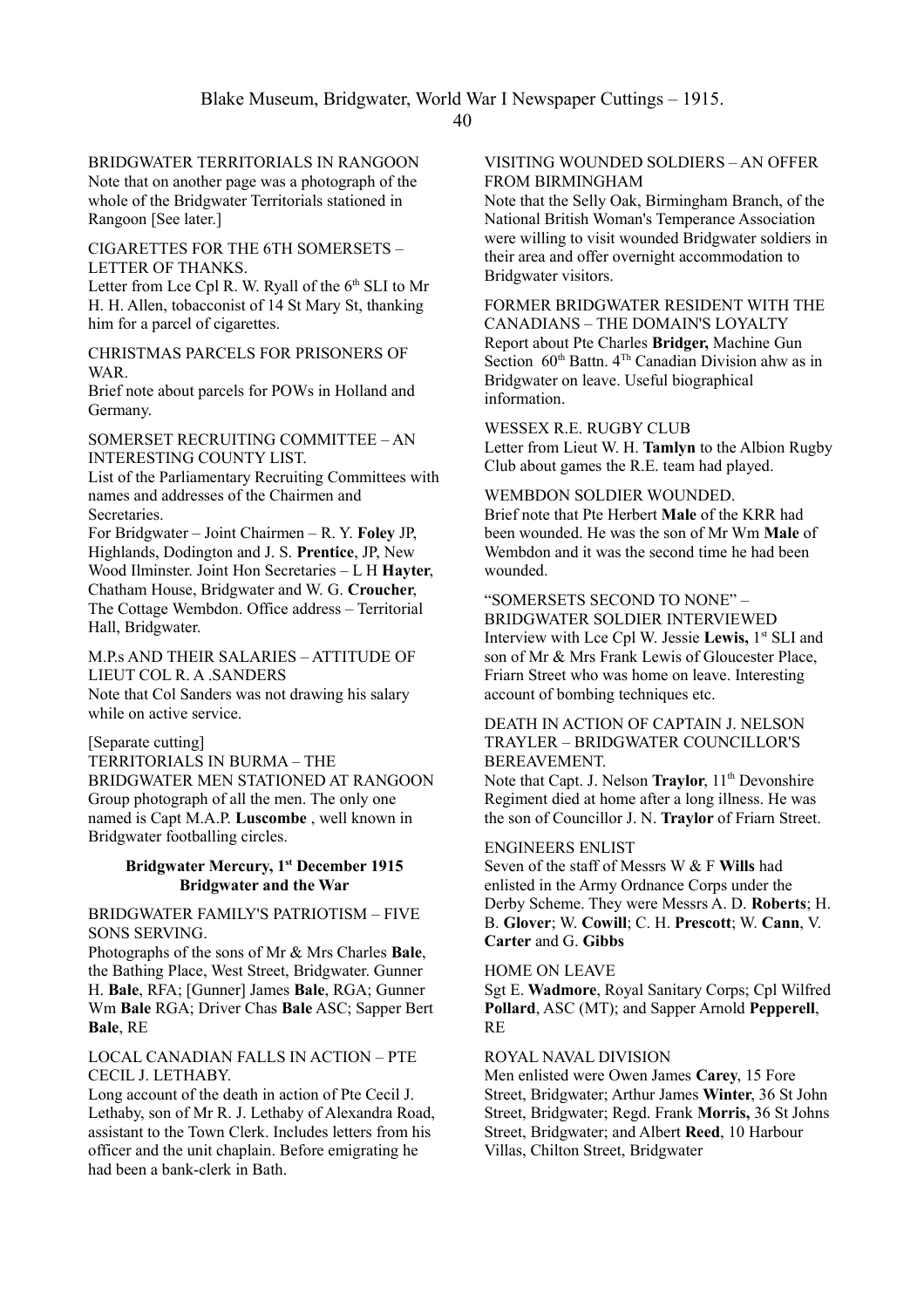BRIDGWATER TERRITORIALS IN RANGOON Note that on another page was a photograph of the whole of the Bridgwater Territorials stationed in Rangoon [See later.]

CIGARETTES FOR THE 6TH SOMERSETS – LETTER OF THANKS.

Letter from Lce Cpl R. W. Ryall of the  $6<sup>th</sup>$  SLI to Mr H. H. Allen, tobacconist of 14 St Mary St, thanking him for a parcel of cigarettes.

CHRISTMAS PARCELS FOR PRISONERS OF W<sub>AR</sub>

Brief note about parcels for POWs in Holland and Germany.

SOMERSET RECRUITING COMMITTEE – AN INTERESTING COUNTY LIST.

List of the Parliamentary Recruiting Committees with names and addresses of the Chairmen and **Secretaries** 

For Bridgwater – Joint Chairmen – R. Y. **Foley** JP, Highlands, Dodington and J. S. **Prentice**, JP, New Wood Ilminster. Joint Hon Secretaries – L H **Hayter**, Chatham House, Bridgwater and W. G. **Croucher**, The Cottage Wembdon. Office address – Territorial Hall, Bridgwater.

M.P.s AND THEIR SALARIES – ATTITUDE OF LIEUT COL R. A .SANDERS Note that Col Sanders was not drawing his salary

while on active service.

[Separate cutting]

TERRITORIALS IN BURMA – THE BRIDGWATER MEN STATIONED AT RANGOON Group photograph of all the men. The only one named is Capt M.A.P. **Luscombe** , well known in Bridgwater footballing circles.

## **Bridgwater Mercury, 1 st December 1915 Bridgwater and the War**

### BRIDGWATER FAMILY'S PATRIOTISM – FIVE SONS SERVING.

Photographs of the sons of Mr & Mrs Charles **Bale**, the Bathing Place, West Street, Bridgwater. Gunner H. **Bale**, RFA; [Gunner] James **Bale**, RGA; Gunner Wm **Bale** RGA; Driver Chas **Bale** ASC; Sapper Bert **Bale**, RE

### LOCAL CANADIAN FALLS IN ACTION – PTE CECIL J. LETHABY.

Long account of the death in action of Pte Cecil J. Lethaby, son of Mr R. J. Lethaby of Alexandra Road, assistant to the Town Clerk. Includes letters from his officer and the unit chaplain. Before emigrating he had been a bank-clerk in Bath.

VISITING WOUNDED SOLDIERS – AN OFFER FROM BIRMINGHAM

Note that the Selly Oak, Birmingham Branch, of the National British Woman's Temperance Association were willing to visit wounded Bridgwater soldiers in their area and offer overnight accommodation to Bridgwater visitors.

FORMER BRIDGWATER RESIDENT WITH THE CANADIANS – THE DOMAIN'S LOYALTY Report about Pte Charles **Bridger,** Machine Gun Section  $60<sup>th</sup>$  Battn.  $4<sup>Th</sup>$  Canadian Division ahw as in Bridgwater on leave. Useful biographical information.

WESSEX R.E. RUGBY CLUB

Letter from Lieut W. H. **Tamlyn** to the Albion Rugby Club about games the R.E. team had played.

WEMBDON SOLDIER WOUNDED.

Brief note that Pte Herbert **Male** of the KRR had been wounded. He was the son of Mr Wm **Male** of Wembdon and it was the second time he had been wounded.

"SOMERSETS SECOND TO NONE" – BRIDGWATER SOLDIER INTERVIEWED Interview with Lce Cpl W. Jessie **Lewis,** 1 st SLI and son of Mr & Mrs Frank Lewis of Gloucester Place, Friarn Street who was home on leave. Interesting account of bombing techniques etc.

# DEATH IN ACTION OF CAPTAIN J. NELSON TRAYLER – BRIDGWATER COUNCILLOR'S BEREAVEMENT.

Note that Capt. J. Nelson **Traylor**, 11<sup>th</sup> Devonshire Regiment died at home after a long illness. He was the son of Councillor J. N. **Traylor** of Friarn Street.

## ENGINEERS ENLIST

Seven of the staff of Messrs W & F **Wills** had enlisted in the Army Ordnance Corps under the Derby Scheme. They were Messrs A. D. **Roberts**; H. B. **Glover**; W. **Cowill**; C. H. **Prescott**; W. **Cann**, V. **Carter** and G. **Gibbs**

#### HOME ON LEAVE

Sgt E. **Wadmore**, Royal Sanitary Corps; Cpl Wilfred **Pollard**, ASC (MT); and Sapper Arnold **Pepperell**, RE

#### ROYAL NAVAL DIVISION

Men enlisted were Owen James **Carey**, 15 Fore Street, Bridgwater; Arthur James **Winter**, 36 St John Street, Bridgwater; Regd. Frank **Morris,** 36 St Johns Street, Bridgwater; and Albert **Reed**, 10 Harbour Villas, Chilton Street, Bridgwater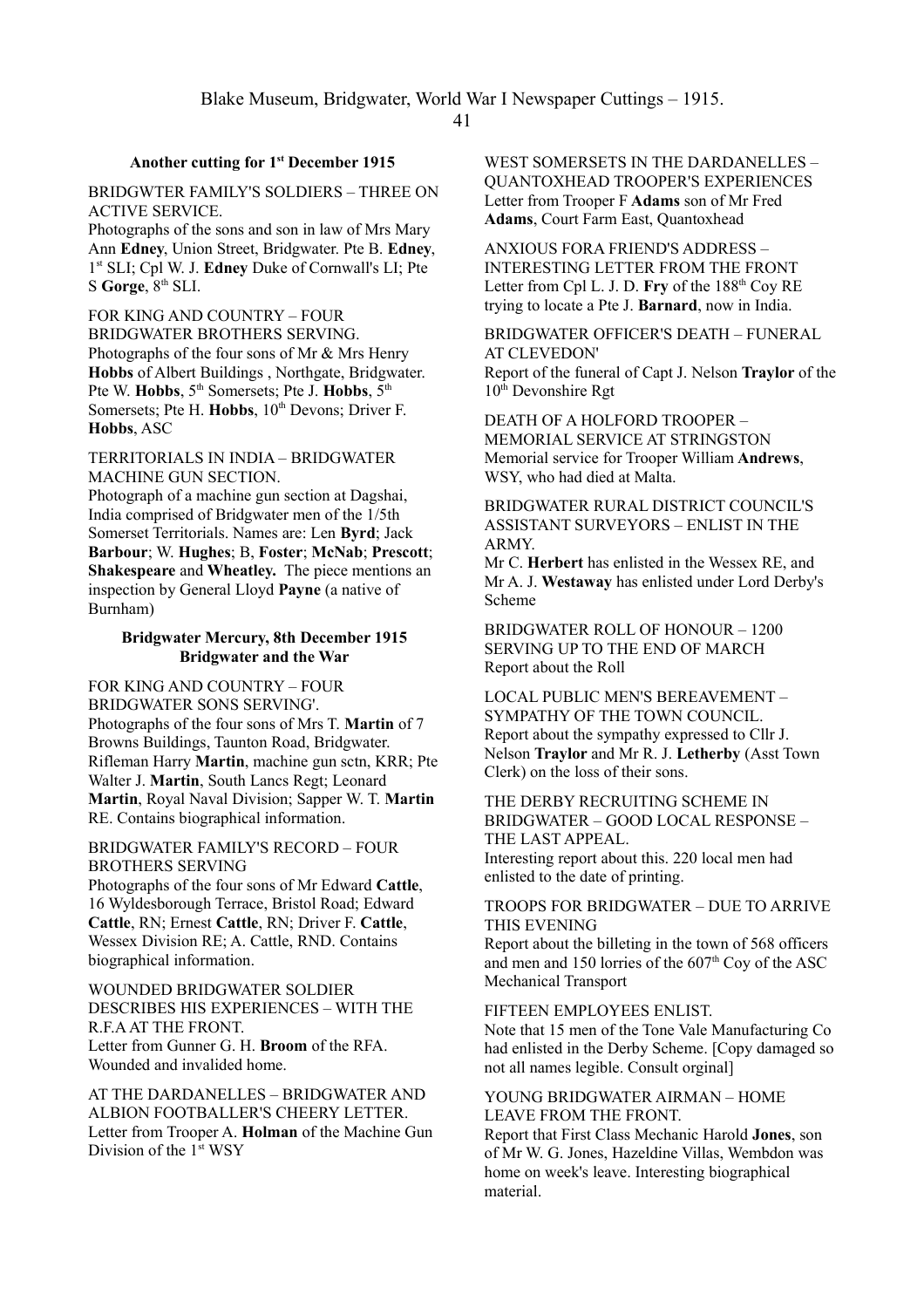# **Another cutting for 1st December 1915**

BRIDGWTER FAMILY'S SOLDIERS – THREE ON ACTIVE SERVICE.

Photographs of the sons and son in law of Mrs Mary Ann **Edney**, Union Street, Bridgwater. Pte B. **Edney**, 1 st SLI; Cpl W. J. **Edney** Duke of Cornwall's LI; Pte S **Gorge**,  $8<sup>th</sup>$  SLI.

FOR KING AND COUNTRY – FOUR BRIDGWATER BROTHERS SERVING. Photographs of the four sons of Mr & Mrs Henry **Hobbs** of Albert Buildings , Northgate, Bridgwater. Pte W. **Hobbs**,  $5^{th}$  Somersets; Pte J. **Hobbs**,  $5^{th}$ Somersets; Pte H. **Hobbs**,  $10^{th}$  Devons; Driver F. **Hobbs**, ASC

TERRITORIALS IN INDIA – BRIDGWATER MACHINE GUN SECTION.

Photograph of a machine gun section at Dagshai, India comprised of Bridgwater men of the 1/5th Somerset Territorials. Names are: Len **Byrd**; Jack **Barbour**; W. **Hughes**; B, **Foster**; **McNab**; **Prescott**; **Shakespeare** and **Wheatley.** The piece mentions an inspection by General Lloyd **Payne** (a native of Burnham)

## **Bridgwater Mercury, 8th December 1915 Bridgwater and the War**

FOR KING AND COUNTRY – FOUR BRIDGWATER SONS SERVING'. Photographs of the four sons of Mrs T. **Martin** of 7 Browns Buildings, Taunton Road, Bridgwater. Rifleman Harry **Martin**, machine gun sctn, KRR; Pte Walter J. **Martin**, South Lancs Regt; Leonard **Martin**, Royal Naval Division; Sapper W. T. **Martin** RE. Contains biographical information.

BRIDGWATER FAMILY'S RECORD – FOUR BROTHERS SERVING

Photographs of the four sons of Mr Edward **Cattle**, 16 Wyldesborough Terrace, Bristol Road; Edward **Cattle**, RN; Ernest **Cattle**, RN; Driver F. **Cattle**, Wessex Division RE; A. Cattle, RND. Contains biographical information.

WOUNDED BRIDGWATER SOLDIER DESCRIBES HIS EXPERIENCES – WITH THE R.F.A AT THE FRONT. Letter from Gunner G. H. **Broom** of the RFA. Wounded and invalided home.

AT THE DARDANELLES – BRIDGWATER AND ALBION FOOTBALLER'S CHEERY LETTER. Letter from Trooper A. **Holman** of the Machine Gun Division of the 1<sup>st</sup> WSY

WEST SOMERSETS IN THE DARDANELLES – QUANTOXHEAD TROOPER'S EXPERIENCES Letter from Trooper F **Adams** son of Mr Fred **Adams**, Court Farm East, Quantoxhead

ANXIOUS FORA FRIEND'S ADDRESS – INTERESTING LETTER FROM THE FRONT Letter from Cpl L. J. D. **Fry** of the 188th Coy RE trying to locate a Pte J. **Barnard**, now in India.

BRIDGWATER OFFICER'S DEATH – FUNERAL AT CLEVEDON'

Report of the funeral of Capt J. Nelson **Traylor** of the 10<sup>th</sup> Devonshire Rgt

DEATH OF A HOLFORD TROOPER – MEMORIAL SERVICE AT STRINGSTON Memorial service for Trooper William **Andrews**, WSY, who had died at Malta.

BRIDGWATER RURAL DISTRICT COUNCIL'S ASSISTANT SURVEYORS – ENLIST IN THE ARMY.

Mr C. **Herbert** has enlisted in the Wessex RE, and Mr A. J. **Westaway** has enlisted under Lord Derby's Scheme

BRIDGWATER ROLL OF HONOUR – 1200 SERVING UP TO THE END OF MARCH Report about the Roll

LOCAL PUBLIC MEN'S BEREAVEMENT – SYMPATHY OF THE TOWN COUNCIL. Report about the sympathy expressed to Cllr J. Nelson **Traylor** and Mr R. J. **Letherby** (Asst Town Clerk) on the loss of their sons.

THE DERBY RECRUITING SCHEME IN BRIDGWATER – GOOD LOCAL RESPONSE – THE LAST APPEAL. Interesting report about this. 220 local men had enlisted to the date of printing.

#### TROOPS FOR BRIDGWATER – DUE TO ARRIVE THIS EVENING

Report about the billeting in the town of 568 officers and men and 150 lorries of the  $607<sup>th</sup>$  Coy of the ASC Mechanical Transport

#### FIFTEEN EMPLOYEES ENLIST.

Note that 15 men of the Tone Vale Manufacturing Co had enlisted in the Derby Scheme. [Copy damaged so not all names legible. Consult orginal]

#### YOUNG BRIDGWATER AIRMAN – HOME LEAVE FROM THE FRONT.

Report that First Class Mechanic Harold **Jones**, son of Mr W. G. Jones, Hazeldine Villas, Wembdon was home on week's leave. Interesting biographical material.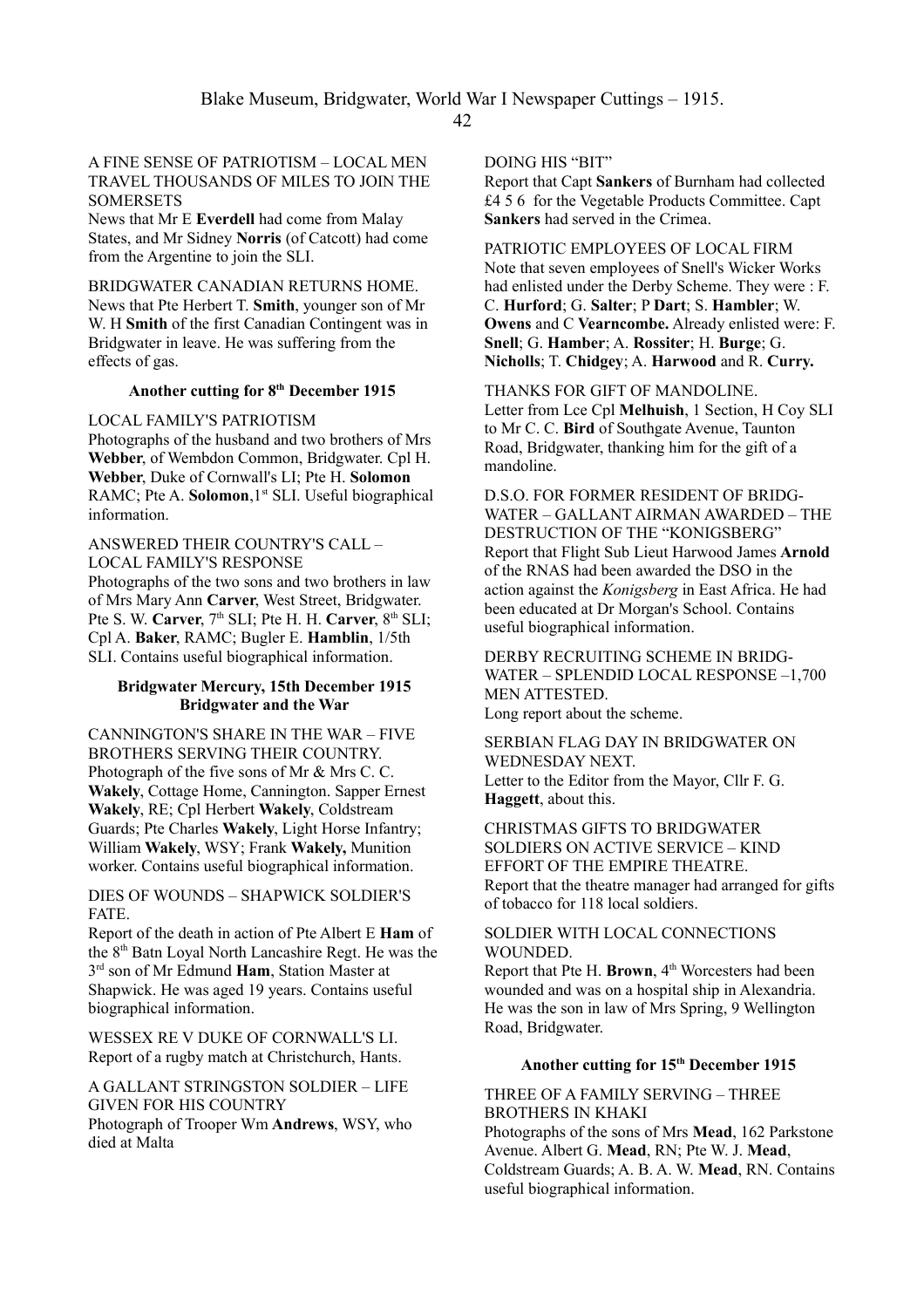## A FINE SENSE OF PATRIOTISM – LOCAL MEN TRAVEL THOUSANDS OF MILES TO JOIN THE **SOMERSETS**

News that Mr E **Everdell** had come from Malay States, and Mr Sidney **Norris** (of Catcott) had come from the Argentine to join the SLI.

BRIDGWATER CANADIAN RETURNS HOME. News that Pte Herbert T. **Smith**, younger son of Mr W. H **Smith** of the first Canadian Contingent was in Bridgwater in leave. He was suffering from the effects of gas.

#### **Another cutting for 8 th December 1915**

#### LOCAL FAMILY'S PATRIOTISM

Photographs of the husband and two brothers of Mrs **Webber**, of Wembdon Common, Bridgwater. Cpl H. **Webber**, Duke of Cornwall's LI; Pte H. **Solomon** RAMC; Pte A. **Solomon**, 1<sup>st</sup> SLI. Useful biographical information.

## ANSWERED THEIR COUNTRY'S CALL – LOCAL FAMILY'S RESPONSE

Photographs of the two sons and two brothers in law of Mrs Mary Ann **Carver**, West Street, Bridgwater. Pte S. W. **Carver**, 7<sup>th</sup> SLI; Pte H. H. **Carver**, 8<sup>th</sup> SLI; Cpl A. **Baker**, RAMC; Bugler E. **Hamblin**, 1/5th SLI. Contains useful biographical information.

#### **Bridgwater Mercury, 15th December 1915 Bridgwater and the War**

CANNINGTON'S SHARE IN THE WAR – FIVE BROTHERS SERVING THEIR COUNTRY. Photograph of the five sons of Mr & Mrs C. C. **Wakely**, Cottage Home, Cannington. Sapper Ernest **Wakely**, RE; Cpl Herbert **Wakely**, Coldstream Guards; Pte Charles **Wakely**, Light Horse Infantry; William **Wakely**, WSY; Frank **Wakely,** Munition worker. Contains useful biographical information.

DIES OF WOUNDS – SHAPWICK SOLDIER'S **FATE** 

Report of the death in action of Pte Albert E **Ham** of the 8<sup>th</sup> Batn Loyal North Lancashire Regt. He was the 3 rd son of Mr Edmund **Ham**, Station Master at Shapwick. He was aged 19 years. Contains useful biographical information.

WESSEX RE V DUKE OF CORNWALL'S LI. Report of a rugby match at Christchurch, Hants.

### A GALLANT STRINGSTON SOLDIER – LIFE GIVEN FOR HIS COUNTRY

Photograph of Trooper Wm **Andrews**, WSY, who died at Malta

DOING HIS "BIT"

Report that Capt **Sankers** of Burnham had collected £4 5 6 for the Vegetable Products Committee. Capt **Sankers** had served in the Crimea.

PATRIOTIC EMPLOYEES OF LOCAL FIRM Note that seven employees of Snell's Wicker Works had enlisted under the Derby Scheme. They were : F. C. **Hurford**; G. **Salter**; P **Dart**; S. **Hambler**; W. **Owens** and C **Vearncombe.** Already enlisted were: F. **Snell**; G. **Hamber**; A. **Rossiter**; H. **Burge**; G. **Nicholls**; T. **Chidgey**; A. **Harwood** and R. **Curry.**

THANKS FOR GIFT OF MANDOLINE. Letter from Lce Cpl **Melhuish**, 1 Section, H Coy SLI to Mr C. C. **Bird** of Southgate Avenue, Taunton Road, Bridgwater, thanking him for the gift of a mandoline.

D.S.O. FOR FORMER RESIDENT OF BRIDG-WATER – GALLANT AIRMAN AWARDED – THE DESTRUCTION OF THE "KONIGSBERG" Report that Flight Sub Lieut Harwood James **Arnold**  of the RNAS had been awarded the DSO in the action against the *Konigsberg* in East Africa. He had been educated at Dr Morgan's School. Contains useful biographical information.

DERBY RECRUITING SCHEME IN BRIDG-WATER – SPLENDID LOCAL RESPONSE –1,700 MEN ATTESTED. Long report about the scheme.

SERBIAN FLAG DAY IN BRIDGWATER ON WEDNESDAY NEXT. Letter to the Editor from the Mayor, Cllr F. G. **Haggett**, about this.

CHRISTMAS GIFTS TO BRIDGWATER SOLDIERS ON ACTIVE SERVICE – KIND EFFORT OF THE EMPIRE THEATRE. Report that the theatre manager had arranged for gifts of tobacco for 118 local soldiers.

#### SOLDIER WITH LOCAL CONNECTIONS WOUNDED.

Report that Pte H. **Brown**, 4th Worcesters had been wounded and was on a hospital ship in Alexandria. He was the son in law of Mrs Spring, 9 Wellington Road, Bridgwater.

# **Another cutting for 15th December 1915**

THREE OF A FAMILY SERVING – THREE BROTHERS IN KHAKI Photographs of the sons of Mrs **Mead**, 162 Parkstone Avenue. Albert G. **Mead**, RN; Pte W. J. **Mead**, Coldstream Guards; A. B. A. W. **Mead**, RN. Contains useful biographical information.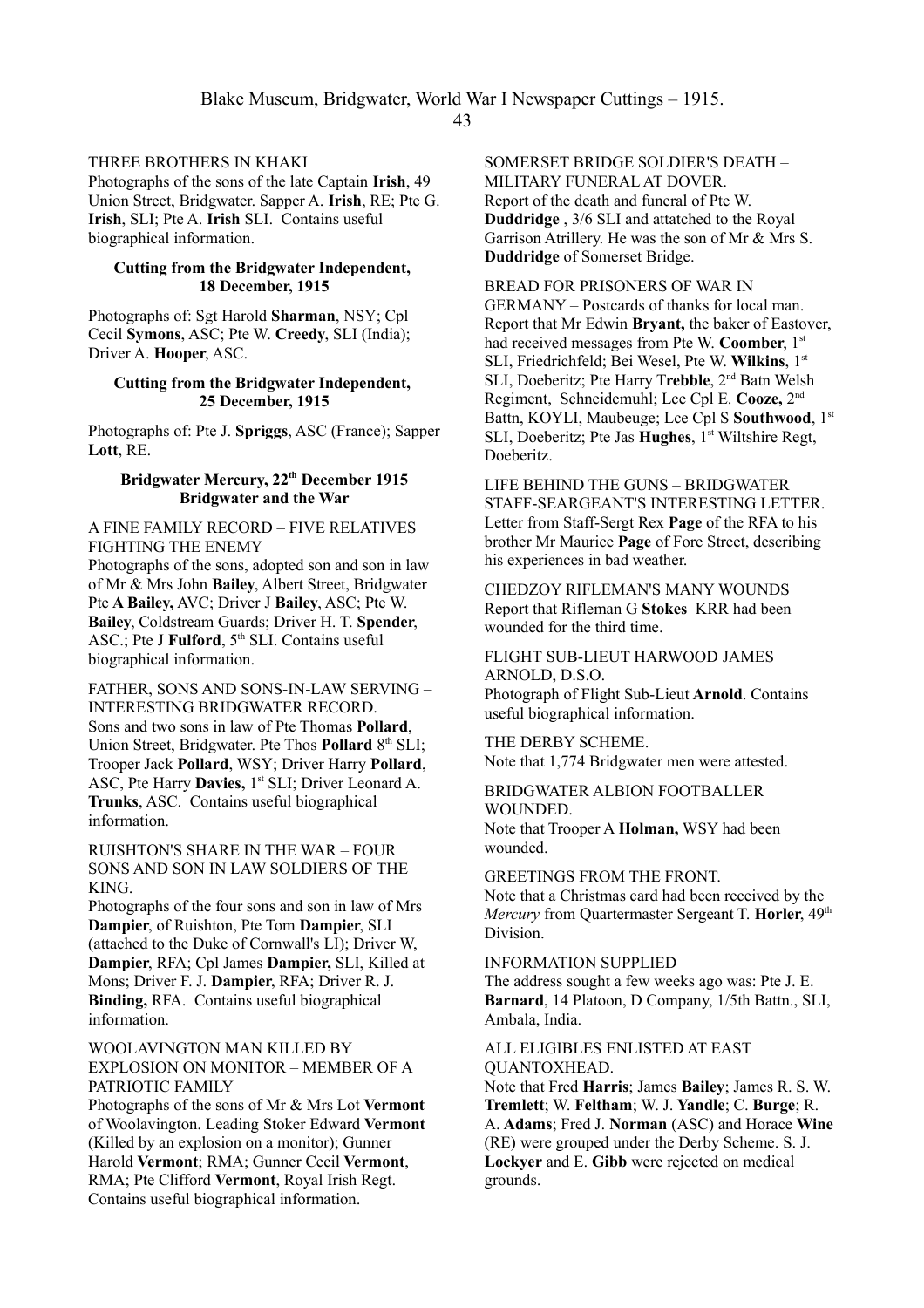## THREE BROTHERS IN KHAKI

Photographs of the sons of the late Captain **Irish**, 49 Union Street, Bridgwater. Sapper A. **Irish**, RE; Pte G. **Irish**, SLI; Pte A. **Irish** SLI. Contains useful biographical information.

#### **Cutting from the Bridgwater Independent, 18 December, 1915**

Photographs of: Sgt Harold **Sharman**, NSY; Cpl Cecil **Symons**, ASC; Pte W. **Creedy**, SLI (India); Driver A. **Hooper**, ASC.

#### **Cutting from the Bridgwater Independent, 25 December, 1915**

Photographs of: Pte J. **Spriggs**, ASC (France); Sapper **Lott**, RE.

## **Bridgwater Mercury, 22th December 1915 Bridgwater and the War**

#### A FINE FAMILY RECORD – FIVE RELATIVES FIGHTING THE ENEMY

Photographs of the sons, adopted son and son in law of Mr & Mrs John **Bailey**, Albert Street, Bridgwater Pte **A Bailey,** AVC; Driver J **Bailey**, ASC; Pte W. **Bailey**, Coldstream Guards; Driver H. T. **Spender**, ASC.; Pte J **Fulford**, 5<sup>th</sup> SLI. Contains useful biographical information.

FATHER, SONS AND SONS-IN-LAW SERVING – INTERESTING BRIDGWATER RECORD. Sons and two sons in law of Pte Thomas **Pollard**, Union Street, Bridgwater. Pte Thos **Pollard** 8<sup>th</sup> SLI; Trooper Jack **Pollard**, WSY; Driver Harry **Pollard**, ASC, Pte Harry Davies, 1<sup>st</sup> SLI; Driver Leonard A. **Trunks**, ASC. Contains useful biographical information.

RUISHTON'S SHARE IN THE WAR – FOUR SONS AND SON IN LAW SOLDIERS OF THE KING.

Photographs of the four sons and son in law of Mrs **Dampier**, of Ruishton, Pte Tom **Dampier**, SLI (attached to the Duke of Cornwall's LI); Driver W, **Dampier**, RFA; Cpl James **Dampier,** SLI, Killed at Mons; Driver F. J. **Dampier**, RFA; Driver R. J. **Binding,** RFA. Contains useful biographical information.

## WOOLAVINGTON MAN KILLED BY EXPLOSION ON MONITOR – MEMBER OF A PATRIOTIC FAMILY

Photographs of the sons of Mr & Mrs Lot **Vermont** of Woolavington. Leading Stoker Edward **Vermont** (Killed by an explosion on a monitor); Gunner Harold **Vermont**; RMA; Gunner Cecil **Vermont**, RMA; Pte Clifford **Vermont**, Royal Irish Regt. Contains useful biographical information.

SOMERSET BRIDGE SOLDIER'S DEATH – MILITARY FUNERAL AT DOVER. Report of the death and funeral of Pte W. **Duddridge** , 3/6 SLI and attatched to the Royal Garrison Atrillery. He was the son of Mr & Mrs S. **Duddridge** of Somerset Bridge.

BREAD FOR PRISONERS OF WAR IN GERMANY – Postcards of thanks for local man. Report that Mr Edwin **Bryant,** the baker of Eastover, had received messages from Pte W. **Coomber**, 1st SLI, Friedrichfeld; Bei Wesel, Pte W. **Wilkins**, 1st SLI, Doeberitz; Pte Harry T**rebble**, 2nd Batn Welsh Regiment, Schneidemuhl; Lce Cpl E. **Cooze,** 2nd Battn, KOYLI, Maubeuge; Lce Cpl S **Southwood**, 1<sup>st</sup> SLI, Doeberitz; Pte Jas **Hughes**, 1<sup>st</sup> Wiltshire Regt, Doeberitz.

LIFE BEHIND THE GUNS – BRIDGWATER STAFF-SEARGEANT'S INTERESTING LETTER. Letter from Staff-Sergt Rex **Page** of the RFA to his brother Mr Maurice **Page** of Fore Street, describing his experiences in bad weather.

CHEDZOY RIFLEMAN'S MANY WOUNDS Report that Rifleman G **Stokes** KRR had been wounded for the third time.

#### FLIGHT SUB-LIEUT HARWOOD JAMES ARNOLD, D.S.O.

Photograph of Flight Sub-Lieut **Arnold**. Contains useful biographical information.

THE DERBY SCHEME. Note that 1,774 Bridgwater men were attested.

#### BRIDGWATER ALBION FOOTBALLER WOUNDED.

Note that Trooper A **Holman,** WSY had been wounded.

GREETINGS FROM THE FRONT. Note that a Christmas card had been received by the *Mercury* from Quartermaster Sergeant T. **Horler**,  $49<sup>th</sup>$ Division.

## INFORMATION SUPPLIED

The address sought a few weeks ago was: Pte J. E. **Barnard**, 14 Platoon, D Company, 1/5th Battn., SLI, Ambala, India.

# ALL ELIGIBLES ENLISTED AT EAST QUANTOXHEAD.

Note that Fred **Harris**; James **Bailey**; James R. S. W. **Tremlett**; W. **Feltham**; W. J. **Yandle**; C. **Burge**; R. A. **Adams**; Fred J. **Norman** (ASC) and Horace **Wine** (RE) were grouped under the Derby Scheme. S. J. **Lockyer** and E. **Gibb** were rejected on medical grounds.